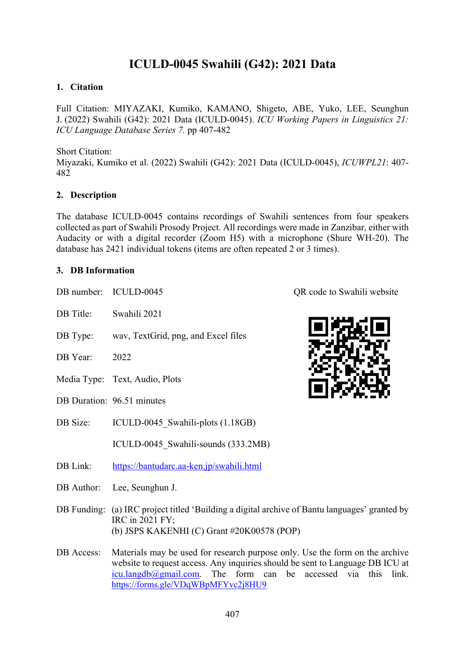# **ICULD-0045 Swahili (G42): 2021 Data**

### **1. Citation**

Full Citation: MIYAZAKI, Kumiko, KAMANO, Shigeto, ABE, Yuko, LEE, Seunghun J. (2022) Swahili (G42): 2021 Data (ICULD-0045). *ICU Working Papers in Linguistics 21: ICU Language Database Series 7.* pp 407-482

Short Citation:

Miyazaki, Kumiko et al. (2022) Swahili (G42): 2021 Data (ICULD-0045), *ICUWPL21*: 407- 482

#### **2. Description**

The database ICULD-0045 contains recordings of Swahili sentences from four speakers collected as part of Swahili Prosody Project. All recordings were made in Zanzibar, either with Audacity or with a digital recorder (Zoom H5) with a microphone (Shure WH-20). The database has 2421 individual tokens (items are often repeated 2 or 3 times).

#### **3. DB Information**

| DB number: | ICULD-0045                                                                                                                                                     | QR code to Swahili website |
|------------|----------------------------------------------------------------------------------------------------------------------------------------------------------------|----------------------------|
| DB Title:  | Swahili 2021                                                                                                                                                   |                            |
| DB Type:   | wav, TextGrid, png, and Excel files                                                                                                                            |                            |
| DB Year:   | 2022                                                                                                                                                           |                            |
|            | Media Type: Text, Audio, Plots                                                                                                                                 |                            |
|            | DB Duration: 96.51 minutes                                                                                                                                     |                            |
| DB Size:   | ICULD-0045 Swahili-plots (1.18GB)                                                                                                                              |                            |
|            | ICULD-0045 Swahili-sounds (333.2MB)                                                                                                                            |                            |
| DB Link:   | https://bantudarc.aa-ken.jp/swahili.html                                                                                                                       |                            |
| DB Author: | Lee, Seunghun J.                                                                                                                                               |                            |
|            | DB Funding: (a) IRC project titled 'Building a digital archive of Bantu languages' granted by<br>IRC in 2021 FY;<br>(b) JSPS KAKENHI (C) Grant #20K00578 (POP) |                            |
| DB Access: | Materials may be used for research purpose only. Use the form on the archive<br>website to request access. Any inquiries should be sent to Language DB ICU at  |                            |



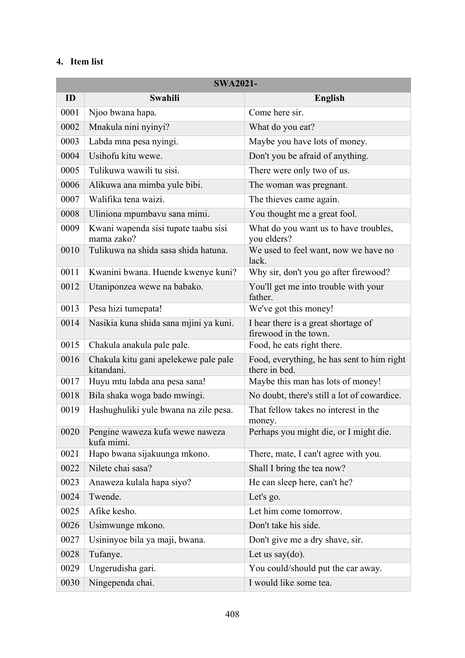## **4. Item list**

| <b>SWA2021-</b> |                                                     |                                                              |  |
|-----------------|-----------------------------------------------------|--------------------------------------------------------------|--|
| ID              | Swahili                                             | <b>English</b>                                               |  |
| 0001            | Njoo bwana hapa.                                    | Come here sir.                                               |  |
| 0002            | Mnakula nini nyinyi?                                | What do you eat?                                             |  |
| 0003            | Labda mna pesa nyingi.                              | Maybe you have lots of money.                                |  |
| 0004            | Usihofu kitu wewe.                                  | Don't you be afraid of anything.                             |  |
| 0005            | Tulikuwa wawili tu sisi.                            | There were only two of us.                                   |  |
| 0006            | Alikuwa ana mimba yule bibi.                        | The woman was pregnant.                                      |  |
| 0007            | Walifika tena waizi.                                | The thieves came again.                                      |  |
| 0008            | Uliniona mpumbavu sana mimi.                        | You thought me a great fool.                                 |  |
| 0009            | Kwani wapenda sisi tupate taabu sisi<br>mama zako?  | What do you want us to have troubles,<br>you elders?         |  |
| 0010            | Tulikuwa na shida sasa shida hatuna.                | We used to feel want, now we have no<br>lack.                |  |
| 0011            | Kwanini bwana. Huende kwenye kuni?                  | Why sir, don't you go after firewood?                        |  |
| 0012            | Utaniponzea wewe na babako.                         | You'll get me into trouble with your<br>father.              |  |
| 0013            | Pesa hizi tumepata!                                 | We've got this money!                                        |  |
| 0014            | Nasikia kuna shida sana mjini ya kuni.              | I hear there is a great shortage of<br>firewood in the town. |  |
| 0015            | Chakula anakula pale pale.                          | Food, he eats right there.                                   |  |
| 0016            | Chakula kitu gani apelekewe pale pale<br>kitandani. | Food, everything, he has sent to him right<br>there in bed.  |  |
| 0017            | Huyu mtu labda ana pesa sana!                       | Maybe this man has lots of money!                            |  |
| 0018            | Bila shaka woga bado mwingi.                        | No doubt, there's still a lot of cowardice.                  |  |
| 0019            | Hashughuliki yule bwana na zile pesa.               | That fellow takes no interest in the<br>money.               |  |
| 0020            | Pengine waweza kufa wewe naweza<br>kufa mimi.       | Perhaps you might die, or I might die.                       |  |
| 0021            | Hapo bwana sijakuunga mkono.                        | There, mate, I can't agree with you.                         |  |
| 0022            | Nilete chai sasa?                                   | Shall I bring the tea now?                                   |  |
| 0023            | Anaweza kulala hapa siyo?                           | He can sleep here, can't he?                                 |  |
| 0024            | Twende.                                             | Let's go.                                                    |  |
| 0025            | Afike kesho.                                        | Let him come tomorrow.                                       |  |
| 0026            | Usimwunge mkono.                                    | Don't take his side.                                         |  |
| 0027            | Usininyoe bila ya maji, bwana.                      | Don't give me a dry shave, sir.                              |  |
| 0028            | Tufanye.                                            | Let us say $(do)$ .                                          |  |
| 0029            | Ungerudisha gari.                                   | You could/should put the car away.                           |  |
| 0030            | Ningependa chai.                                    | I would like some tea.                                       |  |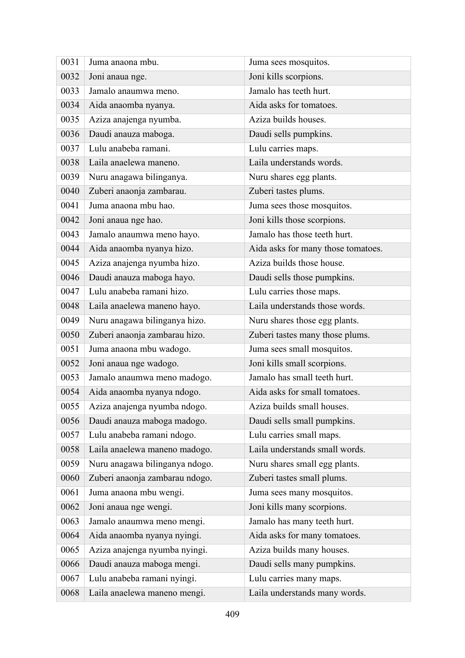| 0031 | Juma anaona mbu.               | Juma sees mosquitos.               |
|------|--------------------------------|------------------------------------|
| 0032 | Joni anaua nge.                | Joni kills scorpions.              |
| 0033 | Jamalo anaumwa meno.           | Jamalo has teeth hurt.             |
| 0034 | Aida anaomba nyanya.           | Aida asks for tomatoes.            |
| 0035 | Aziza anajenga nyumba.         | Aziza builds houses.               |
| 0036 | Daudi anauza maboga.           | Daudi sells pumpkins.              |
| 0037 | Lulu anabeba ramani.           | Lulu carries maps.                 |
| 0038 | Laila anaelewa maneno.         | Laila understands words.           |
| 0039 | Nuru anagawa bilinganya.       | Nuru shares egg plants.            |
| 0040 | Zuberi anaonja zambarau.       | Zuberi tastes plums.               |
| 0041 | Juma anaona mbu hao.           | Juma sees those mosquitos.         |
| 0042 | Joni anaua nge hao.            | Joni kills those scorpions.        |
| 0043 | Jamalo anaumwa meno hayo.      | Jamalo has those teeth hurt.       |
| 0044 | Aida anaomba nyanya hizo.      | Aida asks for many those tomatoes. |
| 0045 | Aziza anajenga nyumba hizo.    | Aziza builds those house.          |
| 0046 | Daudi anauza maboga hayo.      | Daudi sells those pumpkins.        |
| 0047 | Lulu anabeba ramani hizo.      | Lulu carries those maps.           |
| 0048 | Laila anaelewa maneno hayo.    | Laila understands those words.     |
| 0049 | Nuru anagawa bilinganya hizo.  | Nuru shares those egg plants.      |
| 0050 | Zuberi anaonja zambarau hizo.  | Zuberi tastes many those plums.    |
| 0051 | Juma anaona mbu wadogo.        | Juma sees small mosquitos.         |
| 0052 | Joni anaua nge wadogo.         | Joni kills small scorpions.        |
| 0053 | Jamalo anaumwa meno madogo.    | Jamalo has small teeth hurt.       |
| 0054 | Aida anaomba nyanya ndogo.     | Aida asks for small tomatoes.      |
| 0055 | Aziza anajenga nyumba ndogo.   | Aziza builds small houses          |
| 0056 | Daudi anauza maboga madogo.    | Daudi sells small pumpkins.        |
| 0057 | Lulu anabeba ramani ndogo.     | Lulu carries small maps.           |
| 0058 | Laila anaelewa maneno madogo.  | Laila understands small words.     |
| 0059 | Nuru anagawa bilinganya ndogo. | Nuru shares small egg plants.      |
| 0060 | Zuberi anaonja zambarau ndogo. | Zuberi tastes small plums.         |
| 0061 | Juma anaona mbu wengi.         | Juma sees many mosquitos.          |
| 0062 | Joni anaua nge wengi.          | Joni kills many scorpions.         |
| 0063 | Jamalo anaumwa meno mengi.     | Jamalo has many teeth hurt.        |
| 0064 | Aida anaomba nyanya nyingi.    | Aida asks for many tomatoes.       |
| 0065 | Aziza anajenga nyumba nyingi.  | Aziza builds many houses.          |
| 0066 | Daudi anauza maboga mengi.     | Daudi sells many pumpkins.         |
| 0067 | Lulu anabeba ramani nyingi.    | Lulu carries many maps.            |
| 0068 | Laila anaelewa maneno mengi.   | Laila understands many words.      |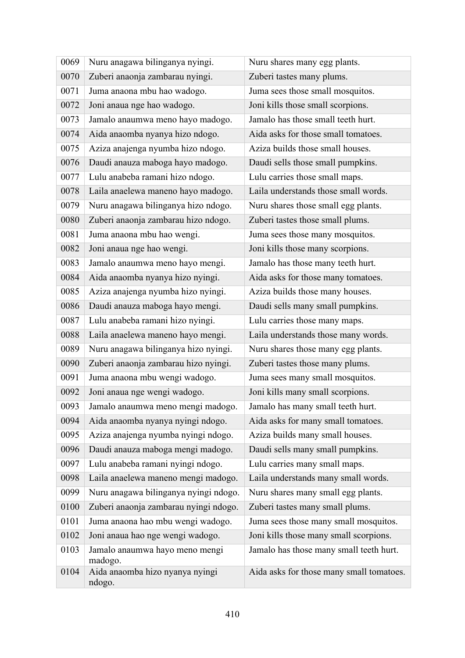| 0069 | Nuru anagawa bilinganya nyingi.           | Nuru shares many egg plants.             |
|------|-------------------------------------------|------------------------------------------|
| 0070 | Zuberi anaonja zambarau nyingi.           | Zuberi tastes many plums.                |
| 0071 | Juma anaona mbu hao wadogo.               | Juma sees those small mosquitos.         |
| 0072 | Joni anaua nge hao wadogo.                | Joni kills those small scorpions.        |
| 0073 | Jamalo anaumwa meno hayo madogo.          | Jamalo has those small teeth hurt.       |
| 0074 | Aida anaomba nyanya hizo ndogo.           | Aida asks for those small tomatoes.      |
| 0075 | Aziza anajenga nyumba hizo ndogo.         | Aziza builds those small houses.         |
| 0076 | Daudi anauza maboga hayo madogo.          | Daudi sells those small pumpkins.        |
| 0077 | Lulu anabeba ramani hizo ndogo.           | Lulu carries those small maps.           |
| 0078 | Laila anaelewa maneno hayo madogo.        | Laila understands those small words.     |
| 0079 | Nuru anagawa bilinganya hizo ndogo.       | Nuru shares those small egg plants.      |
| 0080 | Zuberi anaonja zambarau hizo ndogo.       | Zuberi tastes those small plums.         |
| 0081 | Juma anaona mbu hao wengi.                | Juma sees those many mosquitos.          |
| 0082 | Joni anaua nge hao wengi.                 | Joni kills those many scorpions.         |
| 0083 | Jamalo anaumwa meno hayo mengi.           | Jamalo has those many teeth hurt.        |
| 0084 | Aida anaomba nyanya hizo nyingi.          | Aida asks for those many tomatoes.       |
| 0085 | Aziza anajenga nyumba hizo nyingi.        | Aziza builds those many houses.          |
| 0086 | Daudi anauza maboga hayo mengi.           | Daudi sells many small pumpkins.         |
| 0087 | Lulu anabeba ramani hizo nyingi.          | Lulu carries those many maps.            |
| 0088 | Laila anaelewa maneno hayo mengi.         | Laila understands those many words.      |
| 0089 | Nuru anagawa bilinganya hizo nyingi.      | Nuru shares those many egg plants.       |
| 0090 | Zuberi anaonja zambarau hizo nyingi.      | Zuberi tastes those many plums.          |
| 0091 | Juma anaona mbu wengi wadogo.             | Juma sees many small mosquitos.          |
| 0092 | Joni anaua nge wengi wadogo.              | Joni kills many small scorpions.         |
| 0093 | Jamalo anaumwa meno mengi madogo.         | Jamalo has many small teeth hurt.        |
| 0094 | Aida anaomba nyanya nyingi ndogo.         | Aida asks for many small tomatoes.       |
| 0095 | Aziza anajenga nyumba nyingi ndogo.       | Aziza builds many small houses.          |
| 0096 | Daudi anauza maboga mengi madogo.         | Daudi sells many small pumpkins.         |
| 0097 | Lulu anabeba ramani nyingi ndogo.         | Lulu carries many small maps.            |
| 0098 | Laila anaelewa maneno mengi madogo.       | Laila understands many small words.      |
| 0099 | Nuru anagawa bilinganya nyingi ndogo.     | Nuru shares many small egg plants.       |
| 0100 | Zuberi anaonja zambarau nyingi ndogo.     | Zuberi tastes many small plums.          |
| 0101 | Juma anaona hao mbu wengi wadogo.         | Juma sees those many small mosquitos.    |
| 0102 | Joni anaua hao nge wengi wadogo.          | Joni kills those many small scorpions.   |
| 0103 | Jamalo anaumwa hayo meno mengi<br>madogo. | Jamalo has those many small teeth hurt.  |
| 0104 | Aida anaomba hizo nyanya nyingi<br>ndogo. | Aida asks for those many small tomatoes. |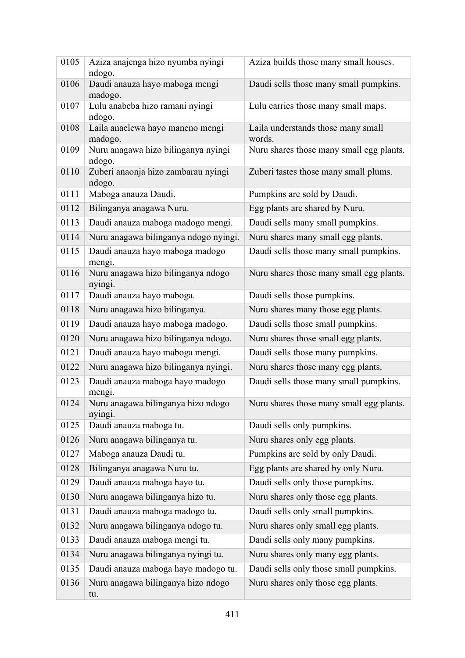| 0105 | Aziza anajenga hizo nyumba nyingi<br>ndogo.   | Aziza builds those many small houses.        |
|------|-----------------------------------------------|----------------------------------------------|
| 0106 | Daudi anauza hayo maboga mengi<br>madogo.     | Daudi sells those many small pumpkins.       |
| 0107 | Lulu anabeba hizo ramani nyingi<br>ndogo.     | Lulu carries those many small maps.          |
| 0108 | Laila anaelewa hayo maneno mengi<br>madogo.   | Laila understands those many small<br>words. |
| 0109 | Nuru anagawa hizo bilinganya nyingi<br>ndogo. | Nuru shares those many small egg plants.     |
| 0110 | Zuberi anaonja hizo zambarau nyingi<br>ndogo. | Zuberi tastes those many small plums.        |
| 0111 | Maboga anauza Daudi.                          | Pumpkins are sold by Daudi.                  |
| 0112 | Bilinganya anagawa Nuru.                      | Egg plants are shared by Nuru.               |
| 0113 | Daudi anauza maboga madogo mengi.             | Daudi sells many small pumpkins.             |
| 0114 | Nuru anagawa bilinganya ndogo nyingi.         | Nuru shares many small egg plants.           |
| 0115 | Daudi anauza hayo maboga madogo<br>mengi.     | Daudi sells those many small pumpkins.       |
| 0116 | Nuru anagawa hizo bilinganya ndogo<br>nyingi. | Nuru shares those many small egg plants.     |
| 0117 | Daudi anauza hayo maboga.                     | Daudi sells those pumpkins.                  |
| 0118 | Nuru anagawa hizo bilinganya.                 | Nuru shares many those egg plants.           |
| 0119 | Daudi anauza hayo maboga madogo.              | Daudi sells those small pumpkins.            |
| 0120 | Nuru anagawa hizo bilinganya ndogo.           | Nuru shares those small egg plants.          |
| 0121 | Daudi anauza hayo maboga mengi.               | Daudi sells those many pumpkins.             |
| 0122 | Nuru anagawa hizo bilinganya nyingi.          | Nuru shares those many egg plants.           |
| 0123 | Daudi anauza maboga hayo madogo<br>mengi.     | Daudi sells those many small pumpkins.       |
| 0124 | Nuru anagawa bilinganya hizo ndogo<br>nyingi. | Nuru shares those many small egg plants.     |
| 0125 | Daudi anauza maboga tu.                       | Daudi sells only pumpkins.                   |
| 0126 | Nuru anagawa bilinganya tu.                   | Nuru shares only egg plants.                 |
| 0127 | Maboga anauza Daudi tu.                       | Pumpkins are sold by only Daudi.             |
| 0128 | Bilinganya anagawa Nuru tu.                   | Egg plants are shared by only Nuru.          |
| 0129 | Daudi anauza maboga hayo tu.                  | Daudi sells only those pumpkins.             |
| 0130 | Nuru anagawa bilinganya hizo tu.              | Nuru shares only those egg plants.           |
| 0131 | Daudi anauza maboga madogo tu.                | Daudi sells only small pumpkins.             |
| 0132 | Nuru anagawa bilinganya ndogo tu.             | Nuru shares only small egg plants.           |
| 0133 | Daudi anauza maboga mengi tu.                 | Daudi sells only many pumpkins.              |
| 0134 | Nuru anagawa bilinganya nyingi tu.            | Nuru shares only many egg plants.            |
| 0135 | Daudi anauza maboga hayo madogo tu.           | Daudi sells only those small pumpkins.       |
| 0136 | Nuru anagawa bilinganya hizo ndogo<br>tu.     | Nuru shares only those egg plants.           |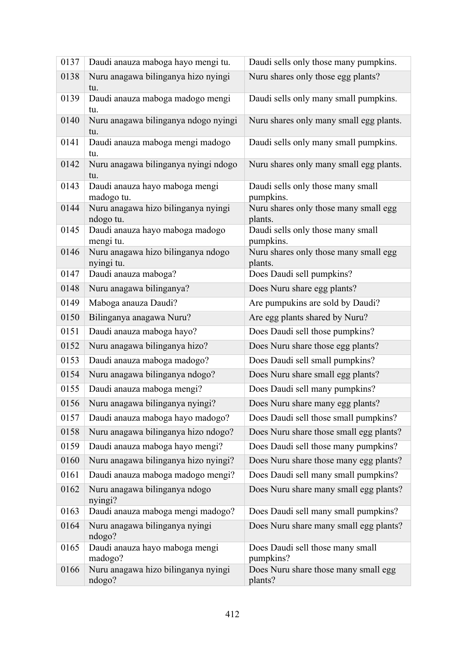| 0137 | Daudi anauza maboga hayo mengi tu.               | Daudi sells only those many pumpkins.            |
|------|--------------------------------------------------|--------------------------------------------------|
| 0138 | Nuru anagawa bilinganya hizo nyingi<br>tu.       | Nuru shares only those egg plants?               |
| 0139 | Daudi anauza maboga madogo mengi<br>tu.          | Daudi sells only many small pumpkins.            |
| 0140 | Nuru anagawa bilinganya ndogo nyingi<br>tu.      | Nuru shares only many small egg plants.          |
| 0141 | Daudi anauza maboga mengi madogo<br>tu.          | Daudi sells only many small pumpkins.            |
| 0142 | Nuru anagawa bilinganya nyingi ndogo<br>tu.      | Nuru shares only many small egg plants.          |
| 0143 | Daudi anauza hayo maboga mengi<br>madogo tu.     | Daudi sells only those many small<br>pumpkins.   |
| 0144 | Nuru anagawa hizo bilinganya nyingi<br>ndogo tu. | Nuru shares only those many small egg<br>plants. |
| 0145 | Daudi anauza hayo maboga madogo<br>mengi tu.     | Daudi sells only those many small<br>pumpkins.   |
| 0146 | Nuru anagawa hizo bilinganya ndogo<br>nyingi tu. | Nuru shares only those many small egg<br>plants. |
| 0147 | Daudi anauza maboga?                             | Does Daudi sell pumpkins?                        |
| 0148 | Nuru anagawa bilinganya?                         | Does Nuru share egg plants?                      |
| 0149 | Maboga anauza Daudi?                             | Are pumpukins are sold by Daudi?                 |
| 0150 | Bilinganya anagawa Nuru?                         | Are egg plants shared by Nuru?                   |
| 0151 | Daudi anauza maboga hayo?                        | Does Daudi sell those pumpkins?                  |
| 0152 | Nuru anagawa bilinganya hizo?                    | Does Nuru share those egg plants?                |
| 0153 | Daudi anauza maboga madogo?                      | Does Daudi sell small pumpkins?                  |
| 0154 | Nuru anagawa bilinganya ndogo?                   | Does Nuru share small egg plants?                |
| 0155 | Daudi anauza maboga mengi?                       | Does Daudi sell many pumpkins?                   |
| 0156 | Nuru anagawa bilinganya nyingi?                  | Does Nuru share many egg plants?                 |
| 0157 | Daudi anauza maboga hayo madogo?                 | Does Daudi sell those small pumpkins?            |
| 0158 | Nuru anagawa bilinganya hizo ndogo?              | Does Nuru share those small egg plants?          |
| 0159 | Daudi anauza maboga hayo mengi?                  | Does Daudi sell those many pumpkins?             |
| 0160 | Nuru anagawa bilinganya hizo nyingi?             | Does Nuru share those many egg plants?           |
| 0161 | Daudi anauza maboga madogo mengi?                | Does Daudi sell many small pumpkins?             |
| 0162 | Nuru anagawa bilinganya ndogo<br>nyingi?         | Does Nuru share many small egg plants?           |
| 0163 | Daudi anauza maboga mengi madogo?                | Does Daudi sell many small pumpkins?             |
| 0164 | Nuru anagawa bilinganya nyingi<br>ndogo?         | Does Nuru share many small egg plants?           |
| 0165 | Daudi anauza hayo maboga mengi<br>madogo?        | Does Daudi sell those many small<br>pumpkins?    |
| 0166 | Nuru anagawa hizo bilinganya nyingi<br>ndogo?    | Does Nuru share those many small egg<br>plants?  |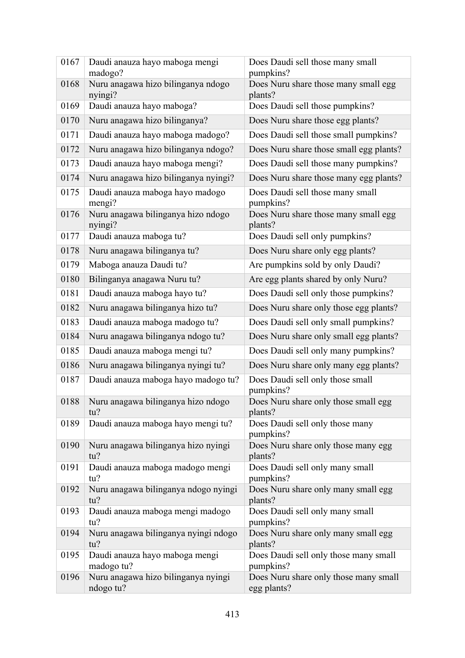| 0167 | Daudi anauza hayo maboga mengi<br>madogo?        | Does Daudi sell those many small<br>pumpkins?        |
|------|--------------------------------------------------|------------------------------------------------------|
| 0168 | Nuru anagawa hizo bilinganya ndogo<br>nyingi?    | Does Nuru share those many small egg<br>plants?      |
| 0169 | Daudi anauza hayo maboga?                        | Does Daudi sell those pumpkins?                      |
| 0170 | Nuru anagawa hizo bilinganya?                    | Does Nuru share those egg plants?                    |
| 0171 | Daudi anauza hayo maboga madogo?                 | Does Daudi sell those small pumpkins?                |
| 0172 | Nuru anagawa hizo bilinganya ndogo?              | Does Nuru share those small egg plants?              |
| 0173 | Daudi anauza hayo maboga mengi?                  | Does Daudi sell those many pumpkins?                 |
| 0174 | Nuru anagawa hizo bilinganya nyingi?             | Does Nuru share those many egg plants?               |
| 0175 | Daudi anauza maboga hayo madogo<br>mengi?        | Does Daudi sell those many small<br>pumpkins?        |
| 0176 | Nuru anagawa bilinganya hizo ndogo<br>nyingi?    | Does Nuru share those many small egg<br>plants?      |
| 0177 | Daudi anauza maboga tu?                          | Does Daudi sell only pumpkins?                       |
| 0178 | Nuru anagawa bilinganya tu?                      | Does Nuru share only egg plants?                     |
| 0179 | Maboga anauza Daudi tu?                          | Are pumpkins sold by only Daudi?                     |
| 0180 | Bilinganya anagawa Nuru tu?                      | Are egg plants shared by only Nuru?                  |
| 0181 | Daudi anauza maboga hayo tu?                     | Does Daudi sell only those pumpkins?                 |
| 0182 | Nuru anagawa bilinganya hizo tu?                 | Does Nuru share only those egg plants?               |
| 0183 | Daudi anauza maboga madogo tu?                   | Does Daudi sell only small pumpkins?                 |
| 0184 | Nuru anagawa bilinganya ndogo tu?                | Does Nuru share only small egg plants?               |
| 0185 | Daudi anauza maboga mengi tu?                    | Does Daudi sell only many pumpkins?                  |
| 0186 | Nuru anagawa bilinganya nyingi tu?               | Does Nuru share only many egg plants?                |
| 0187 | Daudi anauza maboga hayo madogo tu?              | Does Daudi sell only those small<br>pumpkins?        |
| 0188 | Nuru anagawa bilinganya hizo ndogo<br>tu?        | Does Nuru share only those small egg<br>plants?      |
| 0189 | Daudi anauza maboga hayo mengi tu?               | Does Daudi sell only those many<br>pumpkins?         |
| 0190 | Nuru anagawa bilinganya hizo nyingi<br>tu?       | Does Nuru share only those many egg<br>plants?       |
| 0191 | Daudi anauza maboga madogo mengi<br>tu?          | Does Daudi sell only many small<br>pumpkins?         |
| 0192 | Nuru anagawa bilinganya ndogo nyingi<br>tu?      | Does Nuru share only many small egg<br>plants?       |
| 0193 | Daudi anauza maboga mengi madogo<br>tu?          | Does Daudi sell only many small<br>pumpkins?         |
| 0194 | Nuru anagawa bilinganya nyingi ndogo<br>tu?      | Does Nuru share only many small egg<br>plants?       |
| 0195 | Daudi anauza hayo maboga mengi<br>madogo tu?     | Does Daudi sell only those many small<br>pumpkins?   |
| 0196 | Nuru anagawa hizo bilinganya nyingi<br>ndogo tu? | Does Nuru share only those many small<br>egg plants? |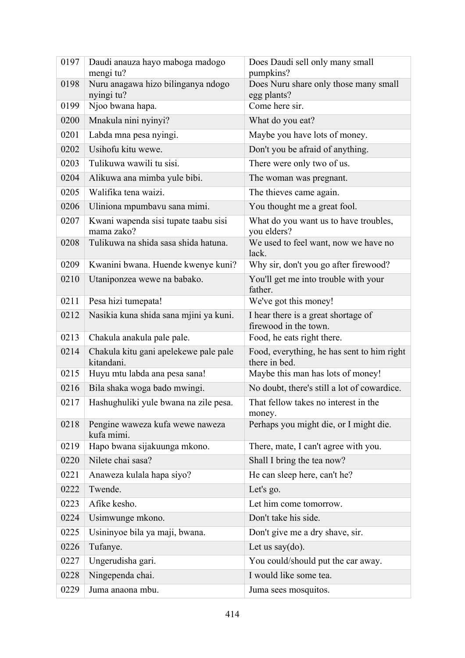| 0197 | Daudi anauza hayo maboga madogo<br>mengi tu?        | Does Daudi sell only many small<br>pumpkins?                 |
|------|-----------------------------------------------------|--------------------------------------------------------------|
| 0198 | Nuru anagawa hizo bilinganya ndogo                  | Does Nuru share only those many small                        |
|      | nyingi tu?                                          | egg plants?                                                  |
| 0199 | Njoo bwana hapa.                                    | Come here sir.                                               |
| 0200 | Mnakula nini nyinyi?                                | What do you eat?                                             |
| 0201 | Labda mna pesa nyingi.                              | Maybe you have lots of money.                                |
| 0202 | Usihofu kitu wewe.                                  | Don't you be afraid of anything.                             |
| 0203 | Tulikuwa wawili tu sisi.                            | There were only two of us.                                   |
| 0204 | Alikuwa ana mimba yule bibi.                        | The woman was pregnant.                                      |
| 0205 | Walifika tena waizi.                                | The thieves came again.                                      |
| 0206 | Uliniona mpumbavu sana mimi.                        | You thought me a great fool.                                 |
| 0207 | Kwani wapenda sisi tupate taabu sisi<br>mama zako?  | What do you want us to have troubles,<br>you elders?         |
| 0208 | Tulikuwa na shida sasa shida hatuna.                | We used to feel want, now we have no<br>lack.                |
| 0209 | Kwanini bwana. Huende kwenye kuni?                  | Why sir, don't you go after firewood?                        |
| 0210 | Utaniponzea wewe na babako.                         | You'll get me into trouble with your<br>father.              |
| 0211 | Pesa hizi tumepata!                                 | We've got this money!                                        |
| 0212 | Nasikia kuna shida sana mjini ya kuni.              | I hear there is a great shortage of<br>firewood in the town. |
| 0213 | Chakula anakula pale pale.                          | Food, he eats right there.                                   |
| 0214 | Chakula kitu gani apelekewe pale pale<br>kitandani. | Food, everything, he has sent to him right<br>there in bed.  |
| 0215 | Huyu mtu labda ana pesa sana!                       | Maybe this man has lots of money!                            |
| 0216 | Bila shaka woga bado mwingi.                        | No doubt, there's still a lot of cowardice.                  |
| 0217 | Hashughuliki yule bwana na zile pesa.               | That fellow takes no interest in the<br>money.               |
| 0218 | Pengine waweza kufa wewe naweza<br>kufa mimi.       | Perhaps you might die, or I might die.                       |
| 0219 | Hapo bwana sijakuunga mkono.                        | There, mate, I can't agree with you.                         |
| 0220 | Nilete chai sasa?                                   | Shall I bring the tea now?                                   |
| 0221 | Anaweza kulala hapa siyo?                           | He can sleep here, can't he?                                 |
| 0222 | Twende.                                             | Let's go.                                                    |
| 0223 | Afike kesho.                                        | Let him come tomorrow.                                       |
| 0224 | Usimwunge mkono.                                    | Don't take his side.                                         |
| 0225 | Usininyoe bila ya maji, bwana.                      | Don't give me a dry shave, sir.                              |
| 0226 | Tufanye.                                            | Let us say $(do)$ .                                          |
| 0227 | Ungerudisha gari.                                   | You could/should put the car away.                           |
| 0228 | Ningependa chai.                                    | I would like some tea.                                       |
| 0229 | Juma anaona mbu.                                    | Juma sees mosquitos.                                         |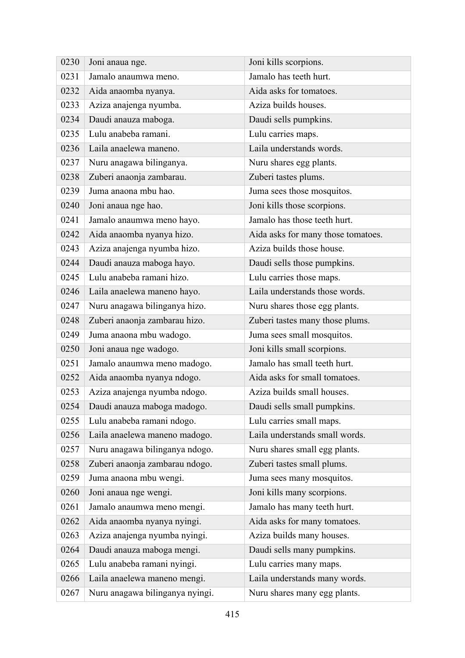| 0230 | Joni anaua nge.                 | Joni kills scorpions.              |
|------|---------------------------------|------------------------------------|
| 0231 | Jamalo anaumwa meno.            | Jamalo has teeth hurt.             |
| 0232 | Aida anaomba nyanya.            | Aida asks for tomatoes.            |
| 0233 | Aziza anajenga nyumba.          | Aziza builds houses.               |
| 0234 | Daudi anauza maboga.            | Daudi sells pumpkins.              |
| 0235 | Lulu anabeba ramani.            | Lulu carries maps.                 |
| 0236 | Laila anaelewa maneno.          | Laila understands words.           |
| 0237 | Nuru anagawa bilinganya.        | Nuru shares egg plants.            |
| 0238 | Zuberi anaonja zambarau.        | Zuberi tastes plums.               |
| 0239 | Juma anaona mbu hao.            | Juma sees those mosquitos.         |
| 0240 | Joni anaua nge hao.             | Joni kills those scorpions.        |
| 0241 | Jamalo anaumwa meno hayo.       | Jamalo has those teeth hurt.       |
| 0242 | Aida anaomba nyanya hizo.       | Aida asks for many those tomatoes. |
| 0243 | Aziza anajenga nyumba hizo.     | Aziza builds those house.          |
| 0244 | Daudi anauza maboga hayo.       | Daudi sells those pumpkins.        |
| 0245 | Lulu anabeba ramani hizo.       | Lulu carries those maps.           |
| 0246 | Laila anaelewa maneno hayo.     | Laila understands those words.     |
| 0247 | Nuru anagawa bilinganya hizo.   | Nuru shares those egg plants.      |
| 0248 | Zuberi anaonja zambarau hizo.   | Zuberi tastes many those plums.    |
| 0249 | Juma anaona mbu wadogo.         | Juma sees small mosquitos.         |
| 0250 | Joni anaua nge wadogo.          | Joni kills small scorpions.        |
| 0251 | Jamalo anaumwa meno madogo.     | Jamalo has small teeth hurt.       |
| 0252 | Aida anaomba nyanya ndogo.      | Aida asks for small tomatoes.      |
| 0253 | Aziza anajenga nyumba ndogo.    | Aziza builds small houses.         |
| 0254 | Daudi anauza maboga madogo.     | Daudi sells small pumpkins.        |
| 0255 | Lulu anabeba ramani ndogo.      | Lulu carries small maps.           |
| 0256 | Laila anaelewa maneno madogo.   | Laila understands small words.     |
| 0257 | Nuru anagawa bilinganya ndogo.  | Nuru shares small egg plants.      |
| 0258 | Zuberi anaonja zambarau ndogo.  | Zuberi tastes small plums.         |
| 0259 | Juma anaona mbu wengi.          | Juma sees many mosquitos.          |
| 0260 | Joni anaua nge wengi.           | Joni kills many scorpions.         |
| 0261 | Jamalo anaumwa meno mengi.      | Jamalo has many teeth hurt.        |
| 0262 | Aida anaomba nyanya nyingi.     | Aida asks for many tomatoes.       |
| 0263 | Aziza anajenga nyumba nyingi.   | Aziza builds many houses.          |
| 0264 | Daudi anauza maboga mengi.      | Daudi sells many pumpkins.         |
| 0265 | Lulu anabeba ramani nyingi.     | Lulu carries many maps.            |
| 0266 | Laila anaelewa maneno mengi.    | Laila understands many words.      |
| 0267 | Nuru anagawa bilinganya nyingi. | Nuru shares many egg plants.       |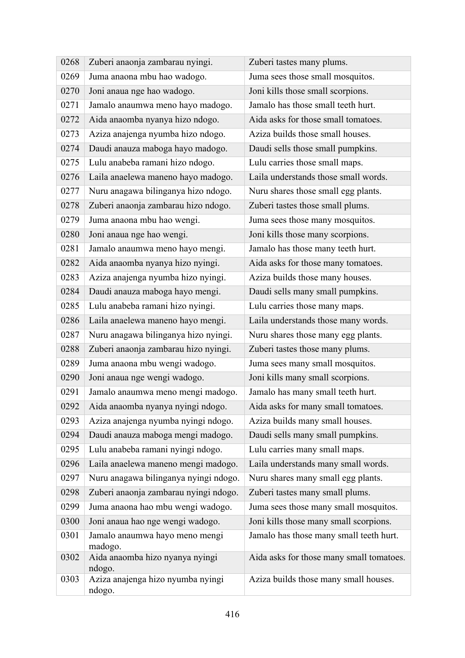| 0268 | Zuberi anaonja zambarau nyingi.             | Zuberi tastes many plums.                |
|------|---------------------------------------------|------------------------------------------|
| 0269 | Juma anaona mbu hao wadogo.                 | Juma sees those small mosquitos.         |
| 0270 | Joni anaua nge hao wadogo.                  | Joni kills those small scorpions.        |
| 0271 | Jamalo anaumwa meno hayo madogo.            | Jamalo has those small teeth hurt.       |
| 0272 | Aida anaomba nyanya hizo ndogo.             | Aida asks for those small tomatoes.      |
| 0273 | Aziza anajenga nyumba hizo ndogo.           | Aziza builds those small houses.         |
| 0274 | Daudi anauza maboga hayo madogo.            | Daudi sells those small pumpkins.        |
| 0275 | Lulu anabeba ramani hizo ndogo.             | Lulu carries those small maps.           |
| 0276 | Laila anaelewa maneno hayo madogo.          | Laila understands those small words.     |
| 0277 | Nuru anagawa bilinganya hizo ndogo.         | Nuru shares those small egg plants.      |
| 0278 | Zuberi anaonja zambarau hizo ndogo.         | Zuberi tastes those small plums.         |
| 0279 | Juma anaona mbu hao wengi.                  | Juma sees those many mosquitos.          |
| 0280 | Joni anaua nge hao wengi.                   | Joni kills those many scorpions.         |
| 0281 | Jamalo anaumwa meno hayo mengi.             | Jamalo has those many teeth hurt.        |
| 0282 | Aida anaomba nyanya hizo nyingi.            | Aida asks for those many tomatoes.       |
| 0283 | Aziza anajenga nyumba hizo nyingi.          | Aziza builds those many houses.          |
| 0284 | Daudi anauza maboga hayo mengi.             | Daudi sells many small pumpkins.         |
| 0285 | Lulu anabeba ramani hizo nyingi.            | Lulu carries those many maps.            |
| 0286 | Laila anaelewa maneno hayo mengi.           | Laila understands those many words.      |
| 0287 | Nuru anagawa bilinganya hizo nyingi.        | Nuru shares those many egg plants.       |
| 0288 | Zuberi anaonja zambarau hizo nyingi.        | Zuberi tastes those many plums.          |
| 0289 | Juma anaona mbu wengi wadogo.               | Juma sees many small mosquitos.          |
| 0290 | Joni anaua nge wengi wadogo.                | Joni kills many small scorpions.         |
| 0291 | Jamalo anaumwa meno mengi madogo.           | Jamalo has many small teeth hurt.        |
| 0292 | Aida anaomba nyanya nyingi ndogo.           | Aida asks for many small tomatoes.       |
| 0293 | Aziza anajenga nyumba nyingi ndogo.         | Aziza builds many small houses.          |
| 0294 | Daudi anauza maboga mengi madogo.           | Daudi sells many small pumpkins.         |
| 0295 | Lulu anabeba ramani nyingi ndogo.           | Lulu carries many small maps.            |
| 0296 | Laila anaelewa maneno mengi madogo.         | Laila understands many small words.      |
| 0297 | Nuru anagawa bilinganya nyingi ndogo.       | Nuru shares many small egg plants.       |
| 0298 | Zuberi anaonja zambarau nyingi ndogo.       | Zuberi tastes many small plums.          |
| 0299 | Juma anaona hao mbu wengi wadogo.           | Juma sees those many small mosquitos.    |
| 0300 | Joni anaua hao nge wengi wadogo.            | Joni kills those many small scorpions.   |
| 0301 | Jamalo anaumwa hayo meno mengi<br>madogo.   | Jamalo has those many small teeth hurt.  |
| 0302 | Aida anaomba hizo nyanya nyingi<br>ndogo.   | Aida asks for those many small tomatoes. |
| 0303 | Aziza anajenga hizo nyumba nyingi<br>ndogo. | Aziza builds those many small houses.    |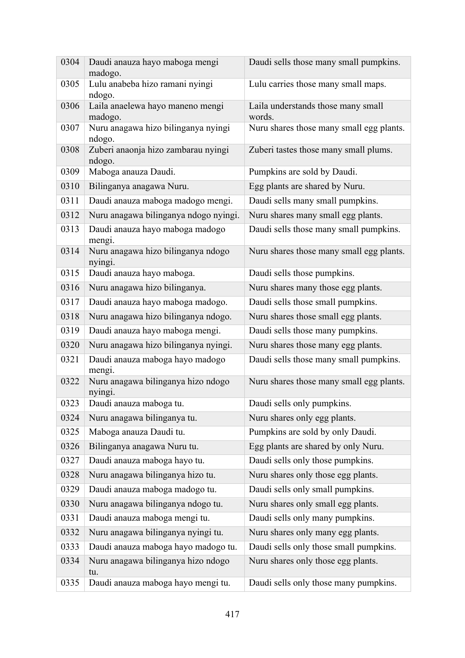| 0304 | Daudi anauza hayo maboga mengi<br>madogo.     | Daudi sells those many small pumpkins.       |
|------|-----------------------------------------------|----------------------------------------------|
| 0305 | Lulu anabeba hizo ramani nyingi<br>ndogo.     | Lulu carries those many small maps.          |
| 0306 | Laila anaelewa hayo maneno mengi<br>madogo.   | Laila understands those many small<br>words. |
| 0307 | Nuru anagawa hizo bilinganya nyingi<br>ndogo. | Nuru shares those many small egg plants.     |
| 0308 | Zuberi anaonja hizo zambarau nyingi<br>ndogo. | Zuberi tastes those many small plums.        |
| 0309 | Maboga anauza Daudi.                          | Pumpkins are sold by Daudi.                  |
| 0310 | Bilinganya anagawa Nuru.                      | Egg plants are shared by Nuru.               |
| 0311 | Daudi anauza maboga madogo mengi.             | Daudi sells many small pumpkins.             |
| 0312 | Nuru anagawa bilinganya ndogo nyingi.         | Nuru shares many small egg plants.           |
| 0313 | Daudi anauza hayo maboga madogo<br>mengi.     | Daudi sells those many small pumpkins.       |
| 0314 | Nuru anagawa hizo bilinganya ndogo<br>nyingi. | Nuru shares those many small egg plants.     |
| 0315 | Daudi anauza hayo maboga.                     | Daudi sells those pumpkins.                  |
| 0316 | Nuru anagawa hizo bilinganya.                 | Nuru shares many those egg plants.           |
| 0317 | Daudi anauza hayo maboga madogo.              | Daudi sells those small pumpkins.            |
| 0318 | Nuru anagawa hizo bilinganya ndogo.           | Nuru shares those small egg plants.          |
| 0319 | Daudi anauza hayo maboga mengi.               | Daudi sells those many pumpkins.             |
| 0320 | Nuru anagawa hizo bilinganya nyingi.          | Nuru shares those many egg plants.           |
| 0321 | Daudi anauza maboga hayo madogo<br>mengi.     | Daudi sells those many small pumpkins.       |
| 0322 | Nuru anagawa bilinganya hizo ndogo<br>nyingi. | Nuru shares those many small egg plants.     |
| 0323 | Daudi anauza maboga tu.                       | Daudi sells only pumpkins.                   |
| 0324 | Nuru anagawa bilinganya tu.                   | Nuru shares only egg plants.                 |
| 0325 | Maboga anauza Daudi tu.                       | Pumpkins are sold by only Daudi.             |
| 0326 | Bilinganya anagawa Nuru tu.                   | Egg plants are shared by only Nuru.          |
| 0327 | Daudi anauza maboga hayo tu.                  | Daudi sells only those pumpkins.             |
| 0328 | Nuru anagawa bilinganya hizo tu.              | Nuru shares only those egg plants.           |
| 0329 | Daudi anauza maboga madogo tu.                | Daudi sells only small pumpkins.             |
| 0330 | Nuru anagawa bilinganya ndogo tu.             | Nuru shares only small egg plants.           |
| 0331 | Daudi anauza maboga mengi tu.                 | Daudi sells only many pumpkins.              |
| 0332 | Nuru anagawa bilinganya nyingi tu.            | Nuru shares only many egg plants.            |
| 0333 | Daudi anauza maboga hayo madogo tu.           | Daudi sells only those small pumpkins.       |
| 0334 | Nuru anagawa bilinganya hizo ndogo<br>tu.     | Nuru shares only those egg plants.           |
| 0335 | Daudi anauza maboga hayo mengi tu.            | Daudi sells only those many pumpkins.        |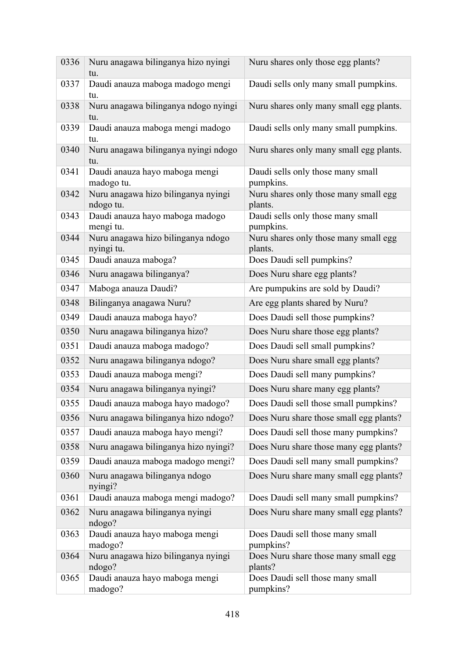| 0336 | Nuru anagawa bilinganya hizo nyingi<br>tu.       | Nuru shares only those egg plants?               |
|------|--------------------------------------------------|--------------------------------------------------|
| 0337 | Daudi anauza maboga madogo mengi<br>tu.          | Daudi sells only many small pumpkins.            |
| 0338 | Nuru anagawa bilinganya ndogo nyingi<br>tu.      | Nuru shares only many small egg plants.          |
| 0339 | Daudi anauza maboga mengi madogo<br>tu.          | Daudi sells only many small pumpkins.            |
| 0340 | Nuru anagawa bilinganya nyingi ndogo<br>tu.      | Nuru shares only many small egg plants.          |
| 0341 | Daudi anauza hayo maboga mengi<br>madogo tu.     | Daudi sells only those many small<br>pumpkins.   |
| 0342 | Nuru anagawa hizo bilinganya nyingi<br>ndogo tu. | Nuru shares only those many small egg<br>plants. |
| 0343 | Daudi anauza hayo maboga madogo<br>mengi tu.     | Daudi sells only those many small<br>pumpkins.   |
| 0344 | Nuru anagawa hizo bilinganya ndogo<br>nyingi tu. | Nuru shares only those many small egg<br>plants. |
| 0345 | Daudi anauza maboga?                             | Does Daudi sell pumpkins?                        |
| 0346 | Nuru anagawa bilinganya?                         | Does Nuru share egg plants?                      |
| 0347 | Maboga anauza Daudi?                             | Are pumpukins are sold by Daudi?                 |
| 0348 | Bilinganya anagawa Nuru?                         | Are egg plants shared by Nuru?                   |
| 0349 | Daudi anauza maboga hayo?                        | Does Daudi sell those pumpkins?                  |
| 0350 | Nuru anagawa bilinganya hizo?                    | Does Nuru share those egg plants?                |
| 0351 | Daudi anauza maboga madogo?                      | Does Daudi sell small pumpkins?                  |
| 0352 | Nuru anagawa bilinganya ndogo?                   | Does Nuru share small egg plants?                |
| 0353 | Daudi anauza maboga mengi?                       | Does Daudi sell many pumpkins?                   |
| 0354 | Nuru anagawa bilinganya nyingi?                  | Does Nuru share many egg plants?                 |
| 0355 | Daudi anauza maboga hayo madogo?                 | Does Daudi sell those small pumpkins?            |
| 0356 | Nuru anagawa bilinganya hizo ndogo?              | Does Nuru share those small egg plants?          |
| 0357 | Daudi anauza maboga hayo mengi?                  | Does Daudi sell those many pumpkins?             |
| 0358 | Nuru anagawa bilinganya hizo nyingi?             | Does Nuru share those many egg plants?           |
| 0359 | Daudi anauza maboga madogo mengi?                | Does Daudi sell many small pumpkins?             |
| 0360 | Nuru anagawa bilinganya ndogo<br>nyingi?         | Does Nuru share many small egg plants?           |
| 0361 | Daudi anauza maboga mengi madogo?                | Does Daudi sell many small pumpkins?             |
| 0362 | Nuru anagawa bilinganya nyingi<br>ndogo?         | Does Nuru share many small egg plants?           |
| 0363 | Daudi anauza hayo maboga mengi<br>madogo?        | Does Daudi sell those many small<br>pumpkins?    |
| 0364 | Nuru anagawa hizo bilinganya nyingi<br>ndogo?    | Does Nuru share those many small egg<br>plants?  |
| 0365 | Daudi anauza hayo maboga mengi<br>madogo?        | Does Daudi sell those many small<br>pumpkins?    |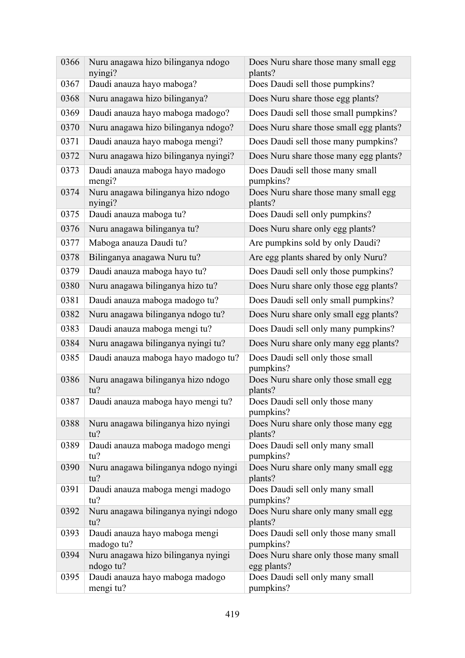| 0366 | Nuru anagawa hizo bilinganya ndogo<br>nyingi?    | Does Nuru share those many small egg<br>plants?      |
|------|--------------------------------------------------|------------------------------------------------------|
| 0367 | Daudi anauza hayo maboga?                        | Does Daudi sell those pumpkins?                      |
| 0368 | Nuru anagawa hizo bilinganya?                    | Does Nuru share those egg plants?                    |
| 0369 | Daudi anauza hayo maboga madogo?                 | Does Daudi sell those small pumpkins?                |
| 0370 | Nuru anagawa hizo bilinganya ndogo?              | Does Nuru share those small egg plants?              |
| 0371 | Daudi anauza hayo maboga mengi?                  | Does Daudi sell those many pumpkins?                 |
| 0372 | Nuru anagawa hizo bilinganya nyingi?             | Does Nuru share those many egg plants?               |
| 0373 | Daudi anauza maboga hayo madogo<br>mengi?        | Does Daudi sell those many small<br>pumpkins?        |
| 0374 | Nuru anagawa bilinganya hizo ndogo<br>nyingi?    | Does Nuru share those many small egg<br>plants?      |
| 0375 | Daudi anauza maboga tu?                          | Does Daudi sell only pumpkins?                       |
| 0376 | Nuru anagawa bilinganya tu?                      | Does Nuru share only egg plants?                     |
| 0377 | Maboga anauza Daudi tu?                          | Are pumpkins sold by only Daudi?                     |
| 0378 | Bilinganya anagawa Nuru tu?                      | Are egg plants shared by only Nuru?                  |
| 0379 | Daudi anauza maboga hayo tu?                     | Does Daudi sell only those pumpkins?                 |
| 0380 | Nuru anagawa bilinganya hizo tu?                 | Does Nuru share only those egg plants?               |
| 0381 | Daudi anauza maboga madogo tu?                   | Does Daudi sell only small pumpkins?                 |
| 0382 | Nuru anagawa bilinganya ndogo tu?                | Does Nuru share only small egg plants?               |
| 0383 | Daudi anauza maboga mengi tu?                    | Does Daudi sell only many pumpkins?                  |
| 0384 | Nuru anagawa bilinganya nyingi tu?               | Does Nuru share only many egg plants?                |
| 0385 | Daudi anauza maboga hayo madogo tu?              | Does Daudi sell only those small<br>pumpkins?        |
| 0386 | Nuru anagawa bilinganya hizo ndogo<br>tu?        | Does Nuru share only those small egg<br>plants?      |
| 0387 | Daudi anauza maboga hayo mengi tu?               | Does Daudi sell only those many<br>pumpkins?         |
| 0388 | Nuru anagawa bilinganya hizo nyingi<br>tu?       | Does Nuru share only those many egg<br>plants?       |
| 0389 | Daudi anauza maboga madogo mengi<br>tu?          | Does Daudi sell only many small<br>pumpkins?         |
| 0390 | Nuru anagawa bilinganya ndogo nyingi<br>tu?      | Does Nuru share only many small egg<br>plants?       |
| 0391 | Daudi anauza maboga mengi madogo<br>tu?          | Does Daudi sell only many small<br>pumpkins?         |
| 0392 | Nuru anagawa bilinganya nyingi ndogo<br>tu?      | Does Nuru share only many small egg<br>plants?       |
| 0393 | Daudi anauza hayo maboga mengi<br>madogo tu?     | Does Daudi sell only those many small<br>pumpkins?   |
| 0394 | Nuru anagawa hizo bilinganya nyingi<br>ndogo tu? | Does Nuru share only those many small<br>egg plants? |
| 0395 | Daudi anauza hayo maboga madogo<br>mengi tu?     | Does Daudi sell only many small<br>pumpkins?         |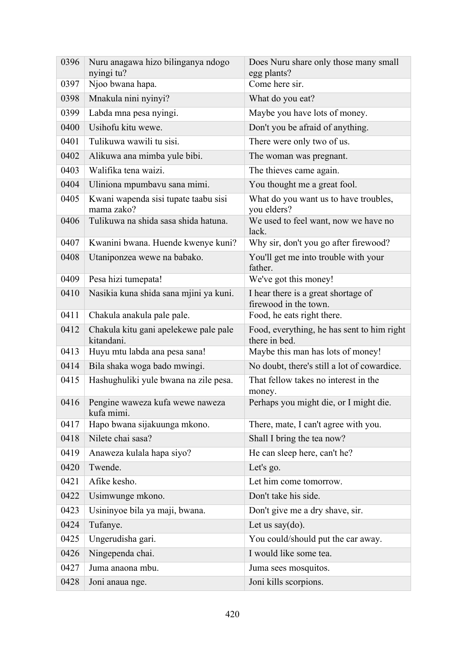| 0396 | Nuru anagawa hizo bilinganya ndogo<br>nyingi tu?    | Does Nuru share only those many small<br>egg plants?         |
|------|-----------------------------------------------------|--------------------------------------------------------------|
| 0397 | Njoo bwana hapa.                                    | Come here sir.                                               |
| 0398 | Mnakula nini nyinyi?                                | What do you eat?                                             |
| 0399 | Labda mna pesa nyingi.                              | Maybe you have lots of money.                                |
| 0400 | Usihofu kitu wewe.                                  | Don't you be afraid of anything.                             |
| 0401 | Tulikuwa wawili tu sisi.                            | There were only two of us.                                   |
| 0402 | Alikuwa ana mimba yule bibi.                        | The woman was pregnant.                                      |
| 0403 | Walifika tena waizi.                                | The thieves came again.                                      |
| 0404 | Uliniona mpumbavu sana mimi.                        | You thought me a great fool.                                 |
| 0405 | Kwani wapenda sisi tupate taabu sisi<br>mama zako?  | What do you want us to have troubles,<br>you elders?         |
| 0406 | Tulikuwa na shida sasa shida hatuna.                | We used to feel want, now we have no<br>lack.                |
| 0407 | Kwanini bwana. Huende kwenye kuni?                  | Why sir, don't you go after firewood?                        |
| 0408 | Utaniponzea wewe na babako.                         | You'll get me into trouble with your<br>father.              |
| 0409 | Pesa hizi tumepata!                                 | We've got this money!                                        |
| 0410 | Nasikia kuna shida sana mjini ya kuni.              | I hear there is a great shortage of<br>firewood in the town. |
| 0411 | Chakula anakula pale pale.                          | Food, he eats right there.                                   |
| 0412 | Chakula kitu gani apelekewe pale pale<br>kitandani. | Food, everything, he has sent to him right<br>there in bed.  |
| 0413 | Huyu mtu labda ana pesa sana!                       | Maybe this man has lots of money!                            |
| 0414 | Bila shaka woga bado mwingi.                        | No doubt, there's still a lot of cowardice.                  |
| 0415 | Hashughuliki yule bwana na zile pesa.               | That fellow takes no interest in the<br>money.               |
| 0416 | Pengine waweza kufa wewe naweza<br>kufa mimi.       | Perhaps you might die, or I might die.                       |
| 0417 | Hapo bwana sijakuunga mkono.                        | There, mate, I can't agree with you.                         |
| 0418 | Nilete chai sasa?                                   | Shall I bring the tea now?                                   |
| 0419 | Anaweza kulala hapa siyo?                           | He can sleep here, can't he?                                 |
| 0420 | Twende.                                             | Let's go.                                                    |
| 0421 | Afike kesho.                                        | Let him come tomorrow.                                       |
| 0422 | Usimwunge mkono.                                    | Don't take his side.                                         |
| 0423 | Usininyoe bila ya maji, bwana.                      | Don't give me a dry shave, sir.                              |
| 0424 | Tufanye.                                            | Let us say $(do)$ .                                          |
| 0425 | Ungerudisha gari.                                   | You could/should put the car away.                           |
| 0426 | Ningependa chai.                                    | I would like some tea.                                       |
| 0427 | Juma anaona mbu.                                    | Juma sees mosquitos.                                         |
| 0428 | Joni anaua nge.                                     | Joni kills scorpions.                                        |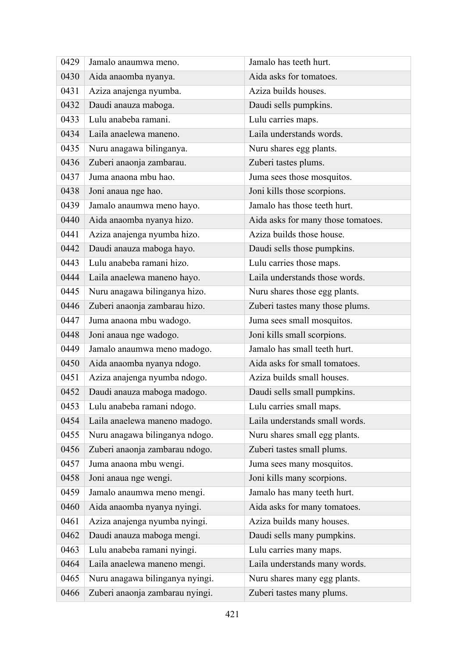| 0429 | Jamalo anaumwa meno.            | Jamalo has teeth hurt.             |
|------|---------------------------------|------------------------------------|
| 0430 | Aida anaomba nyanya.            | Aida asks for tomatoes.            |
| 0431 | Aziza anajenga nyumba.          | Aziza builds houses.               |
| 0432 | Daudi anauza maboga.            | Daudi sells pumpkins.              |
| 0433 | Lulu anabeba ramani.            | Lulu carries maps.                 |
| 0434 | Laila anaelewa maneno.          | Laila understands words.           |
| 0435 | Nuru anagawa bilinganya.        | Nuru shares egg plants.            |
| 0436 | Zuberi anaonja zambarau.        | Zuberi tastes plums.               |
| 0437 | Juma anaona mbu hao.            | Juma sees those mosquitos.         |
| 0438 | Joni anaua nge hao.             | Joni kills those scorpions.        |
| 0439 | Jamalo anaumwa meno hayo.       | Jamalo has those teeth hurt.       |
| 0440 | Aida anaomba nyanya hizo.       | Aida asks for many those tomatoes. |
| 0441 | Aziza anajenga nyumba hizo.     | Aziza builds those house.          |
| 0442 | Daudi anauza maboga hayo.       | Daudi sells those pumpkins.        |
| 0443 | Lulu anabeba ramani hizo.       | Lulu carries those maps.           |
| 0444 | Laila anaelewa maneno hayo.     | Laila understands those words.     |
| 0445 | Nuru anagawa bilinganya hizo.   | Nuru shares those egg plants.      |
| 0446 | Zuberi anaonja zambarau hizo.   | Zuberi tastes many those plums.    |
| 0447 | Juma anaona mbu wadogo.         | Juma sees small mosquitos.         |
| 0448 | Joni anaua nge wadogo.          | Joni kills small scorpions.        |
| 0449 | Jamalo anaumwa meno madogo.     | Jamalo has small teeth hurt.       |
| 0450 | Aida anaomba nyanya ndogo.      | Aida asks for small tomatoes.      |
| 0451 | Aziza anajenga nyumba ndogo.    | Aziza builds small houses.         |
| 0452 | Daudi anauza maboga madogo.     | Daudi sells small pumpkins.        |
| 0453 | Lulu anabeba ramani ndogo.      | Lulu carries small maps.           |
| 0454 | Laila anaelewa maneno madogo.   | Laila understands small words.     |
| 0455 | Nuru anagawa bilinganya ndogo.  | Nuru shares small egg plants.      |
| 0456 | Zuberi anaonja zambarau ndogo.  | Zuberi tastes small plums.         |
| 0457 | Juma anaona mbu wengi.          | Juma sees many mosquitos.          |
| 0458 | Joni anaua nge wengi.           | Joni kills many scorpions.         |
| 0459 | Jamalo anaumwa meno mengi.      | Jamalo has many teeth hurt.        |
| 0460 | Aida anaomba nyanya nyingi.     | Aida asks for many tomatoes.       |
| 0461 | Aziza anajenga nyumba nyingi.   | Aziza builds many houses.          |
| 0462 | Daudi anauza maboga mengi.      | Daudi sells many pumpkins.         |
| 0463 | Lulu anabeba ramani nyingi.     | Lulu carries many maps.            |
| 0464 | Laila anaelewa maneno mengi.    | Laila understands many words.      |
| 0465 | Nuru anagawa bilinganya nyingi. | Nuru shares many egg plants.       |
| 0466 | Zuberi anaonja zambarau nyingi. | Zuberi tastes many plums.          |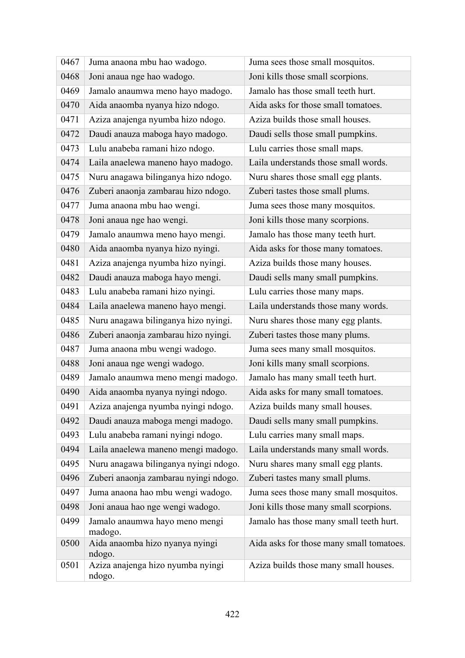| 0467 | Juma anaona mbu hao wadogo.                 | Juma sees those small mosquitos.         |
|------|---------------------------------------------|------------------------------------------|
| 0468 | Joni anaua nge hao wadogo.                  | Joni kills those small scorpions.        |
| 0469 | Jamalo anaumwa meno hayo madogo.            | Jamalo has those small teeth hurt.       |
| 0470 | Aida anaomba nyanya hizo ndogo.             | Aida asks for those small tomatoes.      |
| 0471 | Aziza anajenga nyumba hizo ndogo.           | Aziza builds those small houses.         |
| 0472 | Daudi anauza maboga hayo madogo.            | Daudi sells those small pumpkins.        |
| 0473 | Lulu anabeba ramani hizo ndogo.             | Lulu carries those small maps.           |
| 0474 | Laila anaelewa maneno hayo madogo.          | Laila understands those small words.     |
| 0475 | Nuru anagawa bilinganya hizo ndogo.         | Nuru shares those small egg plants.      |
| 0476 | Zuberi anaonja zambarau hizo ndogo.         | Zuberi tastes those small plums.         |
| 0477 | Juma anaona mbu hao wengi.                  | Juma sees those many mosquitos.          |
| 0478 | Joni anaua nge hao wengi.                   | Joni kills those many scorpions.         |
| 0479 | Jamalo anaumwa meno hayo mengi.             | Jamalo has those many teeth hurt.        |
| 0480 | Aida anaomba nyanya hizo nyingi.            | Aida asks for those many tomatoes.       |
| 0481 | Aziza anajenga nyumba hizo nyingi.          | Aziza builds those many houses.          |
| 0482 | Daudi anauza maboga hayo mengi.             | Daudi sells many small pumpkins.         |
| 0483 | Lulu anabeba ramani hizo nyingi.            | Lulu carries those many maps.            |
| 0484 | Laila anaelewa maneno hayo mengi.           | Laila understands those many words.      |
| 0485 | Nuru anagawa bilinganya hizo nyingi.        | Nuru shares those many egg plants.       |
| 0486 | Zuberi anaonja zambarau hizo nyingi.        | Zuberi tastes those many plums.          |
| 0487 | Juma anaona mbu wengi wadogo.               | Juma sees many small mosquitos.          |
| 0488 | Joni anaua nge wengi wadogo.                | Joni kills many small scorpions.         |
| 0489 | Jamalo anaumwa meno mengi madogo.           | Jamalo has many small teeth hurt.        |
| 0490 | Aida anaomba nyanya nyingi ndogo.           | Aida asks for many small tomatoes.       |
| 0491 | Aziza anajenga nyumba nyingi ndogo.         | Aziza builds many small houses.          |
| 0492 | Daudi anauza maboga mengi madogo.           | Daudi sells many small pumpkins.         |
| 0493 | Lulu anabeba ramani nyingi ndogo.           | Lulu carries many small maps.            |
| 0494 | Laila anaelewa maneno mengi madogo.         | Laila understands many small words.      |
| 0495 | Nuru anagawa bilinganya nyingi ndogo.       | Nuru shares many small egg plants.       |
| 0496 | Zuberi anaonja zambarau nyingi ndogo.       | Zuberi tastes many small plums.          |
| 0497 | Juma anaona hao mbu wengi wadogo.           | Juma sees those many small mosquitos.    |
| 0498 | Joni anaua hao nge wengi wadogo.            | Joni kills those many small scorpions.   |
| 0499 | Jamalo anaumwa hayo meno mengi<br>madogo.   | Jamalo has those many small teeth hurt.  |
| 0500 | Aida anaomba hizo nyanya nyingi<br>ndogo.   | Aida asks for those many small tomatoes. |
| 0501 | Aziza anajenga hizo nyumba nyingi<br>ndogo. | Aziza builds those many small houses.    |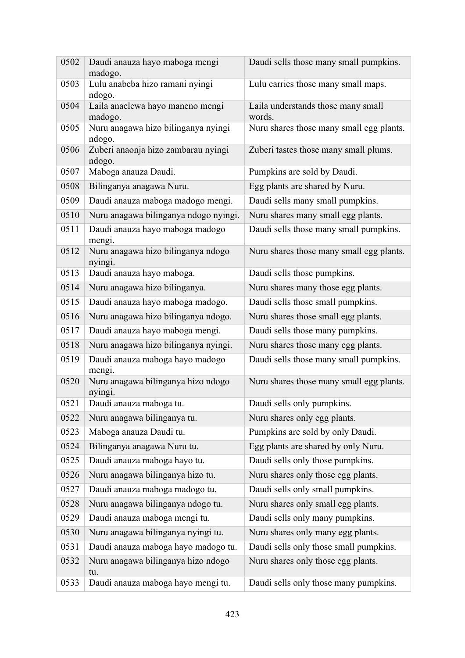| 0502 | Daudi anauza hayo maboga mengi<br>madogo.     | Daudi sells those many small pumpkins.       |
|------|-----------------------------------------------|----------------------------------------------|
| 0503 | Lulu anabeba hizo ramani nyingi<br>ndogo.     | Lulu carries those many small maps.          |
| 0504 | Laila anaelewa hayo maneno mengi<br>madogo.   | Laila understands those many small<br>words. |
| 0505 | Nuru anagawa hizo bilinganya nyingi<br>ndogo. | Nuru shares those many small egg plants.     |
| 0506 | Zuberi anaonja hizo zambarau nyingi<br>ndogo. | Zuberi tastes those many small plums.        |
| 0507 | Maboga anauza Daudi.                          | Pumpkins are sold by Daudi.                  |
| 0508 | Bilinganya anagawa Nuru.                      | Egg plants are shared by Nuru.               |
| 0509 | Daudi anauza maboga madogo mengi.             | Daudi sells many small pumpkins.             |
| 0510 | Nuru anagawa bilinganya ndogo nyingi.         | Nuru shares many small egg plants.           |
| 0511 | Daudi anauza hayo maboga madogo<br>mengi.     | Daudi sells those many small pumpkins.       |
| 0512 | Nuru anagawa hizo bilinganya ndogo<br>nyingi. | Nuru shares those many small egg plants.     |
| 0513 | Daudi anauza hayo maboga.                     | Daudi sells those pumpkins.                  |
| 0514 | Nuru anagawa hizo bilinganya.                 | Nuru shares many those egg plants.           |
| 0515 | Daudi anauza hayo maboga madogo.              | Daudi sells those small pumpkins.            |
| 0516 | Nuru anagawa hizo bilinganya ndogo.           | Nuru shares those small egg plants.          |
| 0517 | Daudi anauza hayo maboga mengi.               | Daudi sells those many pumpkins.             |
| 0518 | Nuru anagawa hizo bilinganya nyingi.          | Nuru shares those many egg plants.           |
| 0519 | Daudi anauza maboga hayo madogo<br>mengi.     | Daudi sells those many small pumpkins.       |
| 0520 | Nuru anagawa bilinganya hizo ndogo<br>nyingi. | Nuru shares those many small egg plants.     |
| 0521 | Daudi anauza maboga tu.                       | Daudi sells only pumpkins.                   |
| 0522 | Nuru anagawa bilinganya tu.                   | Nuru shares only egg plants.                 |
| 0523 | Maboga anauza Daudi tu.                       | Pumpkins are sold by only Daudi.             |
| 0524 | Bilinganya anagawa Nuru tu.                   | Egg plants are shared by only Nuru.          |
| 0525 | Daudi anauza maboga hayo tu.                  | Daudi sells only those pumpkins.             |
| 0526 | Nuru anagawa bilinganya hizo tu.              | Nuru shares only those egg plants.           |
| 0527 | Daudi anauza maboga madogo tu.                | Daudi sells only small pumpkins.             |
| 0528 | Nuru anagawa bilinganya ndogo tu.             | Nuru shares only small egg plants.           |
| 0529 | Daudi anauza maboga mengi tu.                 | Daudi sells only many pumpkins.              |
| 0530 | Nuru anagawa bilinganya nyingi tu.            | Nuru shares only many egg plants.            |
| 0531 | Daudi anauza maboga hayo madogo tu.           | Daudi sells only those small pumpkins.       |
| 0532 | Nuru anagawa bilinganya hizo ndogo<br>tu.     | Nuru shares only those egg plants.           |
| 0533 | Daudi anauza maboga hayo mengi tu.            | Daudi sells only those many pumpkins.        |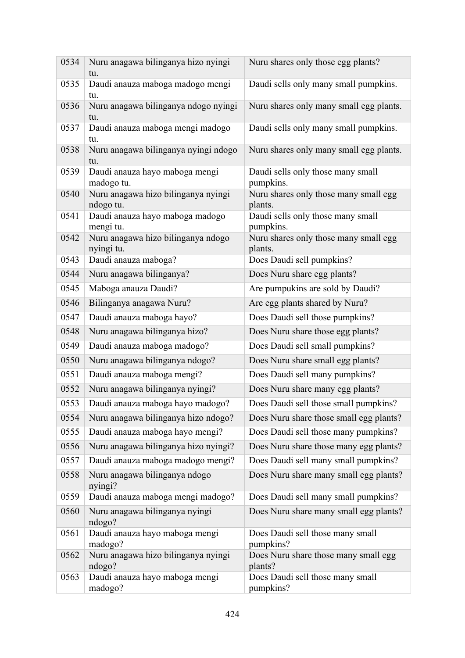| 0534 | Nuru anagawa bilinganya hizo nyingi<br>tu.       | Nuru shares only those egg plants?               |
|------|--------------------------------------------------|--------------------------------------------------|
| 0535 | Daudi anauza maboga madogo mengi<br>tu.          | Daudi sells only many small pumpkins.            |
| 0536 | Nuru anagawa bilinganya ndogo nyingi<br>tu.      | Nuru shares only many small egg plants.          |
| 0537 | Daudi anauza maboga mengi madogo<br>tu.          | Daudi sells only many small pumpkins.            |
| 0538 | Nuru anagawa bilinganya nyingi ndogo<br>tu.      | Nuru shares only many small egg plants.          |
| 0539 | Daudi anauza hayo maboga mengi<br>madogo tu.     | Daudi sells only those many small<br>pumpkins.   |
| 0540 | Nuru anagawa hizo bilinganya nyingi<br>ndogo tu. | Nuru shares only those many small egg<br>plants. |
| 0541 | Daudi anauza hayo maboga madogo<br>mengi tu.     | Daudi sells only those many small<br>pumpkins.   |
| 0542 | Nuru anagawa hizo bilinganya ndogo<br>nyingi tu. | Nuru shares only those many small egg<br>plants. |
| 0543 | Daudi anauza maboga?                             | Does Daudi sell pumpkins?                        |
| 0544 | Nuru anagawa bilinganya?                         | Does Nuru share egg plants?                      |
| 0545 | Maboga anauza Daudi?                             | Are pumpukins are sold by Daudi?                 |
| 0546 | Bilinganya anagawa Nuru?                         | Are egg plants shared by Nuru?                   |
| 0547 | Daudi anauza maboga hayo?                        | Does Daudi sell those pumpkins?                  |
| 0548 | Nuru anagawa bilinganya hizo?                    | Does Nuru share those egg plants?                |
| 0549 | Daudi anauza maboga madogo?                      | Does Daudi sell small pumpkins?                  |
| 0550 | Nuru anagawa bilinganya ndogo?                   | Does Nuru share small egg plants?                |
| 0551 | Daudi anauza maboga mengi?                       | Does Daudi sell many pumpkins?                   |
| 0552 | Nuru anagawa bilinganya nyingi?                  | Does Nuru share many egg plants?                 |
| 0553 | Daudi anauza maboga hayo madogo?                 | Does Daudi sell those small pumpkins?            |
| 0554 | Nuru anagawa bilinganya hizo ndogo?              | Does Nuru share those small egg plants?          |
| 0555 | Daudi anauza maboga hayo mengi?                  | Does Daudi sell those many pumpkins?             |
| 0556 | Nuru anagawa bilinganya hizo nyingi?             | Does Nuru share those many egg plants?           |
| 0557 | Daudi anauza maboga madogo mengi?                | Does Daudi sell many small pumpkins?             |
| 0558 | Nuru anagawa bilinganya ndogo<br>nyingi?         | Does Nuru share many small egg plants?           |
| 0559 | Daudi anauza maboga mengi madogo?                | Does Daudi sell many small pumpkins?             |
| 0560 | Nuru anagawa bilinganya nyingi<br>ndogo?         | Does Nuru share many small egg plants?           |
| 0561 | Daudi anauza hayo maboga mengi<br>madogo?        | Does Daudi sell those many small<br>pumpkins?    |
| 0562 | Nuru anagawa hizo bilinganya nyingi<br>ndogo?    | Does Nuru share those many small egg<br>plants?  |
| 0563 | Daudi anauza hayo maboga mengi<br>madogo?        | Does Daudi sell those many small<br>pumpkins?    |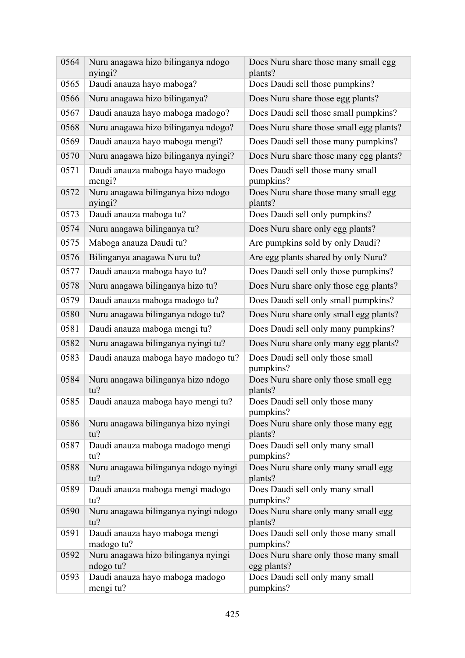| 0564 | Nuru anagawa hizo bilinganya ndogo<br>nyingi?    | Does Nuru share those many small egg<br>plants?      |
|------|--------------------------------------------------|------------------------------------------------------|
| 0565 | Daudi anauza hayo maboga?                        | Does Daudi sell those pumpkins?                      |
| 0566 | Nuru anagawa hizo bilinganya?                    | Does Nuru share those egg plants?                    |
| 0567 | Daudi anauza hayo maboga madogo?                 | Does Daudi sell those small pumpkins?                |
| 0568 | Nuru anagawa hizo bilinganya ndogo?              | Does Nuru share those small egg plants?              |
| 0569 | Daudi anauza hayo maboga mengi?                  | Does Daudi sell those many pumpkins?                 |
| 0570 | Nuru anagawa hizo bilinganya nyingi?             | Does Nuru share those many egg plants?               |
| 0571 | Daudi anauza maboga hayo madogo<br>mengi?        | Does Daudi sell those many small<br>pumpkins?        |
| 0572 | Nuru anagawa bilinganya hizo ndogo<br>nyingi?    | Does Nuru share those many small egg<br>plants?      |
| 0573 | Daudi anauza maboga tu?                          | Does Daudi sell only pumpkins?                       |
| 0574 | Nuru anagawa bilinganya tu?                      | Does Nuru share only egg plants?                     |
| 0575 | Maboga anauza Daudi tu?                          | Are pumpkins sold by only Daudi?                     |
| 0576 | Bilinganya anagawa Nuru tu?                      | Are egg plants shared by only Nuru?                  |
| 0577 | Daudi anauza maboga hayo tu?                     | Does Daudi sell only those pumpkins?                 |
| 0578 | Nuru anagawa bilinganya hizo tu?                 | Does Nuru share only those egg plants?               |
| 0579 | Daudi anauza maboga madogo tu?                   | Does Daudi sell only small pumpkins?                 |
| 0580 | Nuru anagawa bilinganya ndogo tu?                | Does Nuru share only small egg plants?               |
| 0581 | Daudi anauza maboga mengi tu?                    | Does Daudi sell only many pumpkins?                  |
| 0582 | Nuru anagawa bilinganya nyingi tu?               | Does Nuru share only many egg plants?                |
| 0583 | Daudi anauza maboga hayo madogo tu?              | Does Daudi sell only those small<br>pumpkins?        |
| 0584 | Nuru anagawa bilinganya hizo ndogo<br>tu?        | Does Nuru share only those small egg<br>plants?      |
| 0585 | Daudi anauza maboga hayo mengi tu?               | Does Daudi sell only those many<br>pumpkins?         |
| 0586 | Nuru anagawa bilinganya hizo nyingi<br>tu?       | Does Nuru share only those many egg<br>plants?       |
| 0587 | Daudi anauza maboga madogo mengi<br>tu?          | Does Daudi sell only many small<br>pumpkins?         |
| 0588 | Nuru anagawa bilinganya ndogo nyingi<br>tu?      | Does Nuru share only many small egg<br>plants?       |
| 0589 | Daudi anauza maboga mengi madogo<br>tu?          | Does Daudi sell only many small<br>pumpkins?         |
| 0590 | Nuru anagawa bilinganya nyingi ndogo<br>tu?      | Does Nuru share only many small egg<br>plants?       |
| 0591 | Daudi anauza hayo maboga mengi<br>madogo tu?     | Does Daudi sell only those many small<br>pumpkins?   |
| 0592 | Nuru anagawa hizo bilinganya nyingi<br>ndogo tu? | Does Nuru share only those many small<br>egg plants? |
| 0593 | Daudi anauza hayo maboga madogo<br>mengi tu?     | Does Daudi sell only many small<br>pumpkins?         |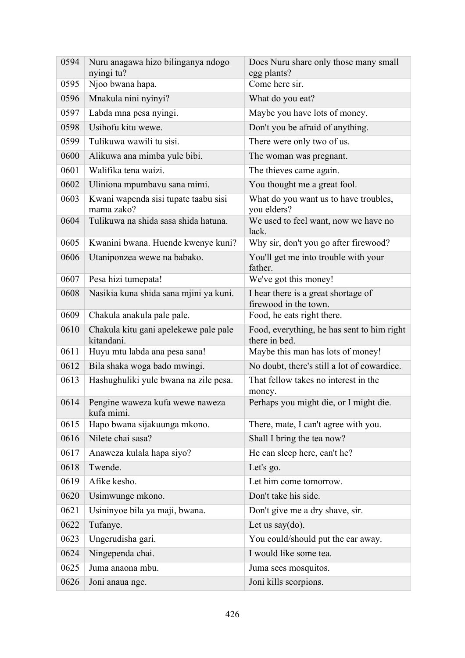| 0594 | Nuru anagawa hizo bilinganya ndogo<br>nyingi tu?    | Does Nuru share only those many small<br>egg plants?         |
|------|-----------------------------------------------------|--------------------------------------------------------------|
| 0595 | Njoo bwana hapa.                                    | Come here sir.                                               |
| 0596 | Mnakula nini nyinyi?                                | What do you eat?                                             |
| 0597 | Labda mna pesa nyingi.                              | Maybe you have lots of money.                                |
| 0598 | Usihofu kitu wewe.                                  | Don't you be afraid of anything.                             |
| 0599 | Tulikuwa wawili tu sisi.                            | There were only two of us.                                   |
| 0600 | Alikuwa ana mimba yule bibi.                        | The woman was pregnant.                                      |
| 0601 | Walifika tena waizi.                                | The thieves came again.                                      |
| 0602 | Uliniona mpumbavu sana mimi.                        | You thought me a great fool.                                 |
| 0603 | Kwani wapenda sisi tupate taabu sisi<br>mama zako?  | What do you want us to have troubles,<br>you elders?         |
| 0604 | Tulikuwa na shida sasa shida hatuna.                | We used to feel want, now we have no<br>lack.                |
| 0605 | Kwanini bwana. Huende kwenye kuni?                  | Why sir, don't you go after firewood?                        |
| 0606 | Utaniponzea wewe na babako.                         | You'll get me into trouble with your<br>father.              |
| 0607 | Pesa hizi tumepata!                                 | We've got this money!                                        |
| 0608 | Nasikia kuna shida sana mjini ya kuni.              | I hear there is a great shortage of<br>firewood in the town. |
| 0609 | Chakula anakula pale pale.                          | Food, he eats right there.                                   |
| 0610 | Chakula kitu gani apelekewe pale pale<br>kitandani. | Food, everything, he has sent to him right<br>there in bed.  |
| 0611 | Huyu mtu labda ana pesa sana!                       | Maybe this man has lots of money!                            |
| 0612 | Bila shaka woga bado mwingi.                        | No doubt, there's still a lot of cowardice.                  |
| 0613 | Hashughuliki yule bwana na zile pesa.               | That fellow takes no interest in the<br>money.               |
| 0614 | Pengine waweza kufa wewe naweza<br>kufa mimi.       | Perhaps you might die, or I might die.                       |
| 0615 | Hapo bwana sijakuunga mkono.                        | There, mate, I can't agree with you.                         |
| 0616 | Nilete chai sasa?                                   | Shall I bring the tea now?                                   |
| 0617 | Anaweza kulala hapa siyo?                           | He can sleep here, can't he?                                 |
| 0618 | Twende.                                             | Let's go.                                                    |
| 0619 | Afike kesho.                                        | Let him come tomorrow.                                       |
| 0620 | Usimwunge mkono.                                    | Don't take his side.                                         |
| 0621 | Usininyoe bila ya maji, bwana.                      | Don't give me a dry shave, sir.                              |
| 0622 | Tufanye.                                            | Let us say $(do)$ .                                          |
| 0623 | Ungerudisha gari.                                   | You could/should put the car away.                           |
| 0624 | Ningependa chai.                                    | I would like some tea.                                       |
| 0625 | Juma anaona mbu.                                    | Juma sees mosquitos.                                         |
| 0626 | Joni anaua nge.                                     | Joni kills scorpions.                                        |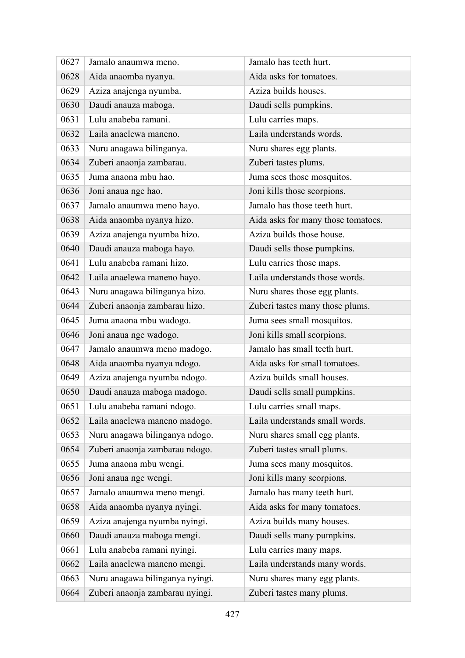| 0627 | Jamalo anaumwa meno.            | Jamalo has teeth hurt.             |
|------|---------------------------------|------------------------------------|
| 0628 | Aida anaomba nyanya.            | Aida asks for tomatoes.            |
| 0629 | Aziza anajenga nyumba.          | Aziza builds houses.               |
| 0630 | Daudi anauza maboga.            | Daudi sells pumpkins.              |
| 0631 | Lulu anabeba ramani.            | Lulu carries maps.                 |
| 0632 | Laila anaelewa maneno.          | Laila understands words.           |
| 0633 | Nuru anagawa bilinganya.        | Nuru shares egg plants.            |
| 0634 | Zuberi anaonja zambarau.        | Zuberi tastes plums.               |
| 0635 | Juma anaona mbu hao.            | Juma sees those mosquitos.         |
| 0636 | Joni anaua nge hao.             | Joni kills those scorpions.        |
| 0637 | Jamalo anaumwa meno hayo.       | Jamalo has those teeth hurt.       |
| 0638 | Aida anaomba nyanya hizo.       | Aida asks for many those tomatoes. |
| 0639 | Aziza anajenga nyumba hizo.     | Aziza builds those house.          |
| 0640 | Daudi anauza maboga hayo.       | Daudi sells those pumpkins.        |
| 0641 | Lulu anabeba ramani hizo.       | Lulu carries those maps.           |
| 0642 | Laila anaelewa maneno hayo.     | Laila understands those words.     |
| 0643 | Nuru anagawa bilinganya hizo.   | Nuru shares those egg plants.      |
| 0644 | Zuberi anaonja zambarau hizo.   | Zuberi tastes many those plums.    |
| 0645 | Juma anaona mbu wadogo.         | Juma sees small mosquitos.         |
| 0646 | Joni anaua nge wadogo.          | Joni kills small scorpions.        |
| 0647 | Jamalo anaumwa meno madogo.     | Jamalo has small teeth hurt.       |
| 0648 | Aida anaomba nyanya ndogo.      | Aida asks for small tomatoes.      |
| 0649 | Aziza anajenga nyumba ndogo.    | Aziza builds small houses.         |
| 0650 | Daudi anauza maboga madogo.     | Daudi sells small pumpkins.        |
| 0651 | Lulu anabeba ramani ndogo.      | Lulu carries small maps.           |
| 0652 | Laila anaelewa maneno madogo.   | Laila understands small words.     |
| 0653 | Nuru anagawa bilinganya ndogo.  | Nuru shares small egg plants.      |
| 0654 | Zuberi anaonja zambarau ndogo.  | Zuberi tastes small plums.         |
| 0655 | Juma anaona mbu wengi.          | Juma sees many mosquitos.          |
| 0656 | Joni anaua nge wengi.           | Joni kills many scorpions.         |
| 0657 | Jamalo anaumwa meno mengi.      | Jamalo has many teeth hurt.        |
| 0658 | Aida anaomba nyanya nyingi.     | Aida asks for many tomatoes.       |
| 0659 | Aziza anajenga nyumba nyingi.   | Aziza builds many houses.          |
| 0660 | Daudi anauza maboga mengi.      | Daudi sells many pumpkins.         |
| 0661 | Lulu anabeba ramani nyingi.     | Lulu carries many maps.            |
| 0662 | Laila anaelewa maneno mengi.    | Laila understands many words.      |
| 0663 | Nuru anagawa bilinganya nyingi. | Nuru shares many egg plants.       |
| 0664 | Zuberi anaonja zambarau nyingi. | Zuberi tastes many plums.          |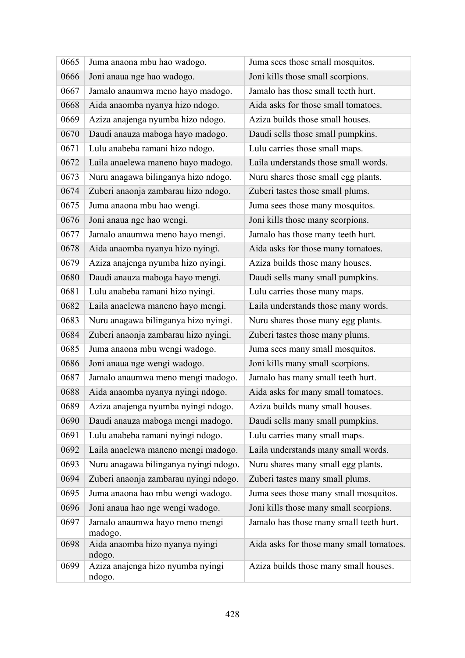| 0665 | Juma anaona mbu hao wadogo.                 | Juma sees those small mosquitos.         |
|------|---------------------------------------------|------------------------------------------|
| 0666 | Joni anaua nge hao wadogo.                  | Joni kills those small scorpions.        |
| 0667 | Jamalo anaumwa meno hayo madogo.            | Jamalo has those small teeth hurt.       |
| 0668 | Aida anaomba nyanya hizo ndogo.             | Aida asks for those small tomatoes.      |
| 0669 | Aziza anajenga nyumba hizo ndogo.           | Aziza builds those small houses.         |
| 0670 | Daudi anauza maboga hayo madogo.            | Daudi sells those small pumpkins.        |
| 0671 | Lulu anabeba ramani hizo ndogo.             | Lulu carries those small maps.           |
| 0672 | Laila anaelewa maneno hayo madogo.          | Laila understands those small words.     |
| 0673 | Nuru anagawa bilinganya hizo ndogo.         | Nuru shares those small egg plants.      |
| 0674 | Zuberi anaonja zambarau hizo ndogo.         | Zuberi tastes those small plums.         |
| 0675 | Juma anaona mbu hao wengi.                  | Juma sees those many mosquitos.          |
| 0676 | Joni anaua nge hao wengi.                   | Joni kills those many scorpions.         |
| 0677 | Jamalo anaumwa meno hayo mengi.             | Jamalo has those many teeth hurt.        |
| 0678 | Aida anaomba nyanya hizo nyingi.            | Aida asks for those many tomatoes.       |
| 0679 | Aziza anajenga nyumba hizo nyingi.          | Aziza builds those many houses.          |
| 0680 | Daudi anauza maboga hayo mengi.             | Daudi sells many small pumpkins.         |
| 0681 | Lulu anabeba ramani hizo nyingi.            | Lulu carries those many maps.            |
| 0682 | Laila anaelewa maneno hayo mengi.           | Laila understands those many words.      |
| 0683 | Nuru anagawa bilinganya hizo nyingi.        | Nuru shares those many egg plants.       |
| 0684 | Zuberi anaonja zambarau hizo nyingi.        | Zuberi tastes those many plums.          |
| 0685 | Juma anaona mbu wengi wadogo.               | Juma sees many small mosquitos.          |
| 0686 | Joni anaua nge wengi wadogo.                | Joni kills many small scorpions.         |
| 0687 | Jamalo anaumwa meno mengi madogo.           | Jamalo has many small teeth hurt.        |
| 0688 | Aida anaomba nyanya nyingi ndogo.           | Aida asks for many small tomatoes.       |
| 0689 | Aziza anajenga nyumba nyingi ndogo.         | Aziza builds many small houses.          |
| 0690 | Daudi anauza maboga mengi madogo.           | Daudi sells many small pumpkins.         |
| 0691 | Lulu anabeba ramani nyingi ndogo.           | Lulu carries many small maps.            |
| 0692 | Laila anaelewa maneno mengi madogo.         | Laila understands many small words.      |
| 0693 | Nuru anagawa bilinganya nyingi ndogo.       | Nuru shares many small egg plants.       |
| 0694 | Zuberi anaonja zambarau nyingi ndogo.       | Zuberi tastes many small plums.          |
| 0695 | Juma anaona hao mbu wengi wadogo.           | Juma sees those many small mosquitos.    |
| 0696 | Joni anaua hao nge wengi wadogo.            | Joni kills those many small scorpions.   |
| 0697 | Jamalo anaumwa hayo meno mengi<br>madogo.   | Jamalo has those many small teeth hurt.  |
| 0698 | Aida anaomba hizo nyanya nyingi<br>ndogo.   | Aida asks for those many small tomatoes. |
| 0699 | Aziza anajenga hizo nyumba nyingi<br>ndogo. | Aziza builds those many small houses.    |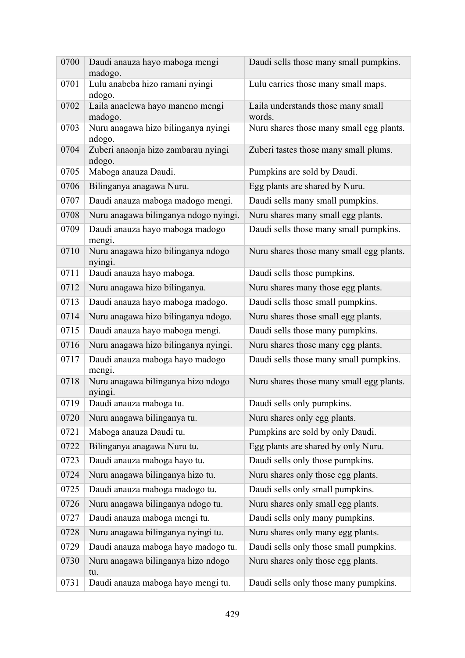| 0700 | Daudi anauza hayo maboga mengi<br>madogo.     | Daudi sells those many small pumpkins.       |
|------|-----------------------------------------------|----------------------------------------------|
| 0701 | Lulu anabeba hizo ramani nyingi<br>ndogo.     | Lulu carries those many small maps.          |
| 0702 | Laila anaelewa hayo maneno mengi<br>madogo.   | Laila understands those many small<br>words. |
| 0703 | Nuru anagawa hizo bilinganya nyingi<br>ndogo. | Nuru shares those many small egg plants.     |
| 0704 | Zuberi anaonja hizo zambarau nyingi<br>ndogo. | Zuberi tastes those many small plums.        |
| 0705 | Maboga anauza Daudi.                          | Pumpkins are sold by Daudi.                  |
| 0706 | Bilinganya anagawa Nuru.                      | Egg plants are shared by Nuru.               |
| 0707 | Daudi anauza maboga madogo mengi.             | Daudi sells many small pumpkins.             |
| 0708 | Nuru anagawa bilinganya ndogo nyingi.         | Nuru shares many small egg plants.           |
| 0709 | Daudi anauza hayo maboga madogo<br>mengi.     | Daudi sells those many small pumpkins.       |
| 0710 | Nuru anagawa hizo bilinganya ndogo<br>nyingi. | Nuru shares those many small egg plants.     |
| 0711 | Daudi anauza hayo maboga.                     | Daudi sells those pumpkins.                  |
| 0712 | Nuru anagawa hizo bilinganya.                 | Nuru shares many those egg plants.           |
| 0713 | Daudi anauza hayo maboga madogo.              | Daudi sells those small pumpkins.            |
| 0714 | Nuru anagawa hizo bilinganya ndogo.           | Nuru shares those small egg plants.          |
| 0715 | Daudi anauza hayo maboga mengi.               | Daudi sells those many pumpkins.             |
| 0716 | Nuru anagawa hizo bilinganya nyingi.          | Nuru shares those many egg plants.           |
| 0717 | Daudi anauza maboga hayo madogo<br>mengi.     | Daudi sells those many small pumpkins.       |
| 0718 | Nuru anagawa bilinganya hizo ndogo<br>nyingi. | Nuru shares those many small egg plants.     |
| 0719 | Daudi anauza maboga tu.                       | Daudi sells only pumpkins.                   |
| 0720 | Nuru anagawa bilinganya tu.                   | Nuru shares only egg plants.                 |
| 0721 | Maboga anauza Daudi tu.                       | Pumpkins are sold by only Daudi.             |
| 0722 | Bilinganya anagawa Nuru tu.                   | Egg plants are shared by only Nuru.          |
| 0723 | Daudi anauza maboga hayo tu.                  | Daudi sells only those pumpkins.             |
| 0724 | Nuru anagawa bilinganya hizo tu.              | Nuru shares only those egg plants.           |
| 0725 | Daudi anauza maboga madogo tu.                | Daudi sells only small pumpkins.             |
| 0726 | Nuru anagawa bilinganya ndogo tu.             | Nuru shares only small egg plants.           |
| 0727 | Daudi anauza maboga mengi tu.                 | Daudi sells only many pumpkins.              |
| 0728 | Nuru anagawa bilinganya nyingi tu.            | Nuru shares only many egg plants.            |
| 0729 | Daudi anauza maboga hayo madogo tu.           | Daudi sells only those small pumpkins.       |
| 0730 | Nuru anagawa bilinganya hizo ndogo<br>tu.     | Nuru shares only those egg plants.           |
| 0731 | Daudi anauza maboga hayo mengi tu.            | Daudi sells only those many pumpkins.        |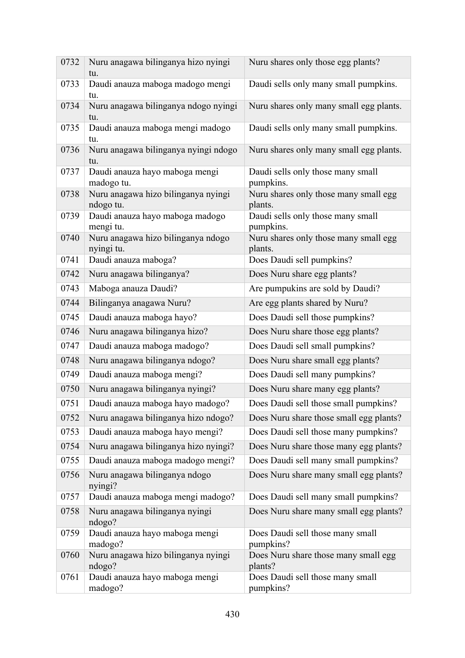| 0732 | Nuru anagawa bilinganya hizo nyingi<br>tu.       | Nuru shares only those egg plants?               |
|------|--------------------------------------------------|--------------------------------------------------|
| 0733 | Daudi anauza maboga madogo mengi<br>tu.          | Daudi sells only many small pumpkins.            |
| 0734 | Nuru anagawa bilinganya ndogo nyingi<br>tu.      | Nuru shares only many small egg plants.          |
| 0735 | Daudi anauza maboga mengi madogo<br>tu.          | Daudi sells only many small pumpkins.            |
| 0736 | Nuru anagawa bilinganya nyingi ndogo<br>tu.      | Nuru shares only many small egg plants.          |
| 0737 | Daudi anauza hayo maboga mengi<br>madogo tu.     | Daudi sells only those many small<br>pumpkins.   |
| 0738 | Nuru anagawa hizo bilinganya nyingi<br>ndogo tu. | Nuru shares only those many small egg<br>plants. |
| 0739 | Daudi anauza hayo maboga madogo<br>mengi tu.     | Daudi sells only those many small<br>pumpkins.   |
| 0740 | Nuru anagawa hizo bilinganya ndogo<br>nyingi tu. | Nuru shares only those many small egg<br>plants. |
| 0741 | Daudi anauza maboga?                             | Does Daudi sell pumpkins?                        |
| 0742 | Nuru anagawa bilinganya?                         | Does Nuru share egg plants?                      |
| 0743 | Maboga anauza Daudi?                             | Are pumpukins are sold by Daudi?                 |
| 0744 | Bilinganya anagawa Nuru?                         | Are egg plants shared by Nuru?                   |
| 0745 | Daudi anauza maboga hayo?                        | Does Daudi sell those pumpkins?                  |
| 0746 | Nuru anagawa bilinganya hizo?                    | Does Nuru share those egg plants?                |
| 0747 | Daudi anauza maboga madogo?                      | Does Daudi sell small pumpkins?                  |
| 0748 | Nuru anagawa bilinganya ndogo?                   | Does Nuru share small egg plants?                |
| 0749 | Daudi anauza maboga mengi?                       | Does Daudi sell many pumpkins?                   |
| 0750 | Nuru anagawa bilinganya nyingi?                  | Does Nuru share many egg plants?                 |
| 0751 | Daudi anauza maboga hayo madogo?                 | Does Daudi sell those small pumpkins?            |
| 0752 | Nuru anagawa bilinganya hizo ndogo?              | Does Nuru share those small egg plants?          |
| 0753 | Daudi anauza maboga hayo mengi?                  | Does Daudi sell those many pumpkins?             |
| 0754 | Nuru anagawa bilinganya hizo nyingi?             | Does Nuru share those many egg plants?           |
| 0755 | Daudi anauza maboga madogo mengi?                | Does Daudi sell many small pumpkins?             |
| 0756 | Nuru anagawa bilinganya ndogo<br>nyingi?         | Does Nuru share many small egg plants?           |
| 0757 | Daudi anauza maboga mengi madogo?                | Does Daudi sell many small pumpkins?             |
| 0758 | Nuru anagawa bilinganya nyingi<br>ndogo?         | Does Nuru share many small egg plants?           |
| 0759 | Daudi anauza hayo maboga mengi<br>madogo?        | Does Daudi sell those many small<br>pumpkins?    |
| 0760 | Nuru anagawa hizo bilinganya nyingi<br>ndogo?    | Does Nuru share those many small egg<br>plants?  |
| 0761 | Daudi anauza hayo maboga mengi<br>madogo?        | Does Daudi sell those many small<br>pumpkins?    |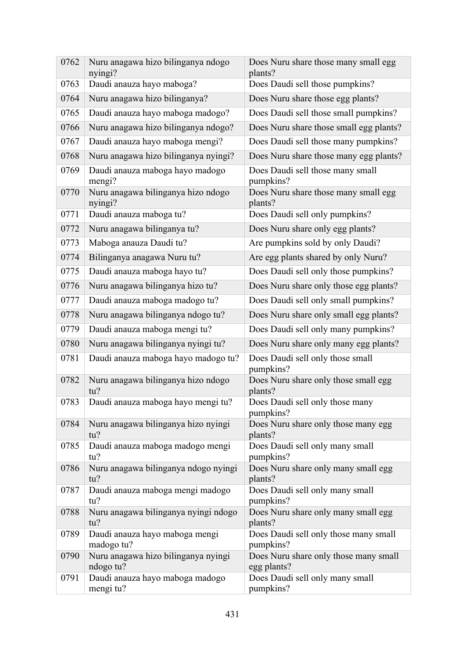| 0762 | Nuru anagawa hizo bilinganya ndogo<br>nyingi?    | Does Nuru share those many small egg<br>plants?      |
|------|--------------------------------------------------|------------------------------------------------------|
| 0763 | Daudi anauza hayo maboga?                        | Does Daudi sell those pumpkins?                      |
| 0764 | Nuru anagawa hizo bilinganya?                    | Does Nuru share those egg plants?                    |
| 0765 | Daudi anauza hayo maboga madogo?                 | Does Daudi sell those small pumpkins?                |
| 0766 | Nuru anagawa hizo bilinganya ndogo?              | Does Nuru share those small egg plants?              |
| 0767 | Daudi anauza hayo maboga mengi?                  | Does Daudi sell those many pumpkins?                 |
| 0768 | Nuru anagawa hizo bilinganya nyingi?             | Does Nuru share those many egg plants?               |
| 0769 | Daudi anauza maboga hayo madogo<br>mengi?        | Does Daudi sell those many small<br>pumpkins?        |
| 0770 | Nuru anagawa bilinganya hizo ndogo<br>nyingi?    | Does Nuru share those many small egg<br>plants?      |
| 0771 | Daudi anauza maboga tu?                          | Does Daudi sell only pumpkins?                       |
| 0772 | Nuru anagawa bilinganya tu?                      | Does Nuru share only egg plants?                     |
| 0773 | Maboga anauza Daudi tu?                          | Are pumpkins sold by only Daudi?                     |
| 0774 | Bilinganya anagawa Nuru tu?                      | Are egg plants shared by only Nuru?                  |
| 0775 | Daudi anauza maboga hayo tu?                     | Does Daudi sell only those pumpkins?                 |
| 0776 | Nuru anagawa bilinganya hizo tu?                 | Does Nuru share only those egg plants?               |
| 0777 | Daudi anauza maboga madogo tu?                   | Does Daudi sell only small pumpkins?                 |
| 0778 | Nuru anagawa bilinganya ndogo tu?                | Does Nuru share only small egg plants?               |
| 0779 | Daudi anauza maboga mengi tu?                    | Does Daudi sell only many pumpkins?                  |
| 0780 | Nuru anagawa bilinganya nyingi tu?               | Does Nuru share only many egg plants?                |
| 0781 | Daudi anauza maboga hayo madogo tu?              | Does Daudi sell only those small<br>pumpkins?        |
| 0782 | Nuru anagawa bilinganya hizo ndogo<br>tu?        | Does Nuru share only those small egg<br>plants?      |
| 0783 | Daudi anauza maboga hayo mengi tu?               | Does Daudi sell only those many<br>pumpkins?         |
| 0784 | Nuru anagawa bilinganya hizo nyingi<br>tu?       | Does Nuru share only those many egg<br>plants?       |
| 0785 | Daudi anauza maboga madogo mengi<br>tu?          | Does Daudi sell only many small<br>pumpkins?         |
| 0786 | Nuru anagawa bilinganya ndogo nyingi<br>tu?      | Does Nuru share only many small egg<br>plants?       |
| 0787 | Daudi anauza maboga mengi madogo<br>tu?          | Does Daudi sell only many small<br>pumpkins?         |
| 0788 | Nuru anagawa bilinganya nyingi ndogo<br>tu?      | Does Nuru share only many small egg<br>plants?       |
| 0789 | Daudi anauza hayo maboga mengi<br>madogo tu?     | Does Daudi sell only those many small<br>pumpkins?   |
| 0790 | Nuru anagawa hizo bilinganya nyingi<br>ndogo tu? | Does Nuru share only those many small<br>egg plants? |
| 0791 | Daudi anauza hayo maboga madogo<br>mengi tu?     | Does Daudi sell only many small<br>pumpkins?         |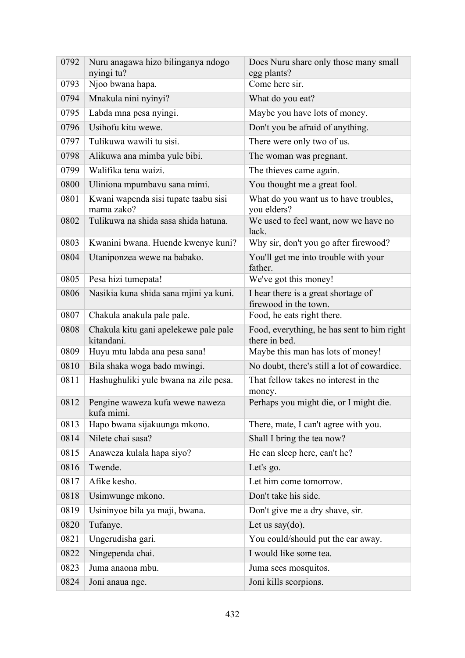| 0792 | Nuru anagawa hizo bilinganya ndogo<br>nyingi tu?    | Does Nuru share only those many small<br>egg plants?         |
|------|-----------------------------------------------------|--------------------------------------------------------------|
| 0793 | Njoo bwana hapa.                                    | Come here sir.                                               |
| 0794 | Mnakula nini nyinyi?                                | What do you eat?                                             |
| 0795 | Labda mna pesa nyingi.                              | Maybe you have lots of money.                                |
| 0796 | Usihofu kitu wewe.                                  | Don't you be afraid of anything.                             |
| 0797 | Tulikuwa wawili tu sisi.                            | There were only two of us.                                   |
| 0798 | Alikuwa ana mimba yule bibi.                        | The woman was pregnant.                                      |
| 0799 | Walifika tena waizi.                                | The thieves came again.                                      |
| 0800 | Uliniona mpumbavu sana mimi.                        | You thought me a great fool.                                 |
| 0801 | Kwani wapenda sisi tupate taabu sisi<br>mama zako?  | What do you want us to have troubles,<br>you elders?         |
| 0802 | Tulikuwa na shida sasa shida hatuna.                | We used to feel want, now we have no<br>lack.                |
| 0803 | Kwanini bwana. Huende kwenye kuni?                  | Why sir, don't you go after firewood?                        |
| 0804 | Utaniponzea wewe na babako.                         | You'll get me into trouble with your<br>father.              |
| 0805 | Pesa hizi tumepata!                                 | We've got this money!                                        |
| 0806 | Nasikia kuna shida sana mjini ya kuni.              | I hear there is a great shortage of<br>firewood in the town. |
| 0807 | Chakula anakula pale pale.                          | Food, he eats right there.                                   |
| 0808 | Chakula kitu gani apelekewe pale pale<br>kitandani. | Food, everything, he has sent to him right<br>there in bed.  |
| 0809 | Huyu mtu labda ana pesa sana!                       | Maybe this man has lots of money!                            |
| 0810 | Bila shaka woga bado mwingi.                        | No doubt, there's still a lot of cowardice.                  |
| 0811 | Hashughuliki yule bwana na zile pesa.               | That fellow takes no interest in the<br>money.               |
| 0812 | Pengine waweza kufa wewe naweza<br>kufa mimi.       | Perhaps you might die, or I might die.                       |
| 0813 | Hapo bwana sijakuunga mkono.                        | There, mate, I can't agree with you.                         |
| 0814 | Nilete chai sasa?                                   | Shall I bring the tea now?                                   |
| 0815 | Anaweza kulala hapa siyo?                           | He can sleep here, can't he?                                 |
| 0816 | Twende.                                             | Let's go.                                                    |
| 0817 | Afike kesho.                                        | Let him come tomorrow.                                       |
| 0818 | Usimwunge mkono.                                    | Don't take his side.                                         |
| 0819 | Usininyoe bila ya maji, bwana.                      | Don't give me a dry shave, sir.                              |
| 0820 | Tufanye.                                            | Let us say $(do)$ .                                          |
| 0821 | Ungerudisha gari.                                   | You could/should put the car away.                           |
| 0822 | Ningependa chai.                                    | I would like some tea.                                       |
| 0823 | Juma anaona mbu.                                    | Juma sees mosquitos.                                         |
| 0824 | Joni anaua nge.                                     | Joni kills scorpions.                                        |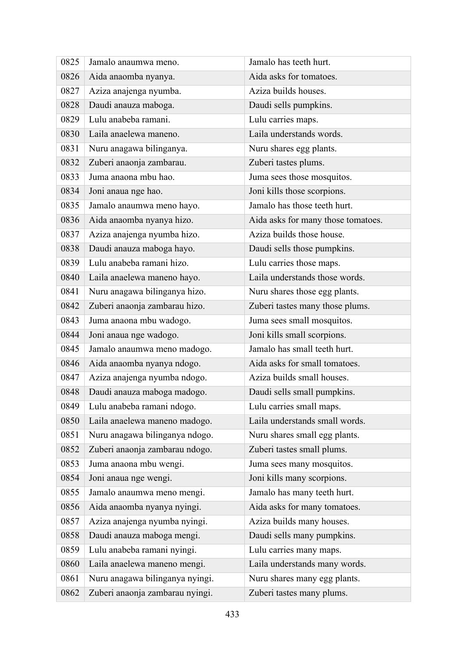| 0825 | Jamalo anaumwa meno.            | Jamalo has teeth hurt.             |
|------|---------------------------------|------------------------------------|
| 0826 | Aida anaomba nyanya.            | Aida asks for tomatoes.            |
| 0827 | Aziza anajenga nyumba.          | Aziza builds houses.               |
| 0828 | Daudi anauza maboga.            | Daudi sells pumpkins.              |
| 0829 | Lulu anabeba ramani.            | Lulu carries maps.                 |
| 0830 | Laila anaelewa maneno.          | Laila understands words.           |
| 0831 | Nuru anagawa bilinganya.        | Nuru shares egg plants.            |
| 0832 | Zuberi anaonja zambarau.        | Zuberi tastes plums.               |
| 0833 | Juma anaona mbu hao.            | Juma sees those mosquitos.         |
| 0834 | Joni anaua nge hao.             | Joni kills those scorpions.        |
| 0835 | Jamalo anaumwa meno hayo.       | Jamalo has those teeth hurt.       |
| 0836 | Aida anaomba nyanya hizo.       | Aida asks for many those tomatoes. |
| 0837 | Aziza anajenga nyumba hizo.     | Aziza builds those house.          |
| 0838 | Daudi anauza maboga hayo.       | Daudi sells those pumpkins.        |
| 0839 | Lulu anabeba ramani hizo.       | Lulu carries those maps.           |
| 0840 | Laila anaelewa maneno hayo.     | Laila understands those words.     |
| 0841 | Nuru anagawa bilinganya hizo.   | Nuru shares those egg plants.      |
| 0842 | Zuberi anaonja zambarau hizo.   | Zuberi tastes many those plums.    |
| 0843 | Juma anaona mbu wadogo.         | Juma sees small mosquitos.         |
| 0844 | Joni anaua nge wadogo.          | Joni kills small scorpions.        |
| 0845 | Jamalo anaumwa meno madogo.     | Jamalo has small teeth hurt.       |
| 0846 | Aida anaomba nyanya ndogo.      | Aida asks for small tomatoes.      |
| 0847 | Aziza anajenga nyumba ndogo.    | Aziza builds small houses.         |
| 0848 | Daudi anauza maboga madogo.     | Daudi sells small pumpkins.        |
| 0849 | Lulu anabeba ramani ndogo.      | Lulu carries small maps.           |
| 0850 | Laila anaelewa maneno madogo.   | Laila understands small words.     |
| 0851 | Nuru anagawa bilinganya ndogo.  | Nuru shares small egg plants.      |
| 0852 | Zuberi anaonja zambarau ndogo.  | Zuberi tastes small plums.         |
| 0853 | Juma anaona mbu wengi.          | Juma sees many mosquitos.          |
| 0854 | Joni anaua nge wengi.           | Joni kills many scorpions.         |
| 0855 | Jamalo anaumwa meno mengi.      | Jamalo has many teeth hurt.        |
| 0856 | Aida anaomba nyanya nyingi.     | Aida asks for many tomatoes.       |
| 0857 | Aziza anajenga nyumba nyingi.   | Aziza builds many houses.          |
| 0858 | Daudi anauza maboga mengi.      | Daudi sells many pumpkins.         |
| 0859 | Lulu anabeba ramani nyingi.     | Lulu carries many maps.            |
| 0860 | Laila anaelewa maneno mengi.    | Laila understands many words.      |
| 0861 | Nuru anagawa bilinganya nyingi. | Nuru shares many egg plants.       |
| 0862 | Zuberi anaonja zambarau nyingi. | Zuberi tastes many plums.          |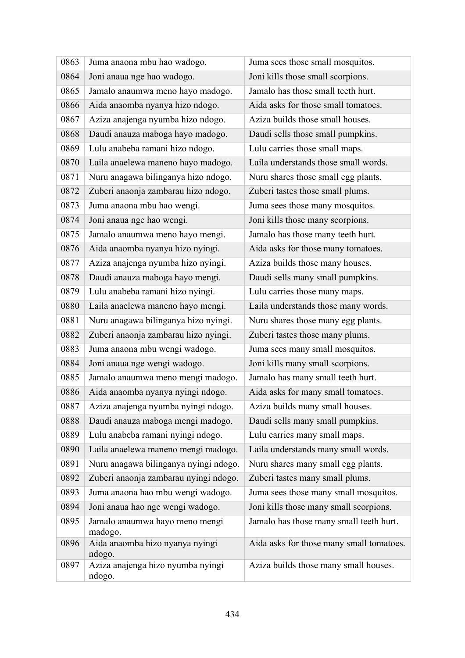| 0863 | Juma anaona mbu hao wadogo.                 | Juma sees those small mosquitos.         |
|------|---------------------------------------------|------------------------------------------|
| 0864 | Joni anaua nge hao wadogo.                  | Joni kills those small scorpions.        |
| 0865 | Jamalo anaumwa meno hayo madogo.            | Jamalo has those small teeth hurt.       |
| 0866 | Aida anaomba nyanya hizo ndogo.             | Aida asks for those small tomatoes.      |
| 0867 | Aziza anajenga nyumba hizo ndogo.           | Aziza builds those small houses.         |
| 0868 | Daudi anauza maboga hayo madogo.            | Daudi sells those small pumpkins.        |
| 0869 | Lulu anabeba ramani hizo ndogo.             | Lulu carries those small maps.           |
| 0870 | Laila anaelewa maneno hayo madogo.          | Laila understands those small words.     |
| 0871 | Nuru anagawa bilinganya hizo ndogo.         | Nuru shares those small egg plants.      |
| 0872 | Zuberi anaonja zambarau hizo ndogo.         | Zuberi tastes those small plums.         |
| 0873 | Juma anaona mbu hao wengi.                  | Juma sees those many mosquitos.          |
| 0874 | Joni anaua nge hao wengi.                   | Joni kills those many scorpions.         |
| 0875 | Jamalo anaumwa meno hayo mengi.             | Jamalo has those many teeth hurt.        |
| 0876 | Aida anaomba nyanya hizo nyingi.            | Aida asks for those many tomatoes.       |
| 0877 | Aziza anajenga nyumba hizo nyingi.          | Aziza builds those many houses.          |
| 0878 | Daudi anauza maboga hayo mengi.             | Daudi sells many small pumpkins.         |
| 0879 | Lulu anabeba ramani hizo nyingi.            | Lulu carries those many maps.            |
| 0880 | Laila anaelewa maneno hayo mengi.           | Laila understands those many words.      |
| 0881 | Nuru anagawa bilinganya hizo nyingi.        | Nuru shares those many egg plants.       |
| 0882 | Zuberi anaonja zambarau hizo nyingi.        | Zuberi tastes those many plums.          |
| 0883 | Juma anaona mbu wengi wadogo.               | Juma sees many small mosquitos.          |
| 0884 | Joni anaua nge wengi wadogo.                | Joni kills many small scorpions.         |
| 0885 | Jamalo anaumwa meno mengi madogo.           | Jamalo has many small teeth hurt.        |
| 0886 | Aida anaomba nyanya nyingi ndogo.           | Aida asks for many small tomatoes.       |
| 0887 | Aziza anajenga nyumba nyingi ndogo.         | Aziza builds many small houses.          |
| 0888 | Daudi anauza maboga mengi madogo.           | Daudi sells many small pumpkins.         |
| 0889 | Lulu anabeba ramani nyingi ndogo.           | Lulu carries many small maps.            |
| 0890 | Laila anaelewa maneno mengi madogo.         | Laila understands many small words.      |
| 0891 | Nuru anagawa bilinganya nyingi ndogo.       | Nuru shares many small egg plants.       |
| 0892 | Zuberi anaonja zambarau nyingi ndogo.       | Zuberi tastes many small plums.          |
| 0893 | Juma anaona hao mbu wengi wadogo.           | Juma sees those many small mosquitos.    |
| 0894 | Joni anaua hao nge wengi wadogo.            | Joni kills those many small scorpions.   |
| 0895 | Jamalo anaumwa hayo meno mengi<br>madogo.   | Jamalo has those many small teeth hurt.  |
| 0896 | Aida anaomba hizo nyanya nyingi<br>ndogo.   | Aida asks for those many small tomatoes. |
| 0897 | Aziza anajenga hizo nyumba nyingi<br>ndogo. | Aziza builds those many small houses.    |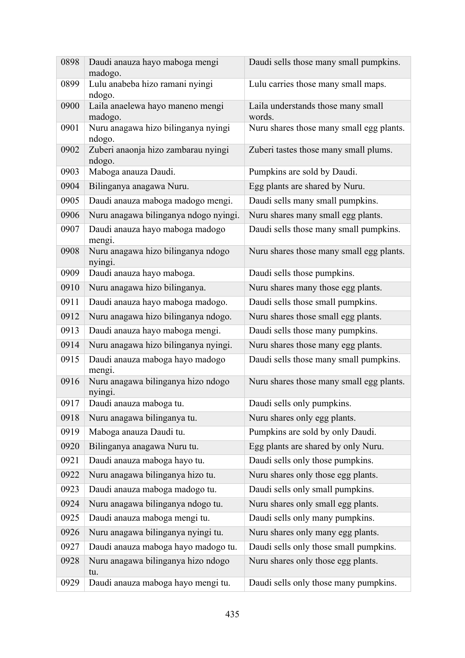| 0898 | Daudi anauza hayo maboga mengi<br>madogo.     | Daudi sells those many small pumpkins.       |
|------|-----------------------------------------------|----------------------------------------------|
| 0899 | Lulu anabeba hizo ramani nyingi<br>ndogo.     | Lulu carries those many small maps.          |
| 0900 | Laila anaelewa hayo maneno mengi<br>madogo.   | Laila understands those many small<br>words. |
| 0901 | Nuru anagawa hizo bilinganya nyingi<br>ndogo. | Nuru shares those many small egg plants.     |
| 0902 | Zuberi anaonja hizo zambarau nyingi<br>ndogo. | Zuberi tastes those many small plums.        |
| 0903 | Maboga anauza Daudi.                          | Pumpkins are sold by Daudi.                  |
| 0904 | Bilinganya anagawa Nuru.                      | Egg plants are shared by Nuru.               |
| 0905 | Daudi anauza maboga madogo mengi.             | Daudi sells many small pumpkins.             |
| 0906 | Nuru anagawa bilinganya ndogo nyingi.         | Nuru shares many small egg plants.           |
| 0907 | Daudi anauza hayo maboga madogo<br>mengi.     | Daudi sells those many small pumpkins.       |
| 0908 | Nuru anagawa hizo bilinganya ndogo<br>nyingi. | Nuru shares those many small egg plants.     |
| 0909 | Daudi anauza hayo maboga.                     | Daudi sells those pumpkins.                  |
| 0910 | Nuru anagawa hizo bilinganya.                 | Nuru shares many those egg plants.           |
| 0911 | Daudi anauza hayo maboga madogo.              | Daudi sells those small pumpkins.            |
| 0912 | Nuru anagawa hizo bilinganya ndogo.           | Nuru shares those small egg plants.          |
| 0913 | Daudi anauza hayo maboga mengi.               | Daudi sells those many pumpkins.             |
| 0914 | Nuru anagawa hizo bilinganya nyingi.          | Nuru shares those many egg plants.           |
| 0915 | Daudi anauza maboga hayo madogo<br>mengi.     | Daudi sells those many small pumpkins.       |
| 0916 | Nuru anagawa bilinganya hizo ndogo<br>nyingi. | Nuru shares those many small egg plants.     |
| 0917 | Daudi anauza maboga tu.                       | Daudi sells only pumpkins.                   |
| 0918 | Nuru anagawa bilinganya tu.                   | Nuru shares only egg plants.                 |
| 0919 | Maboga anauza Daudi tu.                       | Pumpkins are sold by only Daudi.             |
| 0920 | Bilinganya anagawa Nuru tu.                   | Egg plants are shared by only Nuru.          |
| 0921 | Daudi anauza maboga hayo tu.                  | Daudi sells only those pumpkins.             |
| 0922 | Nuru anagawa bilinganya hizo tu.              | Nuru shares only those egg plants.           |
| 0923 | Daudi anauza maboga madogo tu.                | Daudi sells only small pumpkins.             |
| 0924 | Nuru anagawa bilinganya ndogo tu.             | Nuru shares only small egg plants.           |
| 0925 | Daudi anauza maboga mengi tu.                 | Daudi sells only many pumpkins.              |
| 0926 | Nuru anagawa bilinganya nyingi tu.            | Nuru shares only many egg plants.            |
| 0927 | Daudi anauza maboga hayo madogo tu.           | Daudi sells only those small pumpkins.       |
| 0928 | Nuru anagawa bilinganya hizo ndogo<br>tu.     | Nuru shares only those egg plants.           |
| 0929 | Daudi anauza maboga hayo mengi tu.            | Daudi sells only those many pumpkins.        |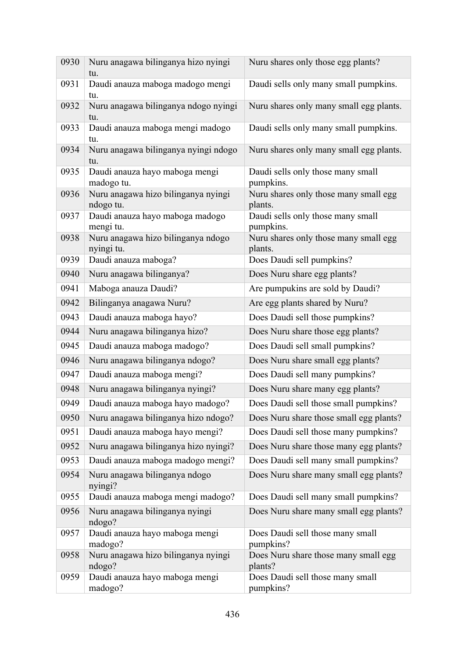| 0930 | Nuru anagawa bilinganya hizo nyingi<br>tu.       | Nuru shares only those egg plants?               |
|------|--------------------------------------------------|--------------------------------------------------|
| 0931 | Daudi anauza maboga madogo mengi<br>tu.          | Daudi sells only many small pumpkins.            |
| 0932 | Nuru anagawa bilinganya ndogo nyingi<br>tu.      | Nuru shares only many small egg plants.          |
| 0933 | Daudi anauza maboga mengi madogo<br>tu.          | Daudi sells only many small pumpkins.            |
| 0934 | Nuru anagawa bilinganya nyingi ndogo<br>tu.      | Nuru shares only many small egg plants.          |
| 0935 | Daudi anauza hayo maboga mengi<br>madogo tu.     | Daudi sells only those many small<br>pumpkins.   |
| 0936 | Nuru anagawa hizo bilinganya nyingi<br>ndogo tu. | Nuru shares only those many small egg<br>plants. |
| 0937 | Daudi anauza hayo maboga madogo<br>mengi tu.     | Daudi sells only those many small<br>pumpkins.   |
| 0938 | Nuru anagawa hizo bilinganya ndogo<br>nyingi tu. | Nuru shares only those many small egg<br>plants. |
| 0939 | Daudi anauza maboga?                             | Does Daudi sell pumpkins?                        |
| 0940 | Nuru anagawa bilinganya?                         | Does Nuru share egg plants?                      |
| 0941 | Maboga anauza Daudi?                             | Are pumpukins are sold by Daudi?                 |
| 0942 | Bilinganya anagawa Nuru?                         | Are egg plants shared by Nuru?                   |
| 0943 | Daudi anauza maboga hayo?                        | Does Daudi sell those pumpkins?                  |
| 0944 | Nuru anagawa bilinganya hizo?                    | Does Nuru share those egg plants?                |
| 0945 | Daudi anauza maboga madogo?                      | Does Daudi sell small pumpkins?                  |
| 0946 | Nuru anagawa bilinganya ndogo?                   | Does Nuru share small egg plants?                |
| 0947 | Daudi anauza maboga mengi?                       | Does Daudi sell many pumpkins?                   |
| 0948 | Nuru anagawa bilinganya nyingi?                  | Does Nuru share many egg plants?                 |
| 0949 | Daudi anauza maboga hayo madogo?                 | Does Daudi sell those small pumpkins?            |
| 0950 | Nuru anagawa bilinganya hizo ndogo?              | Does Nuru share those small egg plants?          |
| 0951 | Daudi anauza maboga hayo mengi?                  | Does Daudi sell those many pumpkins?             |
| 0952 | Nuru anagawa bilinganya hizo nyingi?             | Does Nuru share those many egg plants?           |
| 0953 | Daudi anauza maboga madogo mengi?                | Does Daudi sell many small pumpkins?             |
| 0954 | Nuru anagawa bilinganya ndogo<br>nyingi?         | Does Nuru share many small egg plants?           |
| 0955 | Daudi anauza maboga mengi madogo?                | Does Daudi sell many small pumpkins?             |
| 0956 | Nuru anagawa bilinganya nyingi<br>ndogo?         | Does Nuru share many small egg plants?           |
| 0957 | Daudi anauza hayo maboga mengi<br>madogo?        | Does Daudi sell those many small<br>pumpkins?    |
| 0958 | Nuru anagawa hizo bilinganya nyingi<br>ndogo?    | Does Nuru share those many small egg<br>plants?  |
| 0959 | Daudi anauza hayo maboga mengi<br>madogo?        | Does Daudi sell those many small<br>pumpkins?    |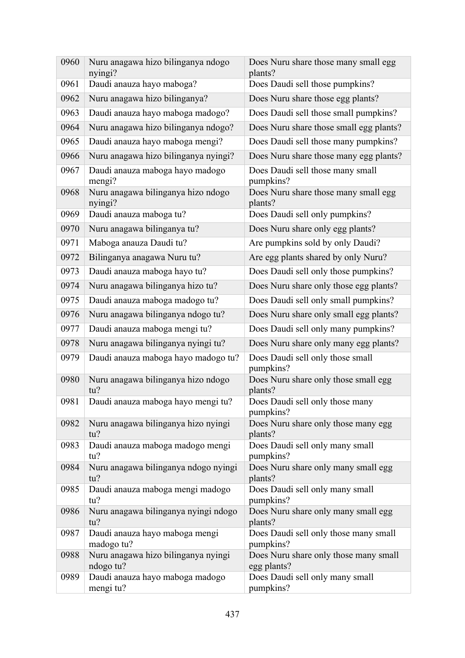| 0960 | Nuru anagawa hizo bilinganya ndogo<br>nyingi?    | Does Nuru share those many small egg<br>plants?      |
|------|--------------------------------------------------|------------------------------------------------------|
| 0961 | Daudi anauza hayo maboga?                        | Does Daudi sell those pumpkins?                      |
| 0962 | Nuru anagawa hizo bilinganya?                    | Does Nuru share those egg plants?                    |
| 0963 | Daudi anauza hayo maboga madogo?                 | Does Daudi sell those small pumpkins?                |
| 0964 | Nuru anagawa hizo bilinganya ndogo?              | Does Nuru share those small egg plants?              |
| 0965 | Daudi anauza hayo maboga mengi?                  | Does Daudi sell those many pumpkins?                 |
| 0966 | Nuru anagawa hizo bilinganya nyingi?             | Does Nuru share those many egg plants?               |
| 0967 | Daudi anauza maboga hayo madogo<br>mengi?        | Does Daudi sell those many small<br>pumpkins?        |
| 0968 | Nuru anagawa bilinganya hizo ndogo<br>nyingi?    | Does Nuru share those many small egg<br>plants?      |
| 0969 | Daudi anauza maboga tu?                          | Does Daudi sell only pumpkins?                       |
| 0970 | Nuru anagawa bilinganya tu?                      | Does Nuru share only egg plants?                     |
| 0971 | Maboga anauza Daudi tu?                          | Are pumpkins sold by only Daudi?                     |
| 0972 | Bilinganya anagawa Nuru tu?                      | Are egg plants shared by only Nuru?                  |
| 0973 | Daudi anauza maboga hayo tu?                     | Does Daudi sell only those pumpkins?                 |
| 0974 | Nuru anagawa bilinganya hizo tu?                 | Does Nuru share only those egg plants?               |
| 0975 | Daudi anauza maboga madogo tu?                   | Does Daudi sell only small pumpkins?                 |
| 0976 | Nuru anagawa bilinganya ndogo tu?                | Does Nuru share only small egg plants?               |
| 0977 | Daudi anauza maboga mengi tu?                    | Does Daudi sell only many pumpkins?                  |
| 0978 | Nuru anagawa bilinganya nyingi tu?               | Does Nuru share only many egg plants?                |
| 0979 | Daudi anauza maboga hayo madogo tu?              | Does Daudi sell only those small<br>pumpkins?        |
| 0980 | Nuru anagawa bilinganya hizo ndogo<br>tu?        | Does Nuru share only those small egg<br>plants?      |
| 0981 | Daudi anauza maboga hayo mengi tu?               | Does Daudi sell only those many<br>pumpkins?         |
| 0982 | Nuru anagawa bilinganya hizo nyingi<br>tu?       | Does Nuru share only those many egg<br>plants?       |
| 0983 | Daudi anauza maboga madogo mengi<br>tu?          | Does Daudi sell only many small<br>pumpkins?         |
| 0984 | Nuru anagawa bilinganya ndogo nyingi<br>tu?      | Does Nuru share only many small egg<br>plants?       |
| 0985 | Daudi anauza maboga mengi madogo<br>tu?          | Does Daudi sell only many small<br>pumpkins?         |
| 0986 | Nuru anagawa bilinganya nyingi ndogo<br>tu?      | Does Nuru share only many small egg<br>plants?       |
| 0987 | Daudi anauza hayo maboga mengi<br>madogo tu?     | Does Daudi sell only those many small<br>pumpkins?   |
| 0988 | Nuru anagawa hizo bilinganya nyingi<br>ndogo tu? | Does Nuru share only those many small<br>egg plants? |
| 0989 | Daudi anauza hayo maboga madogo<br>mengi tu?     | Does Daudi sell only many small<br>pumpkins?         |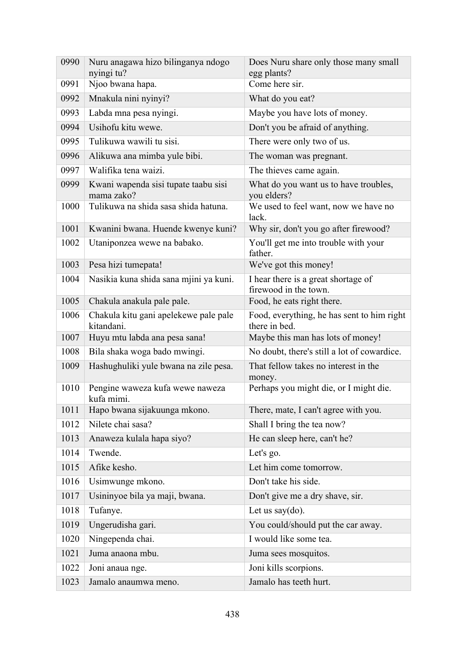| 0990 | Nuru anagawa hizo bilinganya ndogo<br>nyingi tu?    | Does Nuru share only those many small<br>egg plants?         |
|------|-----------------------------------------------------|--------------------------------------------------------------|
| 0991 | Njoo bwana hapa.                                    | Come here sir.                                               |
| 0992 | Mnakula nini nyinyi?                                | What do you eat?                                             |
| 0993 | Labda mna pesa nyingi.                              | Maybe you have lots of money.                                |
| 0994 | Usihofu kitu wewe.                                  | Don't you be afraid of anything.                             |
| 0995 | Tulikuwa wawili tu sisi.                            | There were only two of us.                                   |
| 0996 | Alikuwa ana mimba yule bibi.                        | The woman was pregnant.                                      |
| 0997 | Walifika tena waizi.                                | The thieves came again.                                      |
| 0999 | Kwani wapenda sisi tupate taabu sisi<br>mama zako?  | What do you want us to have troubles,<br>you elders?         |
| 1000 | Tulikuwa na shida sasa shida hatuna.                | We used to feel want, now we have no<br>lack.                |
| 1001 | Kwanini bwana. Huende kwenye kuni?                  | Why sir, don't you go after firewood?                        |
| 1002 | Utaniponzea wewe na babako.                         | You'll get me into trouble with your<br>father.              |
| 1003 | Pesa hizi tumepata!                                 | We've got this money!                                        |
| 1004 | Nasikia kuna shida sana mjini ya kuni.              | I hear there is a great shortage of<br>firewood in the town. |
| 1005 | Chakula anakula pale pale.                          | Food, he eats right there.                                   |
| 1006 | Chakula kitu gani apelekewe pale pale<br>kitandani. | Food, everything, he has sent to him right<br>there in bed.  |
| 1007 | Huyu mtu labda ana pesa sana!                       | Maybe this man has lots of money!                            |
| 1008 | Bila shaka woga bado mwingi.                        | No doubt, there's still a lot of cowardice.                  |
| 1009 | Hashughuliki yule bwana na zile pesa.               | That fellow takes no interest in the<br>money.               |
| 1010 | Pengine waweza kufa wewe naweza<br>kufa mimi.       | Perhaps you might die, or I might die.                       |
| 1011 | Hapo bwana sijakuunga mkono.                        | There, mate, I can't agree with you.                         |
| 1012 | Nilete chai sasa?                                   | Shall I bring the tea now?                                   |
| 1013 | Anaweza kulala hapa siyo?                           | He can sleep here, can't he?                                 |
| 1014 | Twende.                                             | Let's go.                                                    |
| 1015 | Afike kesho.                                        | Let him come tomorrow.                                       |
| 1016 | Usimwunge mkono.                                    | Don't take his side.                                         |
| 1017 | Usininyoe bila ya maji, bwana.                      | Don't give me a dry shave, sir.                              |
| 1018 | Tufanye.                                            | Let us say $(do)$ .                                          |
| 1019 | Ungerudisha gari.                                   | You could/should put the car away.                           |
| 1020 | Ningependa chai.                                    | I would like some tea.                                       |
| 1021 | Juma anaona mbu.                                    | Juma sees mosquitos.                                         |
| 1022 | Joni anaua nge.                                     | Joni kills scorpions.                                        |
| 1023 | Jamalo anaumwa meno.                                | Jamalo has teeth hurt.                                       |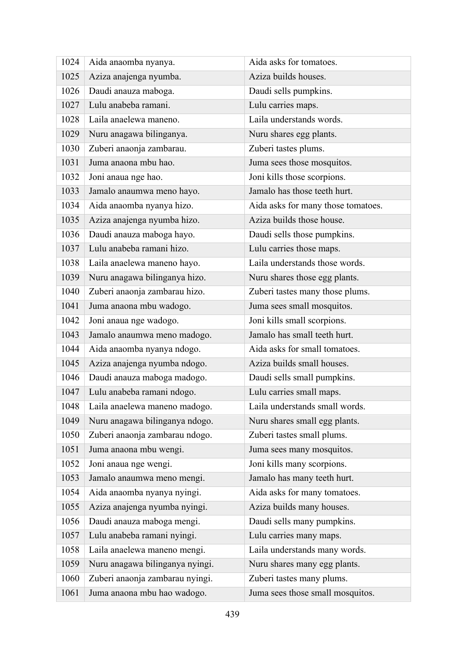| 1024 | Aida anaomba nyanya.            | Aida asks for tomatoes.            |
|------|---------------------------------|------------------------------------|
| 1025 | Aziza anajenga nyumba.          | Aziza builds houses.               |
| 1026 | Daudi anauza maboga.            | Daudi sells pumpkins.              |
| 1027 | Lulu anabeba ramani.            | Lulu carries maps.                 |
| 1028 | Laila anaelewa maneno.          | Laila understands words.           |
| 1029 | Nuru anagawa bilinganya.        | Nuru shares egg plants.            |
| 1030 | Zuberi anaonja zambarau.        | Zuberi tastes plums.               |
| 1031 | Juma anaona mbu hao.            | Juma sees those mosquitos.         |
| 1032 | Joni anaua nge hao.             | Joni kills those scorpions.        |
| 1033 | Jamalo anaumwa meno hayo.       | Jamalo has those teeth hurt.       |
| 1034 | Aida anaomba nyanya hizo.       | Aida asks for many those tomatoes. |
| 1035 | Aziza anajenga nyumba hizo.     | Aziza builds those house.          |
| 1036 | Daudi anauza maboga hayo.       | Daudi sells those pumpkins.        |
| 1037 | Lulu anabeba ramani hizo.       | Lulu carries those maps.           |
| 1038 | Laila anaelewa maneno hayo.     | Laila understands those words.     |
| 1039 | Nuru anagawa bilinganya hizo.   | Nuru shares those egg plants.      |
| 1040 | Zuberi anaonja zambarau hizo.   | Zuberi tastes many those plums.    |
| 1041 | Juma anaona mbu wadogo.         | Juma sees small mosquitos.         |
| 1042 | Joni anaua nge wadogo.          | Joni kills small scorpions.        |
| 1043 | Jamalo anaumwa meno madogo.     | Jamalo has small teeth hurt.       |
| 1044 | Aida anaomba nyanya ndogo.      | Aida asks for small tomatoes.      |
| 1045 | Aziza anajenga nyumba ndogo.    | Aziza builds small houses.         |
| 1046 | Daudi anauza maboga madogo.     | Daudi sells small pumpkins.        |
| 1047 | Lulu anabeba ramani ndogo.      | Lulu carries small maps.           |
| 1048 | Laila anaelewa maneno madogo.   | Laila understands small words.     |
| 1049 | Nuru anagawa bilinganya ndogo.  | Nuru shares small egg plants.      |
| 1050 | Zuberi anaonja zambarau ndogo.  | Zuberi tastes small plums.         |
| 1051 | Juma anaona mbu wengi.          | Juma sees many mosquitos.          |
| 1052 | Joni anaua nge wengi.           | Joni kills many scorpions.         |
| 1053 | Jamalo anaumwa meno mengi.      | Jamalo has many teeth hurt.        |
| 1054 | Aida anaomba nyanya nyingi.     | Aida asks for many tomatoes.       |
| 1055 | Aziza anajenga nyumba nyingi.   | Aziza builds many houses.          |
| 1056 | Daudi anauza maboga mengi.      | Daudi sells many pumpkins.         |
| 1057 | Lulu anabeba ramani nyingi.     | Lulu carries many maps.            |
| 1058 | Laila anaelewa maneno mengi.    | Laila understands many words.      |
| 1059 | Nuru anagawa bilinganya nyingi. | Nuru shares many egg plants.       |
| 1060 | Zuberi anaonja zambarau nyingi. | Zuberi tastes many plums.          |
| 1061 | Juma anaona mbu hao wadogo.     | Juma sees those small mosquitos.   |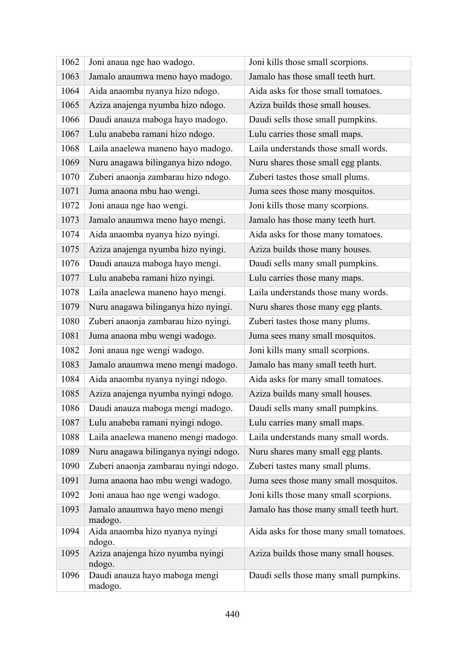| 1062 | Joni anaua nge hao wadogo.                  | Joni kills those small scorpions.        |
|------|---------------------------------------------|------------------------------------------|
| 1063 | Jamalo anaumwa meno hayo madogo.            | Jamalo has those small teeth hurt.       |
| 1064 | Aida anaomba nyanya hizo ndogo.             | Aida asks for those small tomatoes.      |
| 1065 | Aziza anajenga nyumba hizo ndogo.           | Aziza builds those small houses.         |
| 1066 | Daudi anauza maboga hayo madogo.            | Daudi sells those small pumpkins.        |
| 1067 | Lulu anabeba ramani hizo ndogo.             | Lulu carries those small maps.           |
| 1068 | Laila anaelewa maneno hayo madogo.          | Laila understands those small words.     |
| 1069 | Nuru anagawa bilinganya hizo ndogo.         | Nuru shares those small egg plants.      |
| 1070 | Zuberi anaonja zambarau hizo ndogo.         | Zuberi tastes those small plums.         |
| 1071 | Juma anaona mbu hao wengi.                  | Juma sees those many mosquitos.          |
| 1072 | Joni anaua nge hao wengi.                   | Joni kills those many scorpions.         |
| 1073 | Jamalo anaumwa meno hayo mengi.             | Jamalo has those many teeth hurt.        |
| 1074 | Aida anaomba nyanya hizo nyingi.            | Aida asks for those many tomatoes.       |
| 1075 | Aziza anajenga nyumba hizo nyingi.          | Aziza builds those many houses.          |
| 1076 | Daudi anauza maboga hayo mengi.             | Daudi sells many small pumpkins.         |
| 1077 | Lulu anabeba ramani hizo nyingi.            | Lulu carries those many maps.            |
| 1078 | Laila anaelewa maneno hayo mengi.           | Laila understands those many words.      |
| 1079 | Nuru anagawa bilinganya hizo nyingi.        | Nuru shares those many egg plants.       |
| 1080 | Zuberi anaonja zambarau hizo nyingi.        | Zuberi tastes those many plums.          |
| 1081 | Juma anaona mbu wengi wadogo.               | Juma sees many small mosquitos.          |
| 1082 | Joni anaua nge wengi wadogo.                | Joni kills many small scorpions.         |
| 1083 | Jamalo anaumwa meno mengi madogo.           | Jamalo has many small teeth hurt.        |
| 1084 | Aida anaomba nyanya nyingi ndogo.           | Aida asks for many small tomatoes.       |
| 1085 | Aziza anajenga nyumba nyingi ndogo.         | Aziza builds many small houses.          |
| 1086 | Daudi anauza maboga mengi madogo.           | Daudi sells many small pumpkins.         |
| 1087 | Lulu anabeba ramani nyingi ndogo.           | Lulu carries many small maps.            |
| 1088 | Laila anaelewa maneno mengi madogo.         | Laila understands many small words.      |
| 1089 | Nuru anagawa bilinganya nyingi ndogo.       | Nuru shares many small egg plants.       |
| 1090 | Zuberi anaonja zambarau nyingi ndogo.       | Zuberi tastes many small plums.          |
| 1091 | Juma anaona hao mbu wengi wadogo.           | Juma sees those many small mosquitos.    |
| 1092 | Joni anaua hao nge wengi wadogo.            | Joni kills those many small scorpions.   |
| 1093 | Jamalo anaumwa hayo meno mengi<br>madogo.   | Jamalo has those many small teeth hurt.  |
| 1094 | Aida anaomba hizo nyanya nyingi<br>ndogo.   | Aida asks for those many small tomatoes. |
| 1095 | Aziza anajenga hizo nyumba nyingi<br>ndogo. | Aziza builds those many small houses.    |
| 1096 | Daudi anauza hayo maboga mengi<br>madogo.   | Daudi sells those many small pumpkins.   |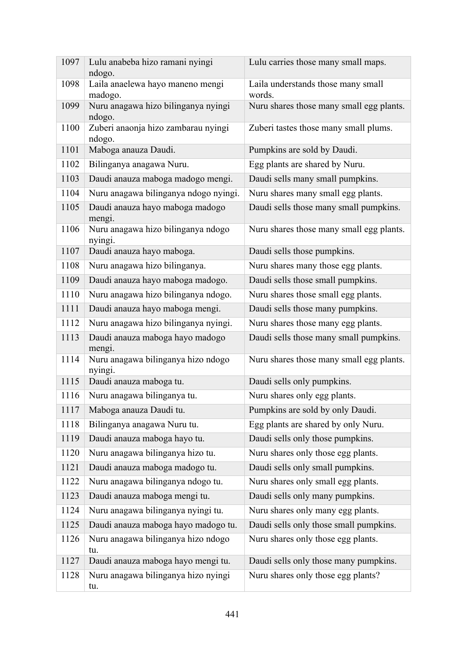| 1097 | Lulu anabeba hizo ramani nyingi<br>ndogo.     | Lulu carries those many small maps.          |
|------|-----------------------------------------------|----------------------------------------------|
| 1098 | Laila anaelewa hayo maneno mengi<br>madogo.   | Laila understands those many small<br>words. |
| 1099 | Nuru anagawa hizo bilinganya nyingi<br>ndogo. | Nuru shares those many small egg plants.     |
| 1100 | Zuberi anaonja hizo zambarau nyingi<br>ndogo. | Zuberi tastes those many small plums.        |
| 1101 | Maboga anauza Daudi.                          | Pumpkins are sold by Daudi.                  |
| 1102 | Bilinganya anagawa Nuru.                      | Egg plants are shared by Nuru.               |
| 1103 | Daudi anauza maboga madogo mengi.             | Daudi sells many small pumpkins.             |
| 1104 | Nuru anagawa bilinganya ndogo nyingi.         | Nuru shares many small egg plants.           |
| 1105 | Daudi anauza hayo maboga madogo<br>mengi.     | Daudi sells those many small pumpkins.       |
| 1106 | Nuru anagawa hizo bilinganya ndogo<br>nyingi. | Nuru shares those many small egg plants.     |
| 1107 | Daudi anauza hayo maboga.                     | Daudi sells those pumpkins.                  |
| 1108 | Nuru anagawa hizo bilinganya.                 | Nuru shares many those egg plants.           |
| 1109 | Daudi anauza hayo maboga madogo.              | Daudi sells those small pumpkins.            |
| 1110 | Nuru anagawa hizo bilinganya ndogo.           | Nuru shares those small egg plants.          |
| 1111 | Daudi anauza hayo maboga mengi.               | Daudi sells those many pumpkins.             |
| 1112 | Nuru anagawa hizo bilinganya nyingi.          | Nuru shares those many egg plants.           |
| 1113 | Daudi anauza maboga hayo madogo<br>mengi.     | Daudi sells those many small pumpkins.       |
| 1114 | Nuru anagawa bilinganya hizo ndogo<br>nyingi. | Nuru shares those many small egg plants.     |
| 1115 | Daudi anauza maboga tu.                       | Daudi sells only pumpkins.                   |
| 1116 | Nuru anagawa bilinganya tu.                   | Nuru shares only egg plants.                 |
| 1117 | Maboga anauza Daudi tu.                       | Pumpkins are sold by only Daudi.             |
| 1118 | Bilinganya anagawa Nuru tu.                   | Egg plants are shared by only Nuru.          |
| 1119 | Daudi anauza maboga hayo tu.                  | Daudi sells only those pumpkins.             |
| 1120 | Nuru anagawa bilinganya hizo tu.              | Nuru shares only those egg plants.           |
| 1121 | Daudi anauza maboga madogo tu.                | Daudi sells only small pumpkins.             |
| 1122 | Nuru anagawa bilinganya ndogo tu.             | Nuru shares only small egg plants.           |
| 1123 | Daudi anauza maboga mengi tu.                 | Daudi sells only many pumpkins.              |
| 1124 | Nuru anagawa bilinganya nyingi tu.            | Nuru shares only many egg plants.            |
| 1125 | Daudi anauza maboga hayo madogo tu.           | Daudi sells only those small pumpkins.       |
| 1126 | Nuru anagawa bilinganya hizo ndogo<br>tu.     | Nuru shares only those egg plants.           |
| 1127 | Daudi anauza maboga hayo mengi tu.            | Daudi sells only those many pumpkins.        |
| 1128 | Nuru anagawa bilinganya hizo nyingi<br>tu.    | Nuru shares only those egg plants?           |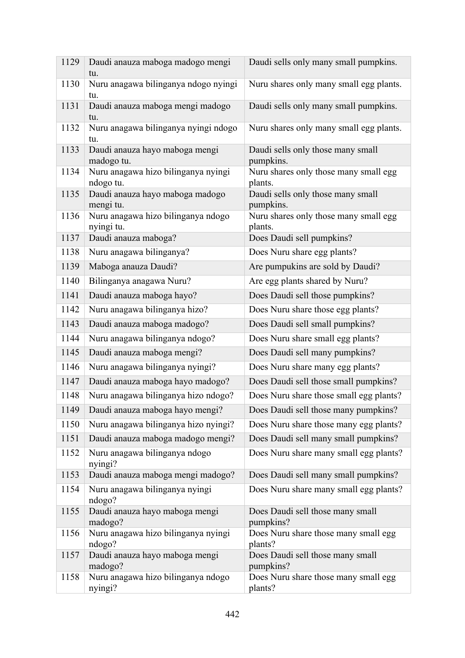| 1129 | Daudi anauza maboga madogo mengi<br>tu.          | Daudi sells only many small pumpkins.            |
|------|--------------------------------------------------|--------------------------------------------------|
| 1130 | Nuru anagawa bilinganya ndogo nyingi<br>tu.      | Nuru shares only many small egg plants.          |
| 1131 | Daudi anauza maboga mengi madogo<br>tu.          | Daudi sells only many small pumpkins.            |
| 1132 | Nuru anagawa bilinganya nyingi ndogo<br>tu.      | Nuru shares only many small egg plants.          |
| 1133 | Daudi anauza hayo maboga mengi<br>madogo tu.     | Daudi sells only those many small<br>pumpkins.   |
| 1134 | Nuru anagawa hizo bilinganya nyingi<br>ndogo tu. | Nuru shares only those many small egg<br>plants. |
| 1135 | Daudi anauza hayo maboga madogo<br>mengi tu.     | Daudi sells only those many small<br>pumpkins.   |
| 1136 | Nuru anagawa hizo bilinganya ndogo<br>nyingi tu. | Nuru shares only those many small egg<br>plants. |
| 1137 | Daudi anauza maboga?                             | Does Daudi sell pumpkins?                        |
| 1138 | Nuru anagawa bilinganya?                         | Does Nuru share egg plants?                      |
| 1139 | Maboga anauza Daudi?                             | Are pumpukins are sold by Daudi?                 |
| 1140 | Bilinganya anagawa Nuru?                         | Are egg plants shared by Nuru?                   |
| 1141 | Daudi anauza maboga hayo?                        | Does Daudi sell those pumpkins?                  |
| 1142 | Nuru anagawa bilinganya hizo?                    | Does Nuru share those egg plants?                |
| 1143 | Daudi anauza maboga madogo?                      | Does Daudi sell small pumpkins?                  |
| 1144 | Nuru anagawa bilinganya ndogo?                   | Does Nuru share small egg plants?                |
| 1145 | Daudi anauza maboga mengi?                       | Does Daudi sell many pumpkins?                   |
| 1146 | Nuru anagawa bilinganya nyingi?                  | Does Nuru share many egg plants?                 |
| 1147 | Daudi anauza maboga hayo madogo?                 | Does Daudi sell those small pumpkins?            |
| 1148 | Nuru anagawa bilinganya hizo ndogo?              | Does Nuru share those small egg plants?          |
| 1149 | Daudi anauza maboga hayo mengi?                  | Does Daudi sell those many pumpkins?             |
| 1150 | Nuru anagawa bilinganya hizo nyingi?             | Does Nuru share those many egg plants?           |
| 1151 | Daudi anauza maboga madogo mengi?                | Does Daudi sell many small pumpkins?             |
| 1152 | Nuru anagawa bilinganya ndogo<br>nyingi?         | Does Nuru share many small egg plants?           |
| 1153 | Daudi anauza maboga mengi madogo?                | Does Daudi sell many small pumpkins?             |
| 1154 | Nuru anagawa bilinganya nyingi<br>ndogo?         | Does Nuru share many small egg plants?           |
| 1155 | Daudi anauza hayo maboga mengi<br>madogo?        | Does Daudi sell those many small<br>pumpkins?    |
| 1156 | Nuru anagawa hizo bilinganya nyingi<br>ndogo?    | Does Nuru share those many small egg<br>plants?  |
| 1157 | Daudi anauza hayo maboga mengi<br>madogo?        | Does Daudi sell those many small<br>pumpkins?    |
| 1158 | Nuru anagawa hizo bilinganya ndogo<br>nyingi?    | Does Nuru share those many small egg<br>plants?  |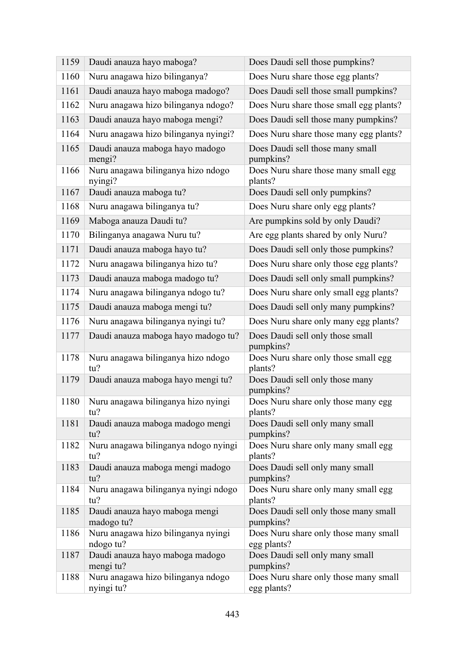| 1159 | Daudi anauza hayo maboga?                        | Does Daudi sell those pumpkins?                      |
|------|--------------------------------------------------|------------------------------------------------------|
| 1160 | Nuru anagawa hizo bilinganya?                    | Does Nuru share those egg plants?                    |
| 1161 | Daudi anauza hayo maboga madogo?                 | Does Daudi sell those small pumpkins?                |
| 1162 | Nuru anagawa hizo bilinganya ndogo?              | Does Nuru share those small egg plants?              |
| 1163 | Daudi anauza hayo maboga mengi?                  | Does Daudi sell those many pumpkins?                 |
| 1164 | Nuru anagawa hizo bilinganya nyingi?             | Does Nuru share those many egg plants?               |
| 1165 | Daudi anauza maboga hayo madogo<br>mengi?        | Does Daudi sell those many small<br>pumpkins?        |
| 1166 | Nuru anagawa bilinganya hizo ndogo<br>nyingi?    | Does Nuru share those many small egg<br>plants?      |
| 1167 | Daudi anauza maboga tu?                          | Does Daudi sell only pumpkins?                       |
| 1168 | Nuru anagawa bilinganya tu?                      | Does Nuru share only egg plants?                     |
| 1169 | Maboga anauza Daudi tu?                          | Are pumpkins sold by only Daudi?                     |
| 1170 | Bilinganya anagawa Nuru tu?                      | Are egg plants shared by only Nuru?                  |
| 1171 | Daudi anauza maboga hayo tu?                     | Does Daudi sell only those pumpkins?                 |
| 1172 | Nuru anagawa bilinganya hizo tu?                 | Does Nuru share only those egg plants?               |
| 1173 | Daudi anauza maboga madogo tu?                   | Does Daudi sell only small pumpkins?                 |
| 1174 | Nuru anagawa bilinganya ndogo tu?                | Does Nuru share only small egg plants?               |
| 1175 | Daudi anauza maboga mengi tu?                    | Does Daudi sell only many pumpkins?                  |
| 1176 | Nuru anagawa bilinganya nyingi tu?               | Does Nuru share only many egg plants?                |
| 1177 | Daudi anauza maboga hayo madogo tu?              | Does Daudi sell only those small<br>pumpkins?        |
| 1178 | Nuru anagawa bilinganya hizo ndogo<br>tu?        | Does Nuru share only those small egg<br>plants?      |
| 1179 | Daudi anauza maboga hayo mengi tu?               | Does Daudi sell only those many<br>pumpkins?         |
| 1180 | Nuru anagawa bilinganya hizo nyingi<br>tu?       | Does Nuru share only those many egg<br>plants?       |
| 1181 | Daudi anauza maboga madogo mengi<br>tu?          | Does Daudi sell only many small<br>pumpkins?         |
| 1182 | Nuru anagawa bilinganya ndogo nyingi<br>tu?      | Does Nuru share only many small egg<br>plants?       |
| 1183 | Daudi anauza maboga mengi madogo<br>tu?          | Does Daudi sell only many small<br>pumpkins?         |
| 1184 | Nuru anagawa bilinganya nyingi ndogo<br>tu?      | Does Nuru share only many small egg<br>plants?       |
| 1185 | Daudi anauza hayo maboga mengi<br>madogo tu?     | Does Daudi sell only those many small<br>pumpkins?   |
| 1186 | Nuru anagawa hizo bilinganya nyingi<br>ndogo tu? | Does Nuru share only those many small<br>egg plants? |
| 1187 | Daudi anauza hayo maboga madogo<br>mengi tu?     | Does Daudi sell only many small<br>pumpkins?         |
| 1188 | Nuru anagawa hizo bilinganya ndogo<br>nyingi tu? | Does Nuru share only those many small<br>egg plants? |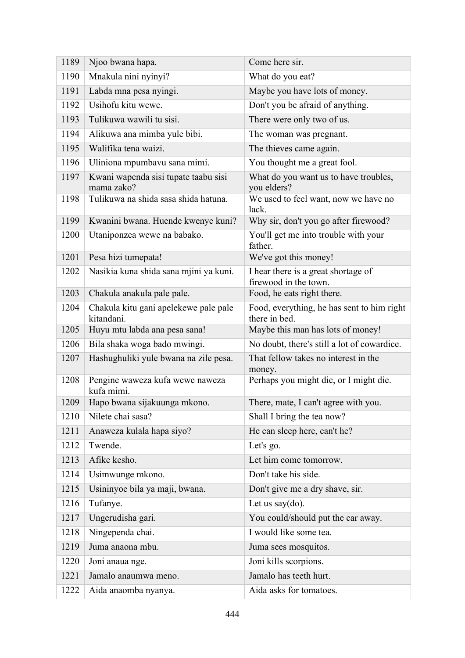| 1189 | Njoo bwana hapa.                                    | Come here sir.                                               |
|------|-----------------------------------------------------|--------------------------------------------------------------|
| 1190 | Mnakula nini nyinyi?                                | What do you eat?                                             |
| 1191 | Labda mna pesa nyingi.                              | Maybe you have lots of money.                                |
| 1192 | Usihofu kitu wewe.                                  | Don't you be afraid of anything.                             |
| 1193 | Tulikuwa wawili tu sisi.                            | There were only two of us.                                   |
| 1194 | Alikuwa ana mimba yule bibi.                        | The woman was pregnant.                                      |
| 1195 | Walifika tena waizi.                                | The thieves came again.                                      |
| 1196 | Uliniona mpumbavu sana mimi.                        | You thought me a great fool.                                 |
| 1197 | Kwani wapenda sisi tupate taabu sisi<br>mama zako?  | What do you want us to have troubles,<br>you elders?         |
| 1198 | Tulikuwa na shida sasa shida hatuna.                | We used to feel want, now we have no<br>lack.                |
| 1199 | Kwanini bwana. Huende kwenye kuni?                  | Why sir, don't you go after firewood?                        |
| 1200 | Utaniponzea wewe na babako.                         | You'll get me into trouble with your<br>father.              |
| 1201 | Pesa hizi tumepata!                                 | We've got this money!                                        |
| 1202 | Nasikia kuna shida sana mjini ya kuni.              | I hear there is a great shortage of<br>firewood in the town. |
| 1203 | Chakula anakula pale pale.                          | Food, he eats right there.                                   |
| 1204 | Chakula kitu gani apelekewe pale pale<br>kitandani. | Food, everything, he has sent to him right<br>there in bed.  |
| 1205 | Huyu mtu labda ana pesa sana!                       | Maybe this man has lots of money!                            |
| 1206 | Bila shaka woga bado mwingi.                        | No doubt, there's still a lot of cowardice.                  |
| 1207 | Hashughuliki yule bwana na zile pesa.               | That fellow takes no interest in the<br>money.               |
| 1208 | Pengine waweza kufa wewe naweza<br>kufa mimi.       | Perhaps you might die, or I might die.                       |
| 1209 | Hapo bwana sijakuunga mkono.                        | There, mate, I can't agree with you.                         |
| 1210 | Nilete chai sasa?                                   | Shall I bring the tea now?                                   |
| 1211 | Anaweza kulala hapa siyo?                           | He can sleep here, can't he?                                 |
| 1212 | Twende.                                             | Let's go.                                                    |
| 1213 | Afike kesho.                                        | Let him come tomorrow.                                       |
| 1214 | Usimwunge mkono.                                    | Don't take his side.                                         |
| 1215 | Usininyoe bila ya maji, bwana.                      | Don't give me a dry shave, sir.                              |
| 1216 | Tufanye.                                            | Let us say $(do)$ .                                          |
| 1217 | Ungerudisha gari.                                   | You could/should put the car away.                           |
| 1218 | Ningependa chai.                                    | I would like some tea.                                       |
| 1219 | Juma anaona mbu.                                    | Juma sees mosquitos.                                         |
| 1220 | Joni anaua nge.                                     | Joni kills scorpions.                                        |
| 1221 | Jamalo anaumwa meno.                                | Jamalo has teeth hurt.                                       |
| 1222 | Aida anaomba nyanya.                                | Aida asks for tomatoes.                                      |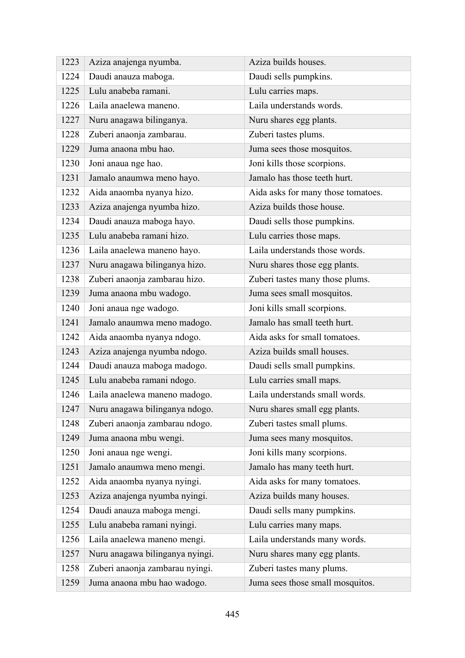| 1223 | Aziza anajenga nyumba.          | Aziza builds houses.               |
|------|---------------------------------|------------------------------------|
| 1224 | Daudi anauza maboga.            | Daudi sells pumpkins.              |
| 1225 | Lulu anabeba ramani.            | Lulu carries maps.                 |
| 1226 | Laila anaelewa maneno.          | Laila understands words.           |
| 1227 | Nuru anagawa bilinganya.        | Nuru shares egg plants.            |
| 1228 | Zuberi anaonja zambarau.        | Zuberi tastes plums.               |
| 1229 | Juma anaona mbu hao.            | Juma sees those mosquitos.         |
| 1230 | Joni anaua nge hao.             | Joni kills those scorpions.        |
| 1231 | Jamalo anaumwa meno hayo.       | Jamalo has those teeth hurt.       |
| 1232 | Aida anaomba nyanya hizo.       | Aida asks for many those tomatoes. |
| 1233 | Aziza anajenga nyumba hizo.     | Aziza builds those house.          |
| 1234 | Daudi anauza maboga hayo.       | Daudi sells those pumpkins.        |
| 1235 | Lulu anabeba ramani hizo.       | Lulu carries those maps.           |
| 1236 | Laila anaelewa maneno hayo.     | Laila understands those words.     |
| 1237 | Nuru anagawa bilinganya hizo.   | Nuru shares those egg plants.      |
| 1238 | Zuberi anaonja zambarau hizo.   | Zuberi tastes many those plums.    |
| 1239 | Juma anaona mbu wadogo.         | Juma sees small mosquitos.         |
| 1240 | Joni anaua nge wadogo.          | Joni kills small scorpions.        |
| 1241 | Jamalo anaumwa meno madogo.     | Jamalo has small teeth hurt.       |
| 1242 | Aida anaomba nyanya ndogo.      | Aida asks for small tomatoes.      |
| 1243 | Aziza anajenga nyumba ndogo.    | Aziza builds small houses.         |
| 1244 | Daudi anauza maboga madogo.     | Daudi sells small pumpkins.        |
| 1245 | Lulu anabeba ramani ndogo.      | Lulu carries small maps.           |
| 1246 | Laila anaelewa maneno madogo.   | Laila understands small words.     |
| 1247 | Nuru anagawa bilinganya ndogo.  | Nuru shares small egg plants.      |
| 1248 | Zuberi anaonja zambarau ndogo.  | Zuberi tastes small plums.         |
| 1249 | Juma anaona mbu wengi.          | Juma sees many mosquitos.          |
| 1250 | Joni anaua nge wengi.           | Joni kills many scorpions.         |
| 1251 | Jamalo anaumwa meno mengi.      | Jamalo has many teeth hurt.        |
| 1252 | Aida anaomba nyanya nyingi.     | Aida asks for many tomatoes.       |
| 1253 | Aziza anajenga nyumba nyingi.   | Aziza builds many houses.          |
| 1254 | Daudi anauza maboga mengi.      | Daudi sells many pumpkins.         |
| 1255 | Lulu anabeba ramani nyingi.     | Lulu carries many maps.            |
| 1256 | Laila anaelewa maneno mengi.    | Laila understands many words.      |
| 1257 | Nuru anagawa bilinganya nyingi. | Nuru shares many egg plants.       |
| 1258 | Zuberi anaonja zambarau nyingi. | Zuberi tastes many plums.          |
| 1259 | Juma anaona mbu hao wadogo.     | Juma sees those small mosquitos.   |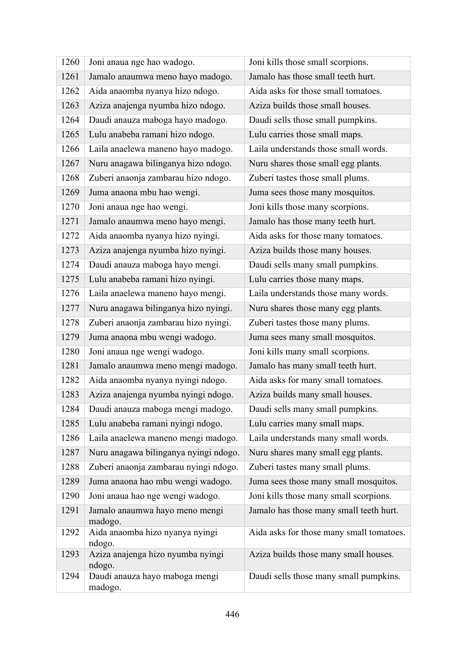| 1260 | Joni anaua nge hao wadogo.                  | Joni kills those small scorpions.        |
|------|---------------------------------------------|------------------------------------------|
| 1261 | Jamalo anaumwa meno hayo madogo.            | Jamalo has those small teeth hurt.       |
| 1262 | Aida anaomba nyanya hizo ndogo.             | Aida asks for those small tomatoes.      |
| 1263 | Aziza anajenga nyumba hizo ndogo.           | Aziza builds those small houses.         |
| 1264 | Daudi anauza maboga hayo madogo.            | Daudi sells those small pumpkins.        |
| 1265 | Lulu anabeba ramani hizo ndogo.             | Lulu carries those small maps.           |
| 1266 | Laila anaelewa maneno hayo madogo.          | Laila understands those small words.     |
| 1267 | Nuru anagawa bilinganya hizo ndogo.         | Nuru shares those small egg plants.      |
| 1268 | Zuberi anaonja zambarau hizo ndogo.         | Zuberi tastes those small plums.         |
| 1269 | Juma anaona mbu hao wengi.                  | Juma sees those many mosquitos.          |
| 1270 | Joni anaua nge hao wengi.                   | Joni kills those many scorpions.         |
| 1271 | Jamalo anaumwa meno hayo mengi.             | Jamalo has those many teeth hurt.        |
| 1272 | Aida anaomba nyanya hizo nyingi.            | Aida asks for those many tomatoes.       |
| 1273 | Aziza anajenga nyumba hizo nyingi.          | Aziza builds those many houses.          |
| 1274 | Daudi anauza maboga hayo mengi.             | Daudi sells many small pumpkins.         |
| 1275 | Lulu anabeba ramani hizo nyingi.            | Lulu carries those many maps.            |
| 1276 | Laila anaelewa maneno hayo mengi.           | Laila understands those many words.      |
| 1277 | Nuru anagawa bilinganya hizo nyingi.        | Nuru shares those many egg plants.       |
| 1278 | Zuberi anaonja zambarau hizo nyingi.        | Zuberi tastes those many plums.          |
| 1279 | Juma anaona mbu wengi wadogo.               | Juma sees many small mosquitos.          |
| 1280 | Joni anaua nge wengi wadogo.                | Joni kills many small scorpions.         |
| 1281 | Jamalo anaumwa meno mengi madogo.           | Jamalo has many small teeth hurt.        |
| 1282 | Aida anaomba nyanya nyingi ndogo.           | Aida asks for many small tomatoes.       |
| 1283 | Aziza anajenga nyumba nyingi ndogo.         | Aziza builds many small houses.          |
| 1284 | Daudi anauza maboga mengi madogo.           | Daudi sells many small pumpkins.         |
| 1285 | Lulu anabeba ramani nyingi ndogo.           | Lulu carries many small maps.            |
| 1286 | Laila anaelewa maneno mengi madogo.         | Laila understands many small words.      |
| 1287 | Nuru anagawa bilinganya nyingi ndogo.       | Nuru shares many small egg plants.       |
| 1288 | Zuberi anaonja zambarau nyingi ndogo.       | Zuberi tastes many small plums.          |
| 1289 | Juma anaona hao mbu wengi wadogo.           | Juma sees those many small mosquitos.    |
| 1290 | Joni anaua hao nge wengi wadogo.            | Joni kills those many small scorpions.   |
| 1291 | Jamalo anaumwa hayo meno mengi<br>madogo.   | Jamalo has those many small teeth hurt.  |
| 1292 | Aida anaomba hizo nyanya nyingi<br>ndogo.   | Aida asks for those many small tomatoes. |
| 1293 | Aziza anajenga hizo nyumba nyingi<br>ndogo. | Aziza builds those many small houses.    |
| 1294 | Daudi anauza hayo maboga mengi<br>madogo.   | Daudi sells those many small pumpkins.   |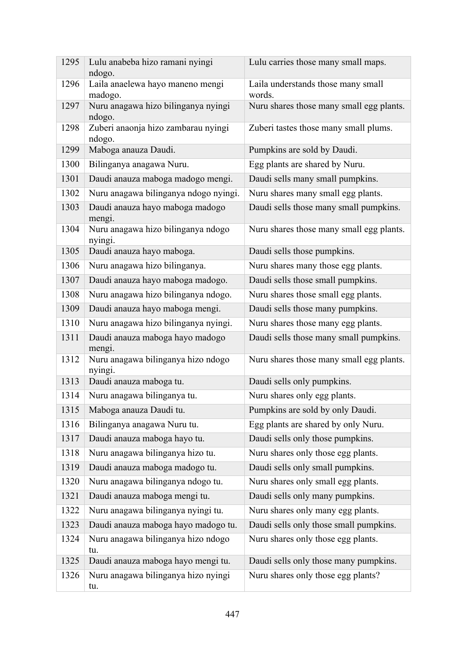| 1295 | Lulu anabeba hizo ramani nyingi<br>ndogo.     | Lulu carries those many small maps.          |
|------|-----------------------------------------------|----------------------------------------------|
| 1296 | Laila anaelewa hayo maneno mengi<br>madogo.   | Laila understands those many small<br>words. |
| 1297 | Nuru anagawa hizo bilinganya nyingi<br>ndogo. | Nuru shares those many small egg plants.     |
| 1298 | Zuberi anaonja hizo zambarau nyingi<br>ndogo. | Zuberi tastes those many small plums.        |
| 1299 | Maboga anauza Daudi.                          | Pumpkins are sold by Daudi.                  |
| 1300 | Bilinganya anagawa Nuru.                      | Egg plants are shared by Nuru.               |
| 1301 | Daudi anauza maboga madogo mengi.             | Daudi sells many small pumpkins.             |
| 1302 | Nuru anagawa bilinganya ndogo nyingi.         | Nuru shares many small egg plants.           |
| 1303 | Daudi anauza hayo maboga madogo<br>mengi.     | Daudi sells those many small pumpkins.       |
| 1304 | Nuru anagawa hizo bilinganya ndogo<br>nyingi. | Nuru shares those many small egg plants.     |
| 1305 | Daudi anauza hayo maboga.                     | Daudi sells those pumpkins.                  |
| 1306 | Nuru anagawa hizo bilinganya.                 | Nuru shares many those egg plants.           |
| 1307 | Daudi anauza hayo maboga madogo.              | Daudi sells those small pumpkins.            |
| 1308 | Nuru anagawa hizo bilinganya ndogo.           | Nuru shares those small egg plants.          |
| 1309 | Daudi anauza hayo maboga mengi.               | Daudi sells those many pumpkins.             |
| 1310 | Nuru anagawa hizo bilinganya nyingi.          | Nuru shares those many egg plants.           |
| 1311 | Daudi anauza maboga hayo madogo<br>mengi.     | Daudi sells those many small pumpkins.       |
| 1312 | Nuru anagawa bilinganya hizo ndogo<br>nyingi. | Nuru shares those many small egg plants.     |
| 1313 | Daudi anauza maboga tu.                       | Daudi sells only pumpkins.                   |
| 1314 | Nuru anagawa bilinganya tu.                   | Nuru shares only egg plants.                 |
| 1315 | Maboga anauza Daudi tu.                       | Pumpkins are sold by only Daudi.             |
| 1316 | Bilinganya anagawa Nuru tu.                   | Egg plants are shared by only Nuru.          |
| 1317 | Daudi anauza maboga hayo tu.                  | Daudi sells only those pumpkins.             |
| 1318 | Nuru anagawa bilinganya hizo tu.              | Nuru shares only those egg plants.           |
| 1319 | Daudi anauza maboga madogo tu.                | Daudi sells only small pumpkins.             |
| 1320 | Nuru anagawa bilinganya ndogo tu.             | Nuru shares only small egg plants.           |
| 1321 | Daudi anauza maboga mengi tu.                 | Daudi sells only many pumpkins.              |
| 1322 | Nuru anagawa bilinganya nyingi tu.            | Nuru shares only many egg plants.            |
| 1323 | Daudi anauza maboga hayo madogo tu.           | Daudi sells only those small pumpkins.       |
| 1324 | Nuru anagawa bilinganya hizo ndogo<br>tu.     | Nuru shares only those egg plants.           |
| 1325 | Daudi anauza maboga hayo mengi tu.            | Daudi sells only those many pumpkins.        |
| 1326 | Nuru anagawa bilinganya hizo nyingi<br>tu.    | Nuru shares only those egg plants?           |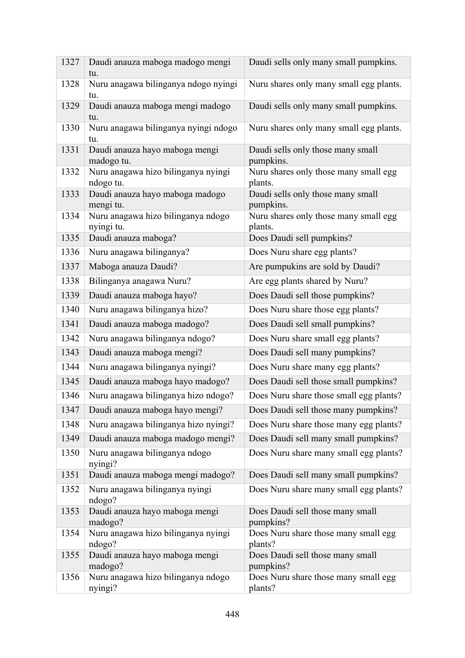| 1327 | Daudi anauza maboga madogo mengi<br>tu.          | Daudi sells only many small pumpkins.            |
|------|--------------------------------------------------|--------------------------------------------------|
| 1328 | Nuru anagawa bilinganya ndogo nyingi<br>tu.      | Nuru shares only many small egg plants.          |
| 1329 | Daudi anauza maboga mengi madogo<br>tu.          | Daudi sells only many small pumpkins.            |
| 1330 | Nuru anagawa bilinganya nyingi ndogo<br>tu.      | Nuru shares only many small egg plants.          |
| 1331 | Daudi anauza hayo maboga mengi<br>madogo tu.     | Daudi sells only those many small<br>pumpkins.   |
| 1332 | Nuru anagawa hizo bilinganya nyingi<br>ndogo tu. | Nuru shares only those many small egg<br>plants. |
| 1333 | Daudi anauza hayo maboga madogo<br>mengi tu.     | Daudi sells only those many small<br>pumpkins.   |
| 1334 | Nuru anagawa hizo bilinganya ndogo<br>nyingi tu. | Nuru shares only those many small egg<br>plants. |
| 1335 | Daudi anauza maboga?                             | Does Daudi sell pumpkins?                        |
| 1336 | Nuru anagawa bilinganya?                         | Does Nuru share egg plants?                      |
| 1337 | Maboga anauza Daudi?                             | Are pumpukins are sold by Daudi?                 |
| 1338 | Bilinganya anagawa Nuru?                         | Are egg plants shared by Nuru?                   |
| 1339 | Daudi anauza maboga hayo?                        | Does Daudi sell those pumpkins?                  |
| 1340 | Nuru anagawa bilinganya hizo?                    | Does Nuru share those egg plants?                |
| 1341 | Daudi anauza maboga madogo?                      | Does Daudi sell small pumpkins?                  |
| 1342 | Nuru anagawa bilinganya ndogo?                   | Does Nuru share small egg plants?                |
| 1343 | Daudi anauza maboga mengi?                       | Does Daudi sell many pumpkins?                   |
| 1344 | Nuru anagawa bilinganya nyingi?                  | Does Nuru share many egg plants?                 |
| 1345 | Daudi anauza maboga hayo madogo?                 | Does Daudi sell those small pumpkins?            |
| 1346 | Nuru anagawa bilinganya hizo ndogo?              | Does Nuru share those small egg plants?          |
| 1347 | Daudi anauza maboga hayo mengi?                  | Does Daudi sell those many pumpkins?             |
| 1348 | Nuru anagawa bilinganya hizo nyingi?             | Does Nuru share those many egg plants?           |
| 1349 | Daudi anauza maboga madogo mengi?                | Does Daudi sell many small pumpkins?             |
| 1350 | Nuru anagawa bilinganya ndogo<br>nyingi?         | Does Nuru share many small egg plants?           |
| 1351 | Daudi anauza maboga mengi madogo?                | Does Daudi sell many small pumpkins?             |
| 1352 | Nuru anagawa bilinganya nyingi<br>ndogo?         | Does Nuru share many small egg plants?           |
| 1353 | Daudi anauza hayo maboga mengi<br>madogo?        | Does Daudi sell those many small<br>pumpkins?    |
| 1354 | Nuru anagawa hizo bilinganya nyingi<br>ndogo?    | Does Nuru share those many small egg<br>plants?  |
| 1355 | Daudi anauza hayo maboga mengi<br>madogo?        | Does Daudi sell those many small<br>pumpkins?    |
| 1356 | Nuru anagawa hizo bilinganya ndogo<br>nyingi?    | Does Nuru share those many small egg<br>plants?  |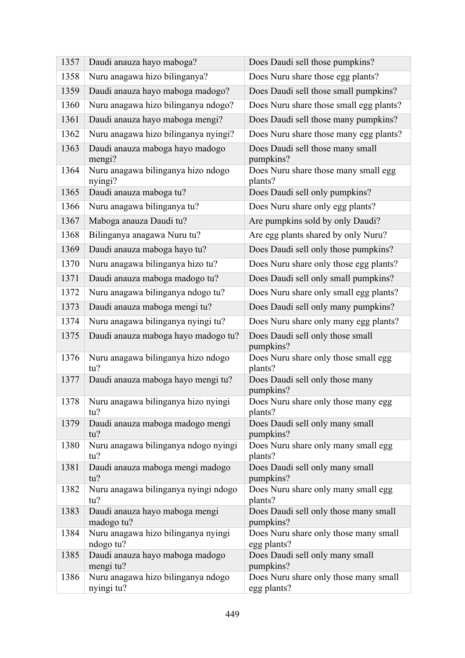| 1357 | Daudi anauza hayo maboga?                        | Does Daudi sell those pumpkins?                      |
|------|--------------------------------------------------|------------------------------------------------------|
| 1358 | Nuru anagawa hizo bilinganya?                    | Does Nuru share those egg plants?                    |
| 1359 | Daudi anauza hayo maboga madogo?                 | Does Daudi sell those small pumpkins?                |
| 1360 | Nuru anagawa hizo bilinganya ndogo?              | Does Nuru share those small egg plants?              |
| 1361 | Daudi anauza hayo maboga mengi?                  | Does Daudi sell those many pumpkins?                 |
| 1362 | Nuru anagawa hizo bilinganya nyingi?             | Does Nuru share those many egg plants?               |
| 1363 | Daudi anauza maboga hayo madogo<br>mengi?        | Does Daudi sell those many small<br>pumpkins?        |
| 1364 | Nuru anagawa bilinganya hizo ndogo<br>nyingi?    | Does Nuru share those many small egg<br>plants?      |
| 1365 | Daudi anauza maboga tu?                          | Does Daudi sell only pumpkins?                       |
| 1366 | Nuru anagawa bilinganya tu?                      | Does Nuru share only egg plants?                     |
| 1367 | Maboga anauza Daudi tu?                          | Are pumpkins sold by only Daudi?                     |
| 1368 | Bilinganya anagawa Nuru tu?                      | Are egg plants shared by only Nuru?                  |
| 1369 | Daudi anauza maboga hayo tu?                     | Does Daudi sell only those pumpkins?                 |
| 1370 | Nuru anagawa bilinganya hizo tu?                 | Does Nuru share only those egg plants?               |
| 1371 | Daudi anauza maboga madogo tu?                   | Does Daudi sell only small pumpkins?                 |
| 1372 | Nuru anagawa bilinganya ndogo tu?                | Does Nuru share only small egg plants?               |
| 1373 | Daudi anauza maboga mengi tu?                    | Does Daudi sell only many pumpkins?                  |
| 1374 | Nuru anagawa bilinganya nyingi tu?               | Does Nuru share only many egg plants?                |
| 1375 | Daudi anauza maboga hayo madogo tu?              | Does Daudi sell only those small<br>pumpkins?        |
| 1376 | Nuru anagawa bilinganya hizo ndogo<br>tu?        | Does Nuru share only those small egg<br>plants?      |
| 1377 | Daudi anauza maboga hayo mengi tu?               | Does Daudi sell only those many<br>pumpkins?         |
| 1378 | Nuru anagawa bilinganya hizo nyingi<br>tu?       | Does Nuru share only those many egg<br>plants?       |
| 1379 | Daudi anauza maboga madogo mengi<br>tu?          | Does Daudi sell only many small<br>pumpkins?         |
| 1380 | Nuru anagawa bilinganya ndogo nyingi<br>tu?      | Does Nuru share only many small egg<br>plants?       |
| 1381 | Daudi anauza maboga mengi madogo<br>tu?          | Does Daudi sell only many small<br>pumpkins?         |
| 1382 | Nuru anagawa bilinganya nyingi ndogo<br>tu?      | Does Nuru share only many small egg<br>plants?       |
| 1383 | Daudi anauza hayo maboga mengi<br>madogo tu?     | Does Daudi sell only those many small<br>pumpkins?   |
| 1384 | Nuru anagawa hizo bilinganya nyingi<br>ndogo tu? | Does Nuru share only those many small<br>egg plants? |
| 1385 | Daudi anauza hayo maboga madogo<br>mengi tu?     | Does Daudi sell only many small<br>pumpkins?         |
| 1386 | Nuru anagawa hizo bilinganya ndogo<br>nyingi tu? | Does Nuru share only those many small<br>egg plants? |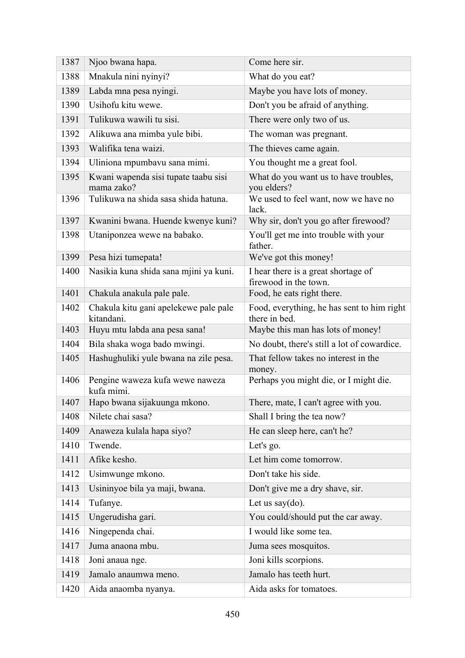| 1387 | Njoo bwana hapa.                                    | Come here sir.                                               |
|------|-----------------------------------------------------|--------------------------------------------------------------|
| 1388 | Mnakula nini nyinyi?                                | What do you eat?                                             |
| 1389 | Labda mna pesa nyingi.                              | Maybe you have lots of money.                                |
| 1390 | Usihofu kitu wewe.                                  | Don't you be afraid of anything.                             |
| 1391 | Tulikuwa wawili tu sisi.                            | There were only two of us.                                   |
| 1392 | Alikuwa ana mimba yule bibi.                        | The woman was pregnant.                                      |
| 1393 | Walifika tena waizi.                                | The thieves came again.                                      |
| 1394 | Uliniona mpumbavu sana mimi.                        | You thought me a great fool.                                 |
| 1395 | Kwani wapenda sisi tupate taabu sisi<br>mama zako?  | What do you want us to have troubles,<br>you elders?         |
| 1396 | Tulikuwa na shida sasa shida hatuna.                | We used to feel want, now we have no<br>lack.                |
| 1397 | Kwanini bwana. Huende kwenye kuni?                  | Why sir, don't you go after firewood?                        |
| 1398 | Utaniponzea wewe na babako.                         | You'll get me into trouble with your<br>father.              |
| 1399 | Pesa hizi tumepata!                                 | We've got this money!                                        |
| 1400 | Nasikia kuna shida sana mjini ya kuni.              | I hear there is a great shortage of<br>firewood in the town. |
| 1401 | Chakula anakula pale pale.                          | Food, he eats right there.                                   |
| 1402 | Chakula kitu gani apelekewe pale pale<br>kitandani. | Food, everything, he has sent to him right<br>there in bed.  |
| 1403 | Huyu mtu labda ana pesa sana!                       | Maybe this man has lots of money!                            |
| 1404 | Bila shaka woga bado mwingi.                        | No doubt, there's still a lot of cowardice.                  |
| 1405 | Hashughuliki yule bwana na zile pesa.               | That fellow takes no interest in the<br>money.               |
| 1406 | Pengine waweza kufa wewe naweza<br>kufa mimi.       | Perhaps you might die, or I might die.                       |
| 1407 | Hapo bwana sijakuunga mkono.                        | There, mate, I can't agree with you.                         |
| 1408 | Nilete chai sasa?                                   | Shall I bring the tea now?                                   |
| 1409 | Anaweza kulala hapa siyo?                           | He can sleep here, can't he?                                 |
| 1410 | Twende.                                             | Let's go.                                                    |
| 1411 | Afike kesho.                                        | Let him come tomorrow.                                       |
| 1412 | Usimwunge mkono.                                    | Don't take his side.                                         |
| 1413 | Usininyoe bila ya maji, bwana.                      | Don't give me a dry shave, sir.                              |
| 1414 | Tufanye.                                            | Let us say $(do)$ .                                          |
| 1415 | Ungerudisha gari.                                   | You could/should put the car away.                           |
| 1416 | Ningependa chai.                                    | I would like some tea.                                       |
| 1417 | Juma anaona mbu.                                    | Juma sees mosquitos.                                         |
| 1418 | Joni anaua nge.                                     | Joni kills scorpions.                                        |
| 1419 | Jamalo anaumwa meno.                                | Jamalo has teeth hurt.                                       |
| 1420 | Aida anaomba nyanya.                                | Aida asks for tomatoes.                                      |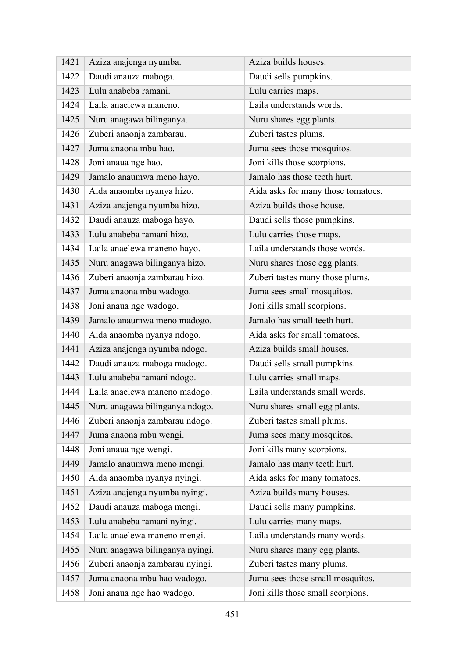| 1421 | Aziza anajenga nyumba.          | Aziza builds houses.               |
|------|---------------------------------|------------------------------------|
| 1422 | Daudi anauza maboga.            | Daudi sells pumpkins.              |
| 1423 | Lulu anabeba ramani.            | Lulu carries maps.                 |
| 1424 | Laila anaelewa maneno.          | Laila understands words.           |
| 1425 | Nuru anagawa bilinganya.        | Nuru shares egg plants.            |
| 1426 | Zuberi anaonja zambarau.        | Zuberi tastes plums.               |
| 1427 | Juma anaona mbu hao.            | Juma sees those mosquitos.         |
| 1428 | Joni anaua nge hao.             | Joni kills those scorpions.        |
| 1429 | Jamalo anaumwa meno hayo.       | Jamalo has those teeth hurt.       |
| 1430 | Aida anaomba nyanya hizo.       | Aida asks for many those tomatoes. |
| 1431 | Aziza anajenga nyumba hizo.     | Aziza builds those house.          |
| 1432 | Daudi anauza maboga hayo.       | Daudi sells those pumpkins.        |
| 1433 | Lulu anabeba ramani hizo.       | Lulu carries those maps.           |
| 1434 | Laila anaelewa maneno hayo.     | Laila understands those words.     |
| 1435 | Nuru anagawa bilinganya hizo.   | Nuru shares those egg plants.      |
| 1436 | Zuberi anaonja zambarau hizo.   | Zuberi tastes many those plums.    |
| 1437 | Juma anaona mbu wadogo.         | Juma sees small mosquitos.         |
| 1438 | Joni anaua nge wadogo.          | Joni kills small scorpions.        |
| 1439 | Jamalo anaumwa meno madogo.     | Jamalo has small teeth hurt.       |
| 1440 | Aida anaomba nyanya ndogo.      | Aida asks for small tomatoes.      |
| 1441 | Aziza anajenga nyumba ndogo.    | Aziza builds small houses.         |
| 1442 | Daudi anauza maboga madogo.     | Daudi sells small pumpkins.        |
| 1443 | Lulu anabeba ramani ndogo.      | Lulu carries small maps.           |
| 1444 | Laila anaelewa maneno madogo.   | Laila understands small words.     |
| 1445 | Nuru anagawa bilinganya ndogo.  | Nuru shares small egg plants.      |
| 1446 | Zuberi anaonja zambarau ndogo.  | Zuberi tastes small plums.         |
| 1447 | Juma anaona mbu wengi.          | Juma sees many mosquitos.          |
| 1448 | Joni anaua nge wengi.           | Joni kills many scorpions.         |
| 1449 | Jamalo anaumwa meno mengi.      | Jamalo has many teeth hurt.        |
| 1450 | Aida anaomba nyanya nyingi.     | Aida asks for many tomatoes.       |
| 1451 | Aziza anajenga nyumba nyingi.   | Aziza builds many houses.          |
| 1452 | Daudi anauza maboga mengi.      | Daudi sells many pumpkins.         |
| 1453 | Lulu anabeba ramani nyingi.     | Lulu carries many maps.            |
| 1454 | Laila anaelewa maneno mengi.    | Laila understands many words.      |
| 1455 | Nuru anagawa bilinganya nyingi. | Nuru shares many egg plants.       |
| 1456 | Zuberi anaonja zambarau nyingi. | Zuberi tastes many plums.          |
| 1457 | Juma anaona mbu hao wadogo.     | Juma sees those small mosquitos.   |
| 1458 | Joni anaua nge hao wadogo.      | Joni kills those small scorpions.  |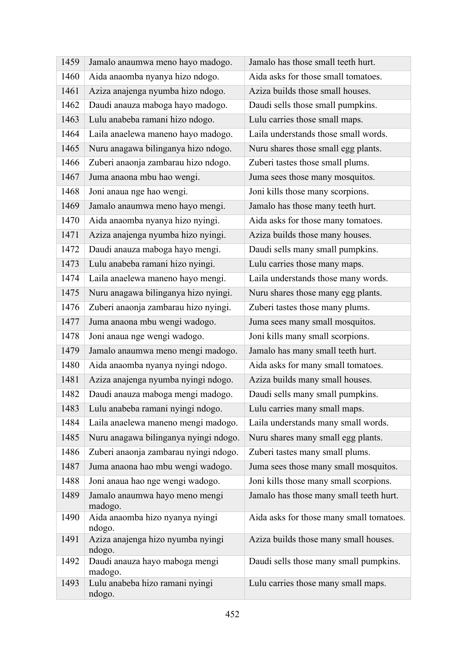| 1459 | Jamalo anaumwa meno hayo madogo.            | Jamalo has those small teeth hurt.       |
|------|---------------------------------------------|------------------------------------------|
| 1460 | Aida anaomba nyanya hizo ndogo.             | Aida asks for those small tomatoes.      |
| 1461 | Aziza anajenga nyumba hizo ndogo.           | Aziza builds those small houses.         |
| 1462 | Daudi anauza maboga hayo madogo.            | Daudi sells those small pumpkins.        |
| 1463 | Lulu anabeba ramani hizo ndogo.             | Lulu carries those small maps.           |
| 1464 | Laila anaelewa maneno hayo madogo.          | Laila understands those small words.     |
| 1465 | Nuru anagawa bilinganya hizo ndogo.         | Nuru shares those small egg plants.      |
| 1466 | Zuberi anaonja zambarau hizo ndogo.         | Zuberi tastes those small plums.         |
| 1467 | Juma anaona mbu hao wengi.                  | Juma sees those many mosquitos.          |
| 1468 | Joni anaua nge hao wengi.                   | Joni kills those many scorpions.         |
| 1469 | Jamalo anaumwa meno hayo mengi.             | Jamalo has those many teeth hurt.        |
| 1470 | Aida anaomba nyanya hizo nyingi.            | Aida asks for those many tomatoes.       |
| 1471 | Aziza anajenga nyumba hizo nyingi.          | Aziza builds those many houses.          |
| 1472 | Daudi anauza maboga hayo mengi.             | Daudi sells many small pumpkins.         |
| 1473 | Lulu anabeba ramani hizo nyingi.            | Lulu carries those many maps.            |
| 1474 | Laila anaelewa maneno hayo mengi.           | Laila understands those many words.      |
| 1475 | Nuru anagawa bilinganya hizo nyingi.        | Nuru shares those many egg plants.       |
| 1476 | Zuberi anaonja zambarau hizo nyingi.        | Zuberi tastes those many plums.          |
| 1477 | Juma anaona mbu wengi wadogo.               | Juma sees many small mosquitos.          |
| 1478 | Joni anaua nge wengi wadogo.                | Joni kills many small scorpions.         |
| 1479 | Jamalo anaumwa meno mengi madogo.           | Jamalo has many small teeth hurt.        |
| 1480 | Aida anaomba nyanya nyingi ndogo.           | Aida asks for many small tomatoes.       |
| 1481 | Aziza anajenga nyumba nyingi ndogo.         | Aziza builds many small houses.          |
| 1482 | Daudi anauza maboga mengi madogo.           | Daudi sells many small pumpkins.         |
| 1483 | Lulu anabeba ramani nyingi ndogo.           | Lulu carries many small maps.            |
| 1484 | Laila anaelewa maneno mengi madogo.         | Laila understands many small words.      |
| 1485 | Nuru anagawa bilinganya nyingi ndogo.       | Nuru shares many small egg plants.       |
| 1486 | Zuberi anaonja zambarau nyingi ndogo.       | Zuberi tastes many small plums.          |
| 1487 | Juma anaona hao mbu wengi wadogo.           | Juma sees those many small mosquitos.    |
| 1488 | Joni anaua hao nge wengi wadogo.            | Joni kills those many small scorpions.   |
| 1489 | Jamalo anaumwa hayo meno mengi<br>madogo.   | Jamalo has those many small teeth hurt.  |
| 1490 | Aida anaomba hizo nyanya nyingi<br>ndogo.   | Aida asks for those many small tomatoes. |
| 1491 | Aziza anajenga hizo nyumba nyingi<br>ndogo. | Aziza builds those many small houses.    |
| 1492 | Daudi anauza hayo maboga mengi<br>madogo.   | Daudi sells those many small pumpkins.   |
| 1493 | Lulu anabeba hizo ramani nyingi<br>ndogo.   | Lulu carries those many small maps.      |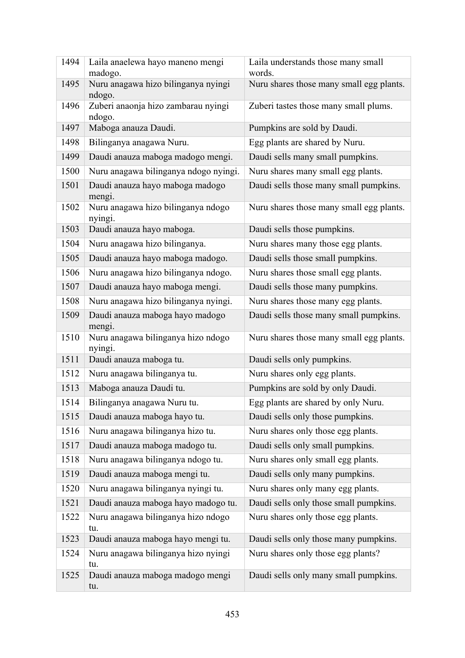| 1494 | Laila anaelewa hayo maneno mengi<br>madogo.   | Laila understands those many small<br>words. |
|------|-----------------------------------------------|----------------------------------------------|
| 1495 | Nuru anagawa hizo bilinganya nyingi           | Nuru shares those many small egg plants.     |
| 1496 | ndogo.<br>Zuberi anaonja hizo zambarau nyingi | Zuberi tastes those many small plums.        |
|      | ndogo.                                        |                                              |
| 1497 | Maboga anauza Daudi.                          | Pumpkins are sold by Daudi.                  |
| 1498 | Bilinganya anagawa Nuru.                      | Egg plants are shared by Nuru.               |
| 1499 | Daudi anauza maboga madogo mengi.             | Daudi sells many small pumpkins.             |
| 1500 | Nuru anagawa bilinganya ndogo nyingi.         | Nuru shares many small egg plants.           |
| 1501 | Daudi anauza hayo maboga madogo<br>mengi.     | Daudi sells those many small pumpkins.       |
| 1502 | Nuru anagawa hizo bilinganya ndogo<br>nyingi. | Nuru shares those many small egg plants.     |
| 1503 | Daudi anauza hayo maboga.                     | Daudi sells those pumpkins.                  |
| 1504 | Nuru anagawa hizo bilinganya.                 | Nuru shares many those egg plants.           |
| 1505 | Daudi anauza hayo maboga madogo.              | Daudi sells those small pumpkins.            |
| 1506 | Nuru anagawa hizo bilinganya ndogo.           | Nuru shares those small egg plants.          |
| 1507 | Daudi anauza hayo maboga mengi.               | Daudi sells those many pumpkins.             |
| 1508 | Nuru anagawa hizo bilinganya nyingi.          | Nuru shares those many egg plants.           |
| 1509 | Daudi anauza maboga hayo madogo<br>mengi.     | Daudi sells those many small pumpkins.       |
| 1510 | Nuru anagawa bilinganya hizo ndogo<br>nyingi. | Nuru shares those many small egg plants.     |
| 1511 | Daudi anauza maboga tu.                       | Daudi sells only pumpkins.                   |
| 1512 | Nuru anagawa bilinganya tu.                   | Nuru shares only egg plants.                 |
| 1513 | Maboga anauza Daudi tu.                       | Pumpkins are sold by only Daudi.             |
| 1514 | Bilinganya anagawa Nuru tu.                   | Egg plants are shared by only Nuru.          |
| 1515 | Daudi anauza maboga hayo tu.                  | Daudi sells only those pumpkins.             |
| 1516 | Nuru anagawa bilinganya hizo tu.              | Nuru shares only those egg plants.           |
| 1517 | Daudi anauza maboga madogo tu.                | Daudi sells only small pumpkins.             |
| 1518 | Nuru anagawa bilinganya ndogo tu.             | Nuru shares only small egg plants.           |
| 1519 | Daudi anauza maboga mengi tu.                 | Daudi sells only many pumpkins.              |
| 1520 | Nuru anagawa bilinganya nyingi tu.            | Nuru shares only many egg plants.            |
| 1521 | Daudi anauza maboga hayo madogo tu.           | Daudi sells only those small pumpkins.       |
| 1522 | Nuru anagawa bilinganya hizo ndogo<br>tu.     | Nuru shares only those egg plants.           |
| 1523 | Daudi anauza maboga hayo mengi tu.            | Daudi sells only those many pumpkins.        |
| 1524 | Nuru anagawa bilinganya hizo nyingi<br>tu.    | Nuru shares only those egg plants?           |
| 1525 | Daudi anauza maboga madogo mengi<br>tu.       | Daudi sells only many small pumpkins.        |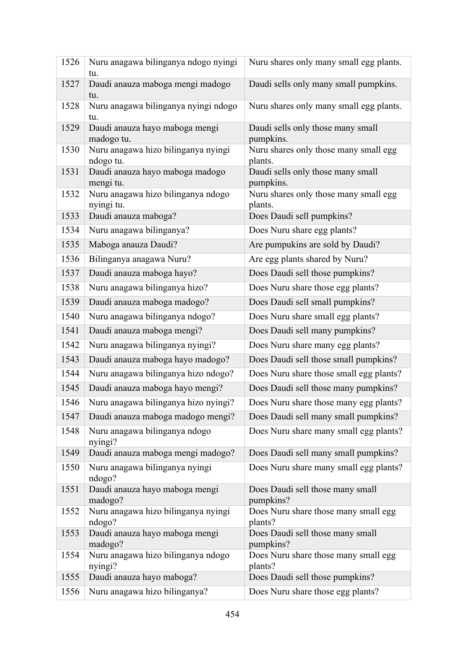| 1526 | Nuru anagawa bilinganya ndogo nyingi<br>tu.      | Nuru shares only many small egg plants.          |
|------|--------------------------------------------------|--------------------------------------------------|
| 1527 | Daudi anauza maboga mengi madogo<br>tu.          | Daudi sells only many small pumpkins.            |
| 1528 | Nuru anagawa bilinganya nyingi ndogo<br>tu.      | Nuru shares only many small egg plants.          |
| 1529 | Daudi anauza hayo maboga mengi<br>madogo tu.     | Daudi sells only those many small<br>pumpkins.   |
| 1530 | Nuru anagawa hizo bilinganya nyingi<br>ndogo tu. | Nuru shares only those many small egg<br>plants. |
| 1531 | Daudi anauza hayo maboga madogo<br>mengi tu.     | Daudi sells only those many small<br>pumpkins.   |
| 1532 | Nuru anagawa hizo bilinganya ndogo<br>nyingi tu. | Nuru shares only those many small egg<br>plants. |
| 1533 | Daudi anauza maboga?                             | Does Daudi sell pumpkins?                        |
| 1534 | Nuru anagawa bilinganya?                         | Does Nuru share egg plants?                      |
| 1535 | Maboga anauza Daudi?                             | Are pumpukins are sold by Daudi?                 |
| 1536 | Bilinganya anagawa Nuru?                         | Are egg plants shared by Nuru?                   |
| 1537 | Daudi anauza maboga hayo?                        | Does Daudi sell those pumpkins?                  |
| 1538 | Nuru anagawa bilinganya hizo?                    | Does Nuru share those egg plants?                |
| 1539 | Daudi anauza maboga madogo?                      | Does Daudi sell small pumpkins?                  |
| 1540 | Nuru anagawa bilinganya ndogo?                   | Does Nuru share small egg plants?                |
| 1541 | Daudi anauza maboga mengi?                       | Does Daudi sell many pumpkins?                   |
| 1542 | Nuru anagawa bilinganya nyingi?                  | Does Nuru share many egg plants?                 |
| 1543 | Daudi anauza maboga hayo madogo?                 | Does Daudi sell those small pumpkins?            |
| 1544 | Nuru anagawa bilinganya hizo ndogo?              | Does Nuru share those small egg plants?          |
| 1545 | Daudi anauza maboga hayo mengi?                  | Does Daudi sell those many pumpkins?             |
| 1546 | Nuru anagawa bilinganya hizo nyingi?             | Does Nuru share those many egg plants?           |
| 1547 | Daudi anauza maboga madogo mengi?                | Does Daudi sell many small pumpkins?             |
| 1548 | Nuru anagawa bilinganya ndogo<br>nyingi?         | Does Nuru share many small egg plants?           |
| 1549 | Daudi anauza maboga mengi madogo?                | Does Daudi sell many small pumpkins?             |
| 1550 | Nuru anagawa bilinganya nyingi<br>ndogo?         | Does Nuru share many small egg plants?           |
| 1551 | Daudi anauza hayo maboga mengi<br>madogo?        | Does Daudi sell those many small<br>pumpkins?    |
| 1552 | Nuru anagawa hizo bilinganya nyingi<br>ndogo?    | Does Nuru share those many small egg<br>plants?  |
| 1553 | Daudi anauza hayo maboga mengi<br>madogo?        | Does Daudi sell those many small<br>pumpkins?    |
| 1554 | Nuru anagawa hizo bilinganya ndogo<br>nyingi?    | Does Nuru share those many small egg<br>plants?  |
| 1555 | Daudi anauza hayo maboga?                        | Does Daudi sell those pumpkins?                  |
| 1556 | Nuru anagawa hizo bilinganya?                    | Does Nuru share those egg plants?                |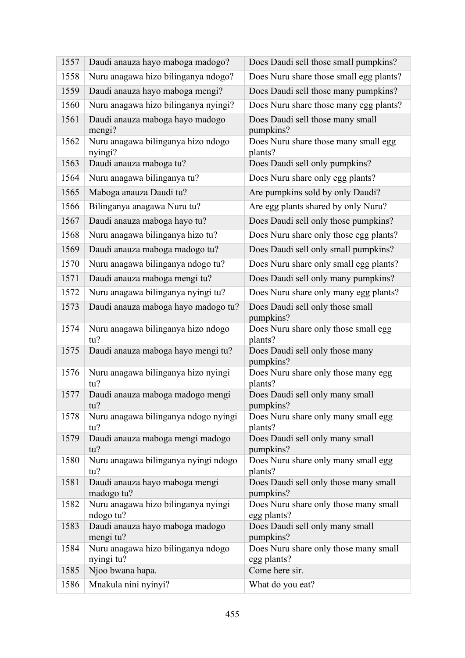| 1557 | Daudi anauza hayo maboga madogo?                 | Does Daudi sell those small pumpkins?                |
|------|--------------------------------------------------|------------------------------------------------------|
| 1558 | Nuru anagawa hizo bilinganya ndogo?              | Does Nuru share those small egg plants?              |
| 1559 | Daudi anauza hayo maboga mengi?                  | Does Daudi sell those many pumpkins?                 |
| 1560 | Nuru anagawa hizo bilinganya nyingi?             | Does Nuru share those many egg plants?               |
| 1561 | Daudi anauza maboga hayo madogo<br>mengi?        | Does Daudi sell those many small<br>pumpkins?        |
| 1562 | Nuru anagawa bilinganya hizo ndogo<br>nyingi?    | Does Nuru share those many small egg<br>plants?      |
| 1563 | Daudi anauza maboga tu?                          | Does Daudi sell only pumpkins?                       |
| 1564 | Nuru anagawa bilinganya tu?                      | Does Nuru share only egg plants?                     |
| 1565 | Maboga anauza Daudi tu?                          | Are pumpkins sold by only Daudi?                     |
| 1566 | Bilinganya anagawa Nuru tu?                      | Are egg plants shared by only Nuru?                  |
| 1567 | Daudi anauza maboga hayo tu?                     | Does Daudi sell only those pumpkins?                 |
| 1568 | Nuru anagawa bilinganya hizo tu?                 | Does Nuru share only those egg plants?               |
| 1569 | Daudi anauza maboga madogo tu?                   | Does Daudi sell only small pumpkins?                 |
| 1570 | Nuru anagawa bilinganya ndogo tu?                | Does Nuru share only small egg plants?               |
| 1571 | Daudi anauza maboga mengi tu?                    | Does Daudi sell only many pumpkins?                  |
| 1572 | Nuru anagawa bilinganya nyingi tu?               | Does Nuru share only many egg plants?                |
| 1573 | Daudi anauza maboga hayo madogo tu?              | Does Daudi sell only those small<br>pumpkins?        |
| 1574 | Nuru anagawa bilinganya hizo ndogo               | Does Nuru share only those small egg                 |
|      | tu?                                              | plants?                                              |
| 1575 | Daudi anauza maboga hayo mengi tu?               | Does Daudi sell only those many<br>pumpkins?         |
| 1576 | Nuru anagawa bilinganya hizo nyingi<br>tu?       | Does Nuru share only those many egg<br>plants?       |
| 1577 | Daudi anauza maboga madogo mengi<br>$tu$ ?       | Does Daudi sell only many small<br>pumpkins?         |
| 1578 | Nuru anagawa bilinganya ndogo nyingi<br>tu?      | Does Nuru share only many small egg<br>plants?       |
| 1579 | Daudi anauza maboga mengi madogo<br>tu?          | Does Daudi sell only many small<br>pumpkins?         |
| 1580 | Nuru anagawa bilinganya nyingi ndogo<br>tu?      | Does Nuru share only many small egg<br>plants?       |
| 1581 | Daudi anauza hayo maboga mengi<br>madogo tu?     | Does Daudi sell only those many small<br>pumpkins?   |
| 1582 | Nuru anagawa hizo bilinganya nyingi<br>ndogo tu? | Does Nuru share only those many small<br>egg plants? |
| 1583 | Daudi anauza hayo maboga madogo<br>mengi tu?     | Does Daudi sell only many small<br>pumpkins?         |
| 1584 | Nuru anagawa hizo bilinganya ndogo<br>nyingi tu? | Does Nuru share only those many small<br>egg plants? |
| 1585 | Njoo bwana hapa.                                 | Come here sir.                                       |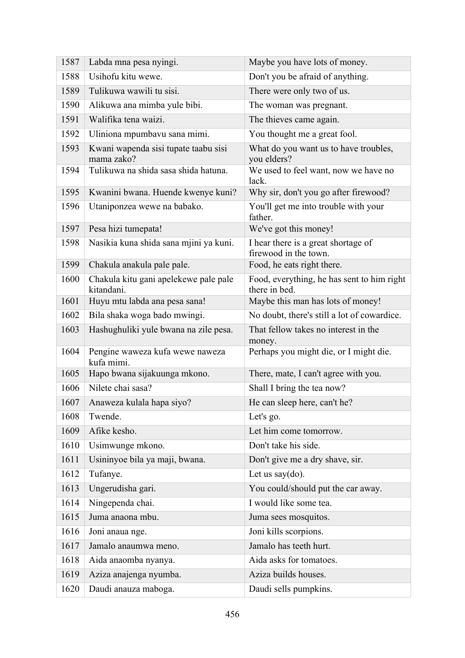| 1587 | Labda mna pesa nyingi.                              | Maybe you have lots of money.                                |
|------|-----------------------------------------------------|--------------------------------------------------------------|
| 1588 | Usihofu kitu wewe.                                  | Don't you be afraid of anything.                             |
| 1589 | Tulikuwa wawili tu sisi.                            | There were only two of us.                                   |
| 1590 | Alikuwa ana mimba yule bibi.                        | The woman was pregnant.                                      |
| 1591 | Walifika tena waizi.                                | The thieves came again.                                      |
| 1592 | Uliniona mpumbavu sana mimi.                        | You thought me a great fool.                                 |
| 1593 | Kwani wapenda sisi tupate taabu sisi<br>mama zako?  | What do you want us to have troubles,<br>you elders?         |
| 1594 | Tulikuwa na shida sasa shida hatuna.                | We used to feel want, now we have no<br>lack.                |
| 1595 | Kwanini bwana. Huende kwenye kuni?                  | Why sir, don't you go after firewood?                        |
| 1596 | Utaniponzea wewe na babako.                         | You'll get me into trouble with your<br>father.              |
| 1597 | Pesa hizi tumepata!                                 | We've got this money!                                        |
| 1598 | Nasikia kuna shida sana mjini ya kuni.              | I hear there is a great shortage of<br>firewood in the town. |
| 1599 | Chakula anakula pale pale.                          | Food, he eats right there.                                   |
| 1600 | Chakula kitu gani apelekewe pale pale<br>kitandani. | Food, everything, he has sent to him right<br>there in bed.  |
| 1601 | Huyu mtu labda ana pesa sana!                       | Maybe this man has lots of money!                            |
| 1602 | Bila shaka woga bado mwingi.                        | No doubt, there's still a lot of cowardice.                  |
| 1603 | Hashughuliki yule bwana na zile pesa.               | That fellow takes no interest in the<br>money.               |
| 1604 | Pengine waweza kufa wewe naweza<br>kufa mimi.       | Perhaps you might die, or I might die.                       |
| 1605 | Hapo bwana sijakuunga mkono.                        | There, mate, I can't agree with you.                         |
| 1606 | Nilete chai sasa?                                   | Shall I bring the tea now?                                   |
| 1607 | Anaweza kulala hapa siyo?                           | He can sleep here, can't he?                                 |
| 1608 | Twende.                                             | Let's go.                                                    |
| 1609 | Afike kesho.                                        | Let him come tomorrow.                                       |
| 1610 | Usimwunge mkono.                                    | Don't take his side.                                         |
| 1611 | Usininyoe bila ya maji, bwana.                      | Don't give me a dry shave, sir.                              |
| 1612 | Tufanye.                                            | Let us say $(do)$ .                                          |
| 1613 | Ungerudisha gari.                                   | You could/should put the car away.                           |
| 1614 | Ningependa chai.                                    | I would like some tea.                                       |
| 1615 | Juma anaona mbu.                                    | Juma sees mosquitos.                                         |
| 1616 | Joni anaua nge.                                     | Joni kills scorpions.                                        |
| 1617 | Jamalo anaumwa meno.                                | Jamalo has teeth hurt.                                       |
| 1618 | Aida anaomba nyanya.                                | Aida asks for tomatoes.                                      |
| 1619 | Aziza anajenga nyumba.                              | Aziza builds houses.                                         |
| 1620 | Daudi anauza maboga.                                | Daudi sells pumpkins.                                        |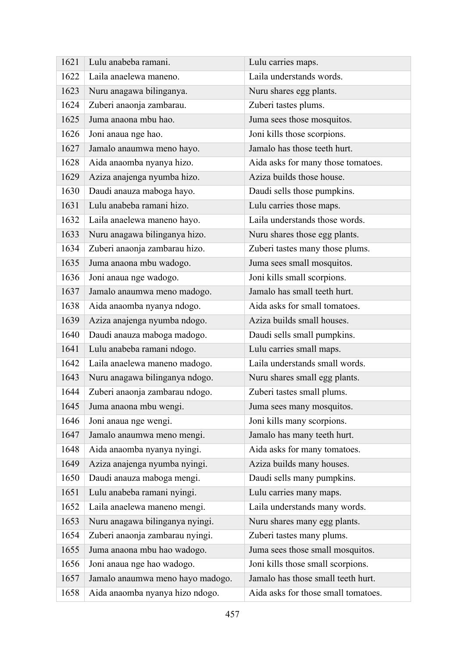| 1621 | Lulu anabeba ramani.             | Lulu carries maps.                  |
|------|----------------------------------|-------------------------------------|
| 1622 | Laila anaelewa maneno.           | Laila understands words.            |
| 1623 | Nuru anagawa bilinganya.         | Nuru shares egg plants.             |
| 1624 | Zuberi anaonja zambarau.         | Zuberi tastes plums.                |
| 1625 | Juma anaona mbu hao.             | Juma sees those mosquitos.          |
| 1626 | Joni anaua nge hao.              | Joni kills those scorpions.         |
| 1627 | Jamalo anaumwa meno hayo.        | Jamalo has those teeth hurt.        |
| 1628 | Aida anaomba nyanya hizo.        | Aida asks for many those tomatoes.  |
| 1629 | Aziza anajenga nyumba hizo.      | Aziza builds those house.           |
| 1630 | Daudi anauza maboga hayo.        | Daudi sells those pumpkins.         |
| 1631 | Lulu anabeba ramani hizo.        | Lulu carries those maps.            |
| 1632 | Laila anaelewa maneno hayo.      | Laila understands those words.      |
| 1633 | Nuru anagawa bilinganya hizo.    | Nuru shares those egg plants.       |
| 1634 | Zuberi anaonja zambarau hizo.    | Zuberi tastes many those plums.     |
| 1635 | Juma anaona mbu wadogo.          | Juma sees small mosquitos.          |
| 1636 | Joni anaua nge wadogo.           | Joni kills small scorpions.         |
| 1637 | Jamalo anaumwa meno madogo.      | Jamalo has small teeth hurt.        |
| 1638 | Aida anaomba nyanya ndogo.       | Aida asks for small tomatoes.       |
| 1639 | Aziza anajenga nyumba ndogo.     | Aziza builds small houses.          |
| 1640 | Daudi anauza maboga madogo.      | Daudi sells small pumpkins.         |
| 1641 | Lulu anabeba ramani ndogo.       | Lulu carries small maps.            |
| 1642 | Laila anaelewa maneno madogo.    | Laila understands small words.      |
| 1643 | Nuru anagawa bilinganya ndogo.   | Nuru shares small egg plants.       |
| 1644 | Zuberi anaonja zambarau ndogo.   | Zuberi tastes small plums.          |
| 1645 | Juma anaona mbu wengi.           | Juma sees many mosquitos.           |
| 1646 | Joni anaua nge wengi.            | Joni kills many scorpions.          |
| 1647 | Jamalo anaumwa meno mengi.       | Jamalo has many teeth hurt.         |
| 1648 | Aida anaomba nyanya nyingi.      | Aida asks for many tomatoes.        |
| 1649 | Aziza anajenga nyumba nyingi.    | Aziza builds many houses.           |
| 1650 | Daudi anauza maboga mengi.       | Daudi sells many pumpkins.          |
| 1651 | Lulu anabeba ramani nyingi.      | Lulu carries many maps.             |
| 1652 | Laila anaelewa maneno mengi.     | Laila understands many words.       |
| 1653 | Nuru anagawa bilinganya nyingi.  | Nuru shares many egg plants.        |
| 1654 | Zuberi anaonja zambarau nyingi.  | Zuberi tastes many plums.           |
| 1655 | Juma anaona mbu hao wadogo.      | Juma sees those small mosquitos.    |
| 1656 | Joni anaua nge hao wadogo.       | Joni kills those small scorpions.   |
| 1657 | Jamalo anaumwa meno hayo madogo. | Jamalo has those small teeth hurt.  |
| 1658 | Aida anaomba nyanya hizo ndogo.  | Aida asks for those small tomatoes. |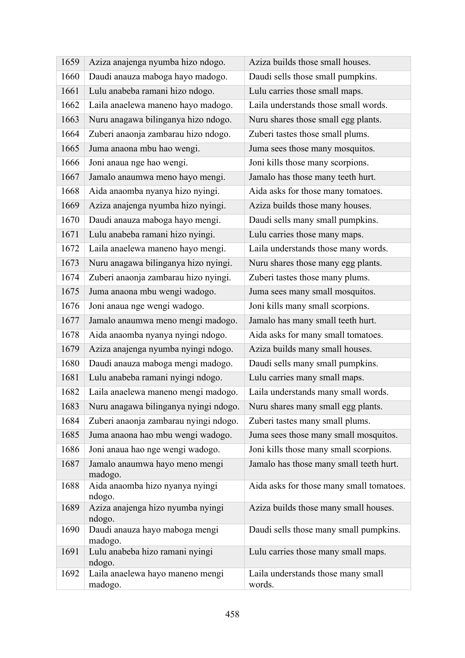| 1659 | Aziza anajenga nyumba hizo ndogo.           | Aziza builds those small houses.             |
|------|---------------------------------------------|----------------------------------------------|
| 1660 | Daudi anauza maboga hayo madogo.            | Daudi sells those small pumpkins.            |
| 1661 | Lulu anabeba ramani hizo ndogo.             | Lulu carries those small maps.               |
| 1662 | Laila anaelewa maneno hayo madogo.          | Laila understands those small words.         |
| 1663 | Nuru anagawa bilinganya hizo ndogo.         | Nuru shares those small egg plants.          |
| 1664 | Zuberi anaonja zambarau hizo ndogo.         | Zuberi tastes those small plums.             |
| 1665 | Juma anaona mbu hao wengi.                  | Juma sees those many mosquitos.              |
| 1666 | Joni anaua nge hao wengi.                   | Joni kills those many scorpions.             |
| 1667 | Jamalo anaumwa meno hayo mengi.             | Jamalo has those many teeth hurt.            |
| 1668 | Aida anaomba nyanya hizo nyingi.            | Aida asks for those many tomatoes.           |
| 1669 | Aziza anajenga nyumba hizo nyingi.          | Aziza builds those many houses.              |
| 1670 | Daudi anauza maboga hayo mengi.             | Daudi sells many small pumpkins.             |
| 1671 | Lulu anabeba ramani hizo nyingi.            | Lulu carries those many maps.                |
| 1672 | Laila anaelewa maneno hayo mengi.           | Laila understands those many words.          |
| 1673 | Nuru anagawa bilinganya hizo nyingi.        | Nuru shares those many egg plants.           |
| 1674 | Zuberi anaonja zambarau hizo nyingi.        | Zuberi tastes those many plums.              |
| 1675 | Juma anaona mbu wengi wadogo.               | Juma sees many small mosquitos.              |
| 1676 | Joni anaua nge wengi wadogo.                | Joni kills many small scorpions.             |
| 1677 | Jamalo anaumwa meno mengi madogo.           | Jamalo has many small teeth hurt.            |
| 1678 | Aida anaomba nyanya nyingi ndogo.           | Aida asks for many small tomatoes.           |
| 1679 | Aziza anajenga nyumba nyingi ndogo.         | Aziza builds many small houses.              |
| 1680 | Daudi anauza maboga mengi madogo.           | Daudi sells many small pumpkins.             |
| 1681 | Lulu anabeba ramani nyingi ndogo.           | Lulu carries many small maps.                |
| 1682 | Laila anaelewa maneno mengi madogo.         | Laila understands many small words.          |
| 1683 | Nuru anagawa bilinganya nyingi ndogo.       | Nuru shares many small egg plants.           |
| 1684 | Zuberi anaonja zambarau nyingi ndogo.       | Zuberi tastes many small plums.              |
| 1685 | Juma anaona hao mbu wengi wadogo.           | Juma sees those many small mosquitos.        |
| 1686 | Joni anaua hao nge wengi wadogo.            | Joni kills those many small scorpions.       |
| 1687 | Jamalo anaumwa hayo meno mengi<br>madogo.   | Jamalo has those many small teeth hurt.      |
| 1688 | Aida anaomba hizo nyanya nyingi<br>ndogo.   | Aida asks for those many small tomatoes.     |
| 1689 | Aziza anajenga hizo nyumba nyingi<br>ndogo. | Aziza builds those many small houses.        |
| 1690 | Daudi anauza hayo maboga mengi<br>madogo.   | Daudi sells those many small pumpkins.       |
| 1691 | Lulu anabeba hizo ramani nyingi<br>ndogo.   | Lulu carries those many small maps.          |
| 1692 | Laila anaelewa hayo maneno mengi<br>madogo. | Laila understands those many small<br>words. |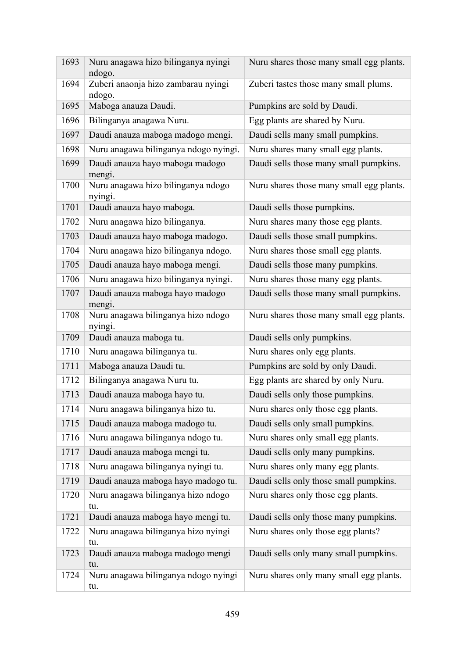| 1693 | Nuru anagawa hizo bilinganya nyingi<br>ndogo. | Nuru shares those many small egg plants. |
|------|-----------------------------------------------|------------------------------------------|
| 1694 | Zuberi anaonja hizo zambarau nyingi<br>ndogo. | Zuberi tastes those many small plums.    |
| 1695 | Maboga anauza Daudi.                          | Pumpkins are sold by Daudi.              |
| 1696 | Bilinganya anagawa Nuru.                      | Egg plants are shared by Nuru.           |
| 1697 | Daudi anauza maboga madogo mengi.             | Daudi sells many small pumpkins.         |
| 1698 | Nuru anagawa bilinganya ndogo nyingi.         | Nuru shares many small egg plants.       |
| 1699 | Daudi anauza hayo maboga madogo<br>mengi.     | Daudi sells those many small pumpkins.   |
| 1700 | Nuru anagawa hizo bilinganya ndogo<br>nyingi. | Nuru shares those many small egg plants. |
| 1701 | Daudi anauza hayo maboga.                     | Daudi sells those pumpkins.              |
| 1702 | Nuru anagawa hizo bilinganya.                 | Nuru shares many those egg plants.       |
| 1703 | Daudi anauza hayo maboga madogo.              | Daudi sells those small pumpkins.        |
| 1704 | Nuru anagawa hizo bilinganya ndogo.           | Nuru shares those small egg plants.      |
| 1705 | Daudi anauza hayo maboga mengi.               | Daudi sells those many pumpkins.         |
| 1706 | Nuru anagawa hizo bilinganya nyingi.          | Nuru shares those many egg plants.       |
| 1707 | Daudi anauza maboga hayo madogo<br>mengi.     | Daudi sells those many small pumpkins.   |
| 1708 | Nuru anagawa bilinganya hizo ndogo<br>nyingi. | Nuru shares those many small egg plants. |
| 1709 | Daudi anauza maboga tu.                       | Daudi sells only pumpkins.               |
| 1710 | Nuru anagawa bilinganya tu.                   | Nuru shares only egg plants.             |
| 1711 | Maboga anauza Daudi tu.                       | Pumpkins are sold by only Daudi.         |
| 1712 | Bilinganya anagawa Nuru tu.                   | Egg plants are shared by only Nuru.      |
| 1713 | Daudi anauza maboga hayo tu.                  | Daudi sells only those pumpkins.         |
| 1714 | Nuru anagawa bilinganya hizo tu.              | Nuru shares only those egg plants.       |
| 1715 | Daudi anauza maboga madogo tu.                | Daudi sells only small pumpkins.         |
| 1716 | Nuru anagawa bilinganya ndogo tu.             | Nuru shares only small egg plants.       |
| 1717 | Daudi anauza maboga mengi tu.                 | Daudi sells only many pumpkins.          |
| 1718 | Nuru anagawa bilinganya nyingi tu.            | Nuru shares only many egg plants.        |
| 1719 | Daudi anauza maboga hayo madogo tu.           | Daudi sells only those small pumpkins.   |
| 1720 | Nuru anagawa bilinganya hizo ndogo<br>tu.     | Nuru shares only those egg plants.       |
| 1721 | Daudi anauza maboga hayo mengi tu.            | Daudi sells only those many pumpkins.    |
| 1722 | Nuru anagawa bilinganya hizo nyingi<br>tu.    | Nuru shares only those egg plants?       |
| 1723 | Daudi anauza maboga madogo mengi<br>tu.       | Daudi sells only many small pumpkins.    |
| 1724 | Nuru anagawa bilinganya ndogo nyingi<br>tu.   | Nuru shares only many small egg plants.  |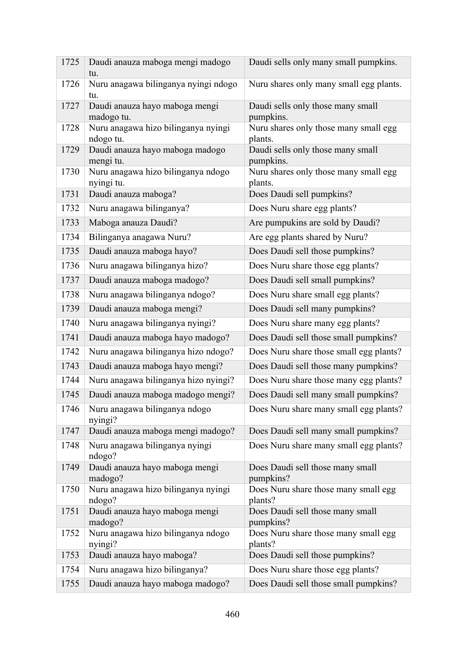| 1725 | Daudi anauza maboga mengi madogo<br>tu.          | Daudi sells only many small pumpkins.            |
|------|--------------------------------------------------|--------------------------------------------------|
| 1726 | Nuru anagawa bilinganya nyingi ndogo<br>tu.      | Nuru shares only many small egg plants.          |
| 1727 | Daudi anauza hayo maboga mengi<br>madogo tu.     | Daudi sells only those many small<br>pumpkins.   |
| 1728 | Nuru anagawa hizo bilinganya nyingi<br>ndogo tu. | Nuru shares only those many small egg<br>plants. |
| 1729 | Daudi anauza hayo maboga madogo<br>mengi tu.     | Daudi sells only those many small<br>pumpkins.   |
| 1730 | Nuru anagawa hizo bilinganya ndogo<br>nyingi tu. | Nuru shares only those many small egg<br>plants. |
| 1731 | Daudi anauza maboga?                             | Does Daudi sell pumpkins?                        |
| 1732 | Nuru anagawa bilinganya?                         | Does Nuru share egg plants?                      |
| 1733 | Maboga anauza Daudi?                             | Are pumpukins are sold by Daudi?                 |
| 1734 | Bilinganya anagawa Nuru?                         | Are egg plants shared by Nuru?                   |
| 1735 | Daudi anauza maboga hayo?                        | Does Daudi sell those pumpkins?                  |
| 1736 | Nuru anagawa bilinganya hizo?                    | Does Nuru share those egg plants?                |
| 1737 | Daudi anauza maboga madogo?                      | Does Daudi sell small pumpkins?                  |
| 1738 | Nuru anagawa bilinganya ndogo?                   | Does Nuru share small egg plants?                |
| 1739 | Daudi anauza maboga mengi?                       | Does Daudi sell many pumpkins?                   |
| 1740 | Nuru anagawa bilinganya nyingi?                  | Does Nuru share many egg plants?                 |
| 1741 | Daudi anauza maboga hayo madogo?                 | Does Daudi sell those small pumpkins?            |
| 1742 | Nuru anagawa bilinganya hizo ndogo?              | Does Nuru share those small egg plants?          |
| 1743 | Daudi anauza maboga hayo mengi?                  | Does Daudi sell those many pumpkins?             |
| 1744 | Nuru anagawa bilinganya hizo nyingi?             | Does Nuru share those many egg plants?           |
| 1745 | Daudi anauza maboga madogo mengi?                | Does Daudi sell many small pumpkins?             |
| 1746 | Nuru anagawa bilinganya ndogo<br>nyingi?         | Does Nuru share many small egg plants?           |
| 1747 | Daudi anauza maboga mengi madogo?                | Does Daudi sell many small pumpkins?             |
| 1748 | Nuru anagawa bilinganya nyingi<br>ndogo?         | Does Nuru share many small egg plants?           |
| 1749 | Daudi anauza hayo maboga mengi<br>madogo?        | Does Daudi sell those many small<br>pumpkins?    |
| 1750 | Nuru anagawa hizo bilinganya nyingi<br>ndogo?    | Does Nuru share those many small egg<br>plants?  |
| 1751 | Daudi anauza hayo maboga mengi<br>madogo?        | Does Daudi sell those many small<br>pumpkins?    |
| 1752 | Nuru anagawa hizo bilinganya ndogo<br>nyingi?    | Does Nuru share those many small egg<br>plants?  |
| 1753 | Daudi anauza hayo maboga?                        | Does Daudi sell those pumpkins?                  |
| 1754 | Nuru anagawa hizo bilinganya?                    | Does Nuru share those egg plants?                |
| 1755 | Daudi anauza hayo maboga madogo?                 | Does Daudi sell those small pumpkins?            |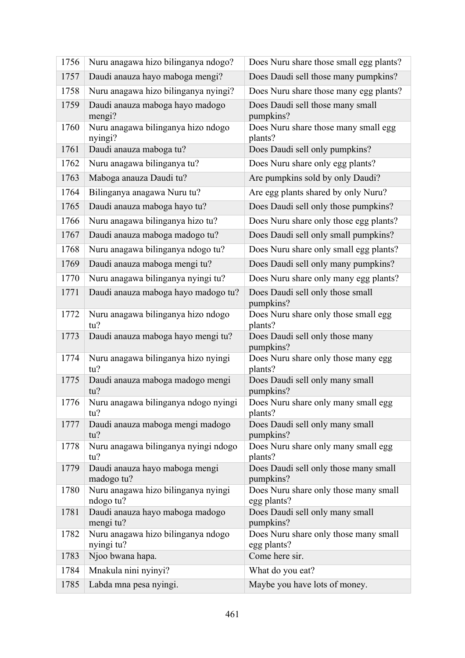| 1756 | Nuru anagawa hizo bilinganya ndogo?              | Does Nuru share those small egg plants?              |
|------|--------------------------------------------------|------------------------------------------------------|
| 1757 | Daudi anauza hayo maboga mengi?                  | Does Daudi sell those many pumpkins?                 |
| 1758 | Nuru anagawa hizo bilinganya nyingi?             | Does Nuru share those many egg plants?               |
| 1759 | Daudi anauza maboga hayo madogo<br>mengi?        | Does Daudi sell those many small<br>pumpkins?        |
| 1760 | Nuru anagawa bilinganya hizo ndogo<br>nyingi?    | Does Nuru share those many small egg<br>plants?      |
| 1761 | Daudi anauza maboga tu?                          | Does Daudi sell only pumpkins?                       |
| 1762 | Nuru anagawa bilinganya tu?                      | Does Nuru share only egg plants?                     |
| 1763 | Maboga anauza Daudi tu?                          | Are pumpkins sold by only Daudi?                     |
| 1764 | Bilinganya anagawa Nuru tu?                      | Are egg plants shared by only Nuru?                  |
| 1765 | Daudi anauza maboga hayo tu?                     | Does Daudi sell only those pumpkins?                 |
| 1766 | Nuru anagawa bilinganya hizo tu?                 | Does Nuru share only those egg plants?               |
| 1767 | Daudi anauza maboga madogo tu?                   | Does Daudi sell only small pumpkins?                 |
| 1768 | Nuru anagawa bilinganya ndogo tu?                | Does Nuru share only small egg plants?               |
| 1769 | Daudi anauza maboga mengi tu?                    | Does Daudi sell only many pumpkins?                  |
| 1770 | Nuru anagawa bilinganya nyingi tu?               | Does Nuru share only many egg plants?                |
| 1771 | Daudi anauza maboga hayo madogo tu?              | Does Daudi sell only those small<br>pumpkins?        |
| 1772 | Nuru anagawa bilinganya hizo ndogo<br>tu?        | Does Nuru share only those small egg<br>plants?      |
| 1773 | Daudi anauza maboga hayo mengi tu?               | Does Daudi sell only those many<br>pumpkins?         |
| 1774 | Nuru anagawa bilinganya hizo nyingi<br>tu?       | Does Nuru share only those many egg<br>plants?       |
| 1775 | Daudi anauza maboga madogo mengi<br>tu?          | Does Daudi sell only many small<br>pumpkins?         |
| 1776 | Nuru anagawa bilinganya ndogo nyingi<br>tu?      | Does Nuru share only many small egg<br>plants?       |
| 1777 | Daudi anauza maboga mengi madogo<br>tu?          | Does Daudi sell only many small<br>pumpkins?         |
| 1778 | Nuru anagawa bilinganya nyingi ndogo<br>tu?      | Does Nuru share only many small egg<br>plants?       |
| 1779 | Daudi anauza hayo maboga mengi<br>madogo tu?     | Does Daudi sell only those many small<br>pumpkins?   |
| 1780 | Nuru anagawa hizo bilinganya nyingi<br>ndogo tu? | Does Nuru share only those many small<br>egg plants? |
| 1781 | Daudi anauza hayo maboga madogo<br>mengi tu?     | Does Daudi sell only many small<br>pumpkins?         |
| 1782 | Nuru anagawa hizo bilinganya ndogo<br>nyingi tu? | Does Nuru share only those many small<br>egg plants? |
| 1783 | Njoo bwana hapa.                                 | Come here sir.                                       |
| 1784 | Mnakula nini nyinyi?                             | What do you eat?                                     |
| 1785 | Labda mna pesa nyingi.                           | Maybe you have lots of money.                        |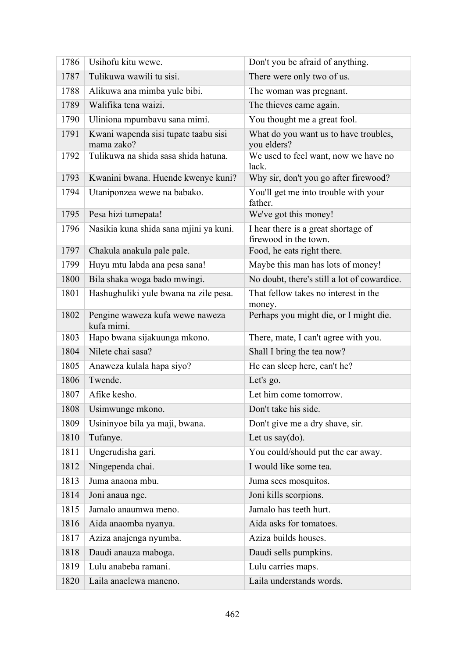| 1786 | Usihofu kitu wewe.                                 | Don't you be afraid of anything.                             |
|------|----------------------------------------------------|--------------------------------------------------------------|
| 1787 | Tulikuwa wawili tu sisi.                           | There were only two of us.                                   |
| 1788 | Alikuwa ana mimba yule bibi.                       | The woman was pregnant.                                      |
| 1789 | Walifika tena waizi.                               | The thieves came again.                                      |
| 1790 | Uliniona mpumbavu sana mimi.                       | You thought me a great fool.                                 |
| 1791 | Kwani wapenda sisi tupate taabu sisi<br>mama zako? | What do you want us to have troubles,<br>you elders?         |
| 1792 | Tulikuwa na shida sasa shida hatuna.               | We used to feel want, now we have no<br>lack.                |
| 1793 | Kwanini bwana. Huende kwenye kuni?                 | Why sir, don't you go after firewood?                        |
| 1794 | Utaniponzea wewe na babako.                        | You'll get me into trouble with your<br>father.              |
| 1795 | Pesa hizi tumepata!                                | We've got this money!                                        |
| 1796 | Nasikia kuna shida sana mjini ya kuni.             | I hear there is a great shortage of<br>firewood in the town. |
| 1797 | Chakula anakula pale pale.                         | Food, he eats right there.                                   |
| 1799 | Huyu mtu labda ana pesa sana!                      | Maybe this man has lots of money!                            |
| 1800 | Bila shaka woga bado mwingi.                       | No doubt, there's still a lot of cowardice.                  |
| 1801 | Hashughuliki yule bwana na zile pesa.              | That fellow takes no interest in the<br>money.               |
| 1802 | Pengine waweza kufa wewe naweza<br>kufa mimi.      | Perhaps you might die, or I might die.                       |
| 1803 | Hapo bwana sijakuunga mkono.                       | There, mate, I can't agree with you.                         |
| 1804 | Nilete chai sasa?                                  | Shall I bring the tea now?                                   |
| 1805 | Anaweza kulala hapa siyo?                          | He can sleep here, can't he?                                 |
| 1806 | Twende.                                            | Let's go.                                                    |
| 1807 | Afike kesho.                                       | Let him come tomorrow.                                       |
| 1808 | Usimwunge mkono.                                   | Don't take his side.                                         |
| 1809 | Usininyoe bila ya maji, bwana.                     | Don't give me a dry shave, sir.                              |
| 1810 | Tufanye.                                           | Let us say $(do)$ .                                          |
| 1811 | Ungerudisha gari.                                  | You could/should put the car away.                           |
| 1812 | Ningependa chai.                                   | I would like some tea.                                       |
| 1813 | Juma anaona mbu.                                   | Juma sees mosquitos.                                         |
| 1814 | Joni anaua nge.                                    | Joni kills scorpions.                                        |
| 1815 | Jamalo anaumwa meno.                               | Jamalo has teeth hurt.                                       |
| 1816 | Aida anaomba nyanya.                               | Aida asks for tomatoes.                                      |
| 1817 | Aziza anajenga nyumba.                             | Aziza builds houses.                                         |
| 1818 | Daudi anauza maboga.                               | Daudi sells pumpkins.                                        |
| 1819 | Lulu anabeba ramani.                               | Lulu carries maps.                                           |
| 1820 | Laila anaelewa maneno.                             | Laila understands words.                                     |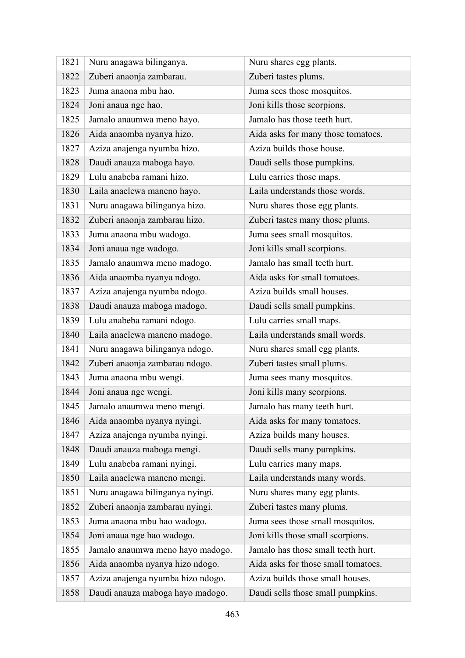| 1821 | Nuru anagawa bilinganya.          | Nuru shares egg plants.             |
|------|-----------------------------------|-------------------------------------|
| 1822 | Zuberi anaonja zambarau.          | Zuberi tastes plums.                |
| 1823 | Juma anaona mbu hao.              | Juma sees those mosquitos.          |
| 1824 | Joni anaua nge hao.               | Joni kills those scorpions.         |
| 1825 | Jamalo anaumwa meno hayo.         | Jamalo has those teeth hurt.        |
| 1826 | Aida anaomba nyanya hizo.         | Aida asks for many those tomatoes.  |
| 1827 | Aziza anajenga nyumba hizo.       | Aziza builds those house.           |
| 1828 | Daudi anauza maboga hayo.         | Daudi sells those pumpkins.         |
| 1829 | Lulu anabeba ramani hizo.         | Lulu carries those maps.            |
| 1830 | Laila anaelewa maneno hayo.       | Laila understands those words.      |
| 1831 | Nuru anagawa bilinganya hizo.     | Nuru shares those egg plants.       |
| 1832 | Zuberi anaonja zambarau hizo.     | Zuberi tastes many those plums.     |
| 1833 | Juma anaona mbu wadogo.           | Juma sees small mosquitos.          |
| 1834 | Joni anaua nge wadogo.            | Joni kills small scorpions.         |
| 1835 | Jamalo anaumwa meno madogo.       | Jamalo has small teeth hurt.        |
| 1836 | Aida anaomba nyanya ndogo.        | Aida asks for small tomatoes.       |
| 1837 | Aziza anajenga nyumba ndogo.      | Aziza builds small houses.          |
| 1838 | Daudi anauza maboga madogo.       | Daudi sells small pumpkins.         |
| 1839 | Lulu anabeba ramani ndogo.        | Lulu carries small maps.            |
| 1840 | Laila anaelewa maneno madogo.     | Laila understands small words.      |
| 1841 | Nuru anagawa bilinganya ndogo.    | Nuru shares small egg plants.       |
| 1842 | Zuberi anaonja zambarau ndogo.    | Zuberi tastes small plums.          |
| 1843 | Juma anaona mbu wengi.            | Juma sees many mosquitos.           |
| 1844 | Joni anaua nge wengi.             | Joni kills many scorpions.          |
| 1845 | Jamalo anaumwa meno mengi.        | Jamalo has many teeth hurt.         |
| 1846 | Aida anaomba nyanya nyingi.       | Aida asks for many tomatoes.        |
| 1847 | Aziza anajenga nyumba nyingi.     | Aziza builds many houses.           |
| 1848 | Daudi anauza maboga mengi.        | Daudi sells many pumpkins.          |
| 1849 | Lulu anabeba ramani nyingi.       | Lulu carries many maps.             |
| 1850 | Laila anaelewa maneno mengi.      | Laila understands many words.       |
| 1851 | Nuru anagawa bilinganya nyingi.   | Nuru shares many egg plants.        |
| 1852 | Zuberi anaonja zambarau nyingi.   | Zuberi tastes many plums.           |
| 1853 | Juma anaona mbu hao wadogo.       | Juma sees those small mosquitos.    |
| 1854 | Joni anaua nge hao wadogo.        | Joni kills those small scorpions.   |
| 1855 | Jamalo anaumwa meno hayo madogo.  | Jamalo has those small teeth hurt.  |
| 1856 | Aida anaomba nyanya hizo ndogo.   | Aida asks for those small tomatoes. |
| 1857 | Aziza anajenga nyumba hizo ndogo. | Aziza builds those small houses.    |
| 1858 | Daudi anauza maboga hayo madogo.  | Daudi sells those small pumpkins.   |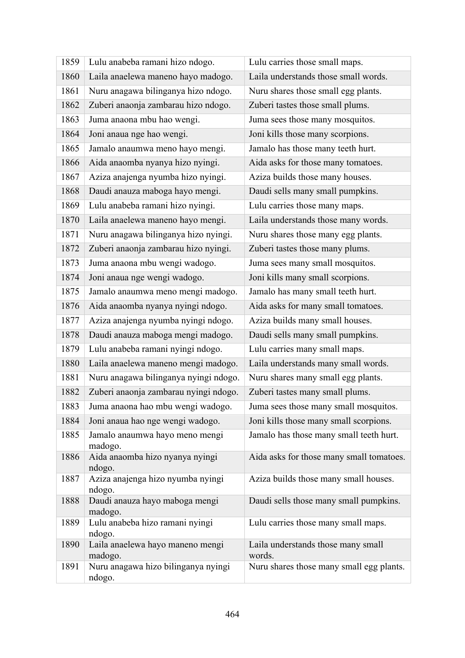| 1859 | Lulu anabeba ramani hizo ndogo.               | Lulu carries those small maps.               |
|------|-----------------------------------------------|----------------------------------------------|
| 1860 | Laila anaelewa maneno hayo madogo.            | Laila understands those small words.         |
| 1861 | Nuru anagawa bilinganya hizo ndogo.           | Nuru shares those small egg plants.          |
| 1862 | Zuberi anaonja zambarau hizo ndogo.           | Zuberi tastes those small plums.             |
| 1863 | Juma anaona mbu hao wengi.                    | Juma sees those many mosquitos.              |
| 1864 | Joni anaua nge hao wengi.                     | Joni kills those many scorpions.             |
| 1865 | Jamalo anaumwa meno hayo mengi.               | Jamalo has those many teeth hurt.            |
| 1866 | Aida anaomba nyanya hizo nyingi.              | Aida asks for those many tomatoes.           |
| 1867 | Aziza anajenga nyumba hizo nyingi.            | Aziza builds those many houses.              |
| 1868 | Daudi anauza maboga hayo mengi.               | Daudi sells many small pumpkins.             |
| 1869 | Lulu anabeba ramani hizo nyingi.              | Lulu carries those many maps.                |
| 1870 | Laila anaelewa maneno hayo mengi.             | Laila understands those many words.          |
| 1871 | Nuru anagawa bilinganya hizo nyingi.          | Nuru shares those many egg plants.           |
| 1872 | Zuberi anaonja zambarau hizo nyingi.          | Zuberi tastes those many plums.              |
| 1873 | Juma anaona mbu wengi wadogo.                 | Juma sees many small mosquitos.              |
| 1874 | Joni anaua nge wengi wadogo.                  | Joni kills many small scorpions.             |
| 1875 | Jamalo anaumwa meno mengi madogo.             | Jamalo has many small teeth hurt.            |
| 1876 | Aida anaomba nyanya nyingi ndogo.             | Aida asks for many small tomatoes.           |
| 1877 | Aziza anajenga nyumba nyingi ndogo.           | Aziza builds many small houses.              |
| 1878 | Daudi anauza maboga mengi madogo.             | Daudi sells many small pumpkins.             |
| 1879 | Lulu anabeba ramani nyingi ndogo.             | Lulu carries many small maps.                |
| 1880 | Laila anaelewa maneno mengi madogo.           | Laila understands many small words.          |
| 1881 | Nuru anagawa bilinganya nyingi ndogo.         | Nuru shares many small egg plants.           |
| 1882 | Zuberi anaonja zambarau nyingi ndogo.         | Zuberi tastes many small plums.              |
| 1883 | Juma anaona hao mbu wengi wadogo.             | Juma sees those many small mosquitos.        |
| 1884 | Joni anaua hao nge wengi wadogo.              | Joni kills those many small scorpions.       |
| 1885 | Jamalo anaumwa hayo meno mengi<br>madogo.     | Jamalo has those many small teeth hurt.      |
| 1886 | Aida anaomba hizo nyanya nyingi<br>ndogo.     | Aida asks for those many small tomatoes.     |
| 1887 | Aziza anajenga hizo nyumba nyingi<br>ndogo.   | Aziza builds those many small houses.        |
| 1888 | Daudi anauza hayo maboga mengi<br>madogo.     | Daudi sells those many small pumpkins.       |
| 1889 | Lulu anabeba hizo ramani nyingi<br>ndogo.     | Lulu carries those many small maps.          |
| 1890 | Laila anaelewa hayo maneno mengi<br>madogo.   | Laila understands those many small<br>words. |
| 1891 | Nuru anagawa hizo bilinganya nyingi<br>ndogo. | Nuru shares those many small egg plants.     |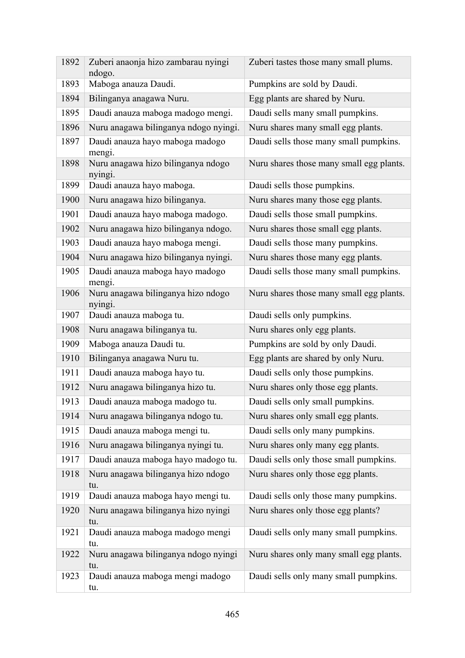| 1892 | Zuberi anaonja hizo zambarau nyingi<br>ndogo. | Zuberi tastes those many small plums.    |
|------|-----------------------------------------------|------------------------------------------|
| 1893 | Maboga anauza Daudi.                          | Pumpkins are sold by Daudi.              |
| 1894 | Bilinganya anagawa Nuru.                      | Egg plants are shared by Nuru.           |
| 1895 | Daudi anauza maboga madogo mengi.             | Daudi sells many small pumpkins.         |
| 1896 | Nuru anagawa bilinganya ndogo nyingi.         | Nuru shares many small egg plants.       |
| 1897 | Daudi anauza hayo maboga madogo<br>mengi.     | Daudi sells those many small pumpkins.   |
| 1898 | Nuru anagawa hizo bilinganya ndogo<br>nyingi. | Nuru shares those many small egg plants. |
| 1899 | Daudi anauza hayo maboga.                     | Daudi sells those pumpkins.              |
| 1900 | Nuru anagawa hizo bilinganya.                 | Nuru shares many those egg plants.       |
| 1901 | Daudi anauza hayo maboga madogo.              | Daudi sells those small pumpkins.        |
| 1902 | Nuru anagawa hizo bilinganya ndogo.           | Nuru shares those small egg plants.      |
| 1903 | Daudi anauza hayo maboga mengi.               | Daudi sells those many pumpkins.         |
| 1904 | Nuru anagawa hizo bilinganya nyingi.          | Nuru shares those many egg plants.       |
| 1905 | Daudi anauza maboga hayo madogo<br>mengi.     | Daudi sells those many small pumpkins.   |
| 1906 | Nuru anagawa bilinganya hizo ndogo<br>nyingi. | Nuru shares those many small egg plants. |
| 1907 | Daudi anauza maboga tu.                       | Daudi sells only pumpkins.               |
| 1908 | Nuru anagawa bilinganya tu.                   | Nuru shares only egg plants.             |
| 1909 | Maboga anauza Daudi tu.                       | Pumpkins are sold by only Daudi.         |
| 1910 | Bilinganya anagawa Nuru tu.                   | Egg plants are shared by only Nuru.      |
| 1911 | Daudi anauza maboga hayo tu.                  | Daudi sells only those pumpkins.         |
| 1912 | Nuru anagawa bilinganya hizo tu.              | Nuru shares only those egg plants.       |
| 1913 | Daudi anauza maboga madogo tu.                | Daudi sells only small pumpkins.         |
| 1914 | Nuru anagawa bilinganya ndogo tu.             | Nuru shares only small egg plants.       |
| 1915 | Daudi anauza maboga mengi tu.                 | Daudi sells only many pumpkins.          |
| 1916 | Nuru anagawa bilinganya nyingi tu.            | Nuru shares only many egg plants.        |
| 1917 | Daudi anauza maboga hayo madogo tu.           | Daudi sells only those small pumpkins.   |
| 1918 | Nuru anagawa bilinganya hizo ndogo<br>tu.     | Nuru shares only those egg plants.       |
| 1919 | Daudi anauza maboga hayo mengi tu.            | Daudi sells only those many pumpkins.    |
| 1920 | Nuru anagawa bilinganya hizo nyingi<br>tu.    | Nuru shares only those egg plants?       |
| 1921 | Daudi anauza maboga madogo mengi<br>tu.       | Daudi sells only many small pumpkins.    |
| 1922 | Nuru anagawa bilinganya ndogo nyingi<br>tu.   | Nuru shares only many small egg plants.  |
| 1923 | Daudi anauza maboga mengi madogo<br>tu.       | Daudi sells only many small pumpkins.    |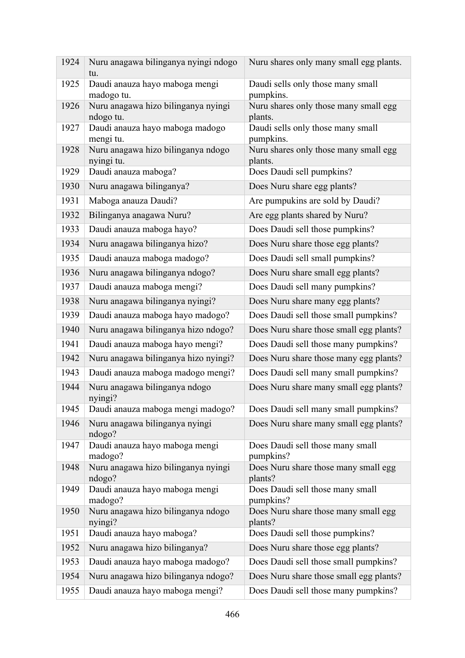| 1924 | Nuru anagawa bilinganya nyingi ndogo<br>tu.      | Nuru shares only many small egg plants.          |
|------|--------------------------------------------------|--------------------------------------------------|
| 1925 | Daudi anauza hayo maboga mengi<br>madogo tu.     | Daudi sells only those many small<br>pumpkins.   |
| 1926 | Nuru anagawa hizo bilinganya nyingi<br>ndogo tu. | Nuru shares only those many small egg<br>plants. |
| 1927 | Daudi anauza hayo maboga madogo<br>mengi tu.     | Daudi sells only those many small<br>pumpkins.   |
| 1928 | Nuru anagawa hizo bilinganya ndogo<br>nyingi tu. | Nuru shares only those many small egg<br>plants. |
| 1929 | Daudi anauza maboga?                             | Does Daudi sell pumpkins?                        |
| 1930 | Nuru anagawa bilinganya?                         | Does Nuru share egg plants?                      |
| 1931 | Maboga anauza Daudi?                             | Are pumpukins are sold by Daudi?                 |
| 1932 | Bilinganya anagawa Nuru?                         | Are egg plants shared by Nuru?                   |
| 1933 | Daudi anauza maboga hayo?                        | Does Daudi sell those pumpkins?                  |
| 1934 | Nuru anagawa bilinganya hizo?                    | Does Nuru share those egg plants?                |
| 1935 | Daudi anauza maboga madogo?                      | Does Daudi sell small pumpkins?                  |
| 1936 | Nuru anagawa bilinganya ndogo?                   | Does Nuru share small egg plants?                |
| 1937 | Daudi anauza maboga mengi?                       | Does Daudi sell many pumpkins?                   |
| 1938 | Nuru anagawa bilinganya nyingi?                  | Does Nuru share many egg plants?                 |
| 1939 | Daudi anauza maboga hayo madogo?                 | Does Daudi sell those small pumpkins?            |
| 1940 | Nuru anagawa bilinganya hizo ndogo?              | Does Nuru share those small egg plants?          |
| 1941 | Daudi anauza maboga hayo mengi?                  | Does Daudi sell those many pumpkins?             |
| 1942 | Nuru anagawa bilinganya hizo nyingi?             | Does Nuru share those many egg plants?           |
| 1943 | Daudi anauza maboga madogo mengi?                | Does Daudi sell many small pumpkins?             |
| 1944 | Nuru anagawa bilinganya ndogo<br>nyingi?         | Does Nuru share many small egg plants?           |
| 1945 | Daudi anauza maboga mengi madogo?                | Does Daudi sell many small pumpkins?             |
| 1946 | Nuru anagawa bilinganya nyingi<br>ndogo?         | Does Nuru share many small egg plants?           |
| 1947 | Daudi anauza hayo maboga mengi<br>madogo?        | Does Daudi sell those many small<br>pumpkins?    |
| 1948 | Nuru anagawa hizo bilinganya nyingi<br>ndogo?    | Does Nuru share those many small egg<br>plants?  |
| 1949 | Daudi anauza hayo maboga mengi<br>madogo?        | Does Daudi sell those many small<br>pumpkins?    |
| 1950 | Nuru anagawa hizo bilinganya ndogo<br>nyingi?    | Does Nuru share those many small egg<br>plants?  |
| 1951 | Daudi anauza hayo maboga?                        | Does Daudi sell those pumpkins?                  |
| 1952 | Nuru anagawa hizo bilinganya?                    | Does Nuru share those egg plants?                |
| 1953 | Daudi anauza hayo maboga madogo?                 | Does Daudi sell those small pumpkins?            |
| 1954 | Nuru anagawa hizo bilinganya ndogo?              | Does Nuru share those small egg plants?          |
| 1955 | Daudi anauza hayo maboga mengi?                  | Does Daudi sell those many pumpkins?             |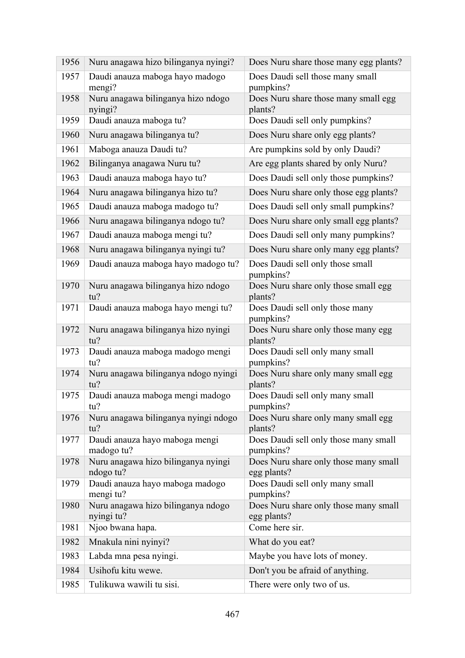| 1956 | Nuru anagawa hizo bilinganya nyingi?             | Does Nuru share those many egg plants?               |
|------|--------------------------------------------------|------------------------------------------------------|
| 1957 | Daudi anauza maboga hayo madogo<br>mengi?        | Does Daudi sell those many small<br>pumpkins?        |
| 1958 | Nuru anagawa bilinganya hizo ndogo<br>nyingi?    | Does Nuru share those many small egg<br>plants?      |
| 1959 | Daudi anauza maboga tu?                          | Does Daudi sell only pumpkins?                       |
| 1960 | Nuru anagawa bilinganya tu?                      | Does Nuru share only egg plants?                     |
| 1961 | Maboga anauza Daudi tu?                          | Are pumpkins sold by only Daudi?                     |
| 1962 | Bilinganya anagawa Nuru tu?                      | Are egg plants shared by only Nuru?                  |
| 1963 | Daudi anauza maboga hayo tu?                     | Does Daudi sell only those pumpkins?                 |
| 1964 | Nuru anagawa bilinganya hizo tu?                 | Does Nuru share only those egg plants?               |
| 1965 | Daudi anauza maboga madogo tu?                   | Does Daudi sell only small pumpkins?                 |
| 1966 | Nuru anagawa bilinganya ndogo tu?                | Does Nuru share only small egg plants?               |
| 1967 | Daudi anauza maboga mengi tu?                    | Does Daudi sell only many pumpkins?                  |
| 1968 | Nuru anagawa bilinganya nyingi tu?               | Does Nuru share only many egg plants?                |
| 1969 | Daudi anauza maboga hayo madogo tu?              | Does Daudi sell only those small<br>pumpkins?        |
| 1970 | Nuru anagawa bilinganya hizo ndogo<br>tu?        | Does Nuru share only those small egg<br>plants?      |
| 1971 | Daudi anauza maboga hayo mengi tu?               | Does Daudi sell only those many<br>pumpkins?         |
| 1972 | Nuru anagawa bilinganya hizo nyingi<br>tu?       | Does Nuru share only those many egg<br>plants?       |
| 1973 | Daudi anauza maboga madogo mengi<br>tu?          | Does Daudi sell only many small<br>pumpkins?         |
| 1974 | Nuru anagawa bilinganya ndogo nyingi<br>tu?      | Does Nuru share only many small egg<br>plants?       |
| 1975 | Daudi anauza maboga mengi madogo<br>tu?          | Does Daudi sell only many small<br>pumpkins?         |
| 1976 | Nuru anagawa bilinganya nyingi ndogo<br>tu?      | Does Nuru share only many small egg<br>plants?       |
| 1977 | Daudi anauza hayo maboga mengi<br>madogo tu?     | Does Daudi sell only those many small<br>pumpkins?   |
| 1978 | Nuru anagawa hizo bilinganya nyingi<br>ndogo tu? | Does Nuru share only those many small<br>egg plants? |
| 1979 | Daudi anauza hayo maboga madogo<br>mengi tu?     | Does Daudi sell only many small<br>pumpkins?         |
| 1980 | Nuru anagawa hizo bilinganya ndogo<br>nyingi tu? | Does Nuru share only those many small<br>egg plants? |
| 1981 | Njoo bwana hapa.                                 | Come here sir.                                       |
| 1982 | Mnakula nini nyinyi?                             | What do you eat?                                     |
| 1983 | Labda mna pesa nyingi.                           | Maybe you have lots of money.                        |
| 1984 | Usihofu kitu wewe.                               | Don't you be afraid of anything.                     |
| 1985 | Tulikuwa wawili tu sisi.                         | There were only two of us.                           |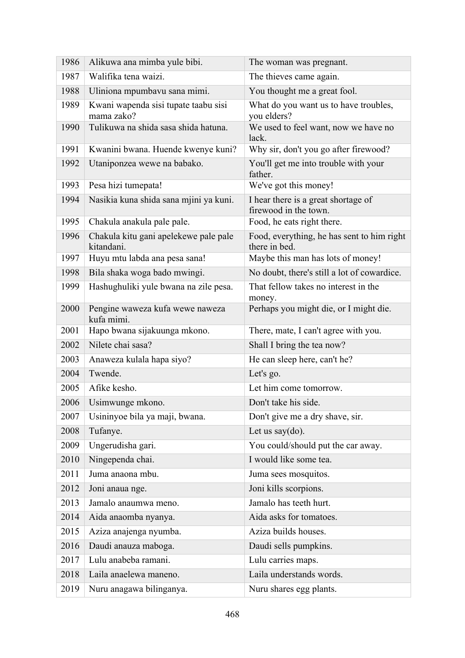| 1986 | Alikuwa ana mimba yule bibi.                        | The woman was pregnant.                                      |
|------|-----------------------------------------------------|--------------------------------------------------------------|
| 1987 | Walifika tena waizi.                                | The thieves came again.                                      |
| 1988 | Uliniona mpumbavu sana mimi.                        | You thought me a great fool.                                 |
| 1989 | Kwani wapenda sisi tupate taabu sisi<br>mama zako?  | What do you want us to have troubles,<br>you elders?         |
| 1990 | Tulikuwa na shida sasa shida hatuna.                | We used to feel want, now we have no<br>lack.                |
| 1991 | Kwanini bwana. Huende kwenye kuni?                  | Why sir, don't you go after firewood?                        |
| 1992 | Utaniponzea wewe na babako.                         | You'll get me into trouble with your<br>father.              |
| 1993 | Pesa hizi tumepata!                                 | We've got this money!                                        |
| 1994 | Nasikia kuna shida sana mjini ya kuni.              | I hear there is a great shortage of<br>firewood in the town. |
| 1995 | Chakula anakula pale pale.                          | Food, he eats right there.                                   |
| 1996 | Chakula kitu gani apelekewe pale pale<br>kitandani. | Food, everything, he has sent to him right<br>there in bed.  |
| 1997 | Huyu mtu labda ana pesa sana!                       | Maybe this man has lots of money!                            |
| 1998 | Bila shaka woga bado mwingi.                        | No doubt, there's still a lot of cowardice.                  |
| 1999 | Hashughuliki yule bwana na zile pesa.               | That fellow takes no interest in the<br>money.               |
| 2000 | Pengine waweza kufa wewe naweza<br>kufa mimi.       | Perhaps you might die, or I might die.                       |
| 2001 | Hapo bwana sijakuunga mkono.                        | There, mate, I can't agree with you.                         |
| 2002 | Nilete chai sasa?                                   | Shall I bring the tea now?                                   |
| 2003 | Anaweza kulala hapa siyo?                           | He can sleep here, can't he?                                 |
| 2004 | Twende.                                             | Let's go.                                                    |
| 2005 | Afike kesho.                                        | Let him come tomorrow.                                       |
| 2006 | Usimwunge mkono.                                    | Don't take his side.                                         |
| 2007 | Usininyoe bila ya maji, bwana.                      | Don't give me a dry shave, sir.                              |
| 2008 | Tufanye.                                            | Let us say $(do)$ .                                          |
| 2009 | Ungerudisha gari.                                   | You could/should put the car away.                           |
| 2010 | Ningependa chai.                                    | I would like some tea.                                       |
| 2011 | Juma anaona mbu.                                    | Juma sees mosquitos.                                         |
| 2012 | Joni anaua nge.                                     | Joni kills scorpions.                                        |
| 2013 | Jamalo anaumwa meno.                                | Jamalo has teeth hurt.                                       |
| 2014 | Aida anaomba nyanya.                                | Aida asks for tomatoes.                                      |
| 2015 | Aziza anajenga nyumba.                              | Aziza builds houses.                                         |
| 2016 | Daudi anauza maboga.                                | Daudi sells pumpkins.                                        |
| 2017 | Lulu anabeba ramani.                                | Lulu carries maps.                                           |
| 2018 | Laila anaelewa maneno.                              | Laila understands words.                                     |
| 2019 | Nuru anagawa bilinganya.                            | Nuru shares egg plants.                                      |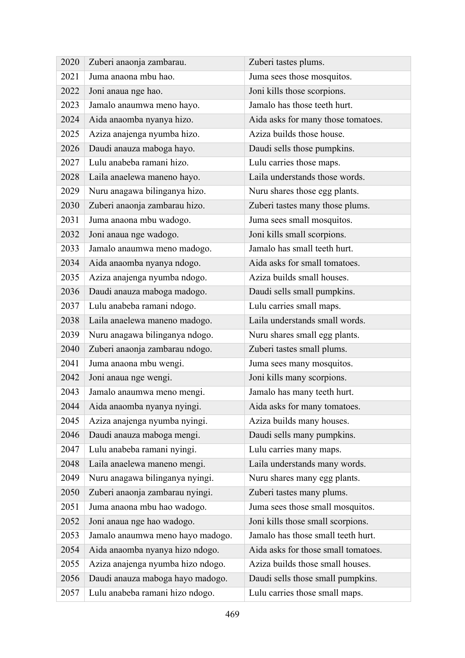| 2020 | Zuberi anaonja zambarau.          | Zuberi tastes plums.                |
|------|-----------------------------------|-------------------------------------|
| 2021 | Juma anaona mbu hao.              | Juma sees those mosquitos.          |
| 2022 | Joni anaua nge hao.               | Joni kills those scorpions.         |
| 2023 | Jamalo anaumwa meno hayo.         | Jamalo has those teeth hurt.        |
| 2024 | Aida anaomba nyanya hizo.         | Aida asks for many those tomatoes.  |
| 2025 | Aziza anajenga nyumba hizo.       | Aziza builds those house.           |
| 2026 | Daudi anauza maboga hayo.         | Daudi sells those pumpkins.         |
| 2027 | Lulu anabeba ramani hizo.         | Lulu carries those maps.            |
| 2028 | Laila anaelewa maneno hayo.       | Laila understands those words.      |
| 2029 | Nuru anagawa bilinganya hizo.     | Nuru shares those egg plants.       |
| 2030 | Zuberi anaonja zambarau hizo.     | Zuberi tastes many those plums.     |
| 2031 | Juma anaona mbu wadogo.           | Juma sees small mosquitos.          |
| 2032 | Joni anaua nge wadogo.            | Joni kills small scorpions.         |
| 2033 | Jamalo anaumwa meno madogo.       | Jamalo has small teeth hurt.        |
| 2034 | Aida anaomba nyanya ndogo.        | Aida asks for small tomatoes.       |
| 2035 | Aziza anajenga nyumba ndogo.      | Aziza builds small houses.          |
| 2036 | Daudi anauza maboga madogo.       | Daudi sells small pumpkins.         |
| 2037 | Lulu anabeba ramani ndogo.        | Lulu carries small maps.            |
| 2038 | Laila anaelewa maneno madogo.     | Laila understands small words.      |
| 2039 | Nuru anagawa bilinganya ndogo.    | Nuru shares small egg plants.       |
| 2040 | Zuberi anaonja zambarau ndogo.    | Zuberi tastes small plums.          |
| 2041 | Juma anaona mbu wengi.            | Juma sees many mosquitos.           |
| 2042 | Joni anaua nge wengi.             | Joni kills many scorpions.          |
| 2043 | Jamalo anaumwa meno mengi.        | Jamalo has many teeth hurt.         |
| 2044 | Aida anaomba nyanya nyingi.       | Aida asks for many tomatoes.        |
| 2045 | Aziza anajenga nyumba nyingi.     | Aziza builds many houses.           |
| 2046 | Daudi anauza maboga mengi.        | Daudi sells many pumpkins.          |
| 2047 | Lulu anabeba ramani nyingi.       | Lulu carries many maps.             |
| 2048 | Laila anaelewa maneno mengi.      | Laila understands many words.       |
| 2049 | Nuru anagawa bilinganya nyingi.   | Nuru shares many egg plants.        |
| 2050 | Zuberi anaonja zambarau nyingi.   | Zuberi tastes many plums.           |
| 2051 | Juma anaona mbu hao wadogo.       | Juma sees those small mosquitos.    |
| 2052 | Joni anaua nge hao wadogo.        | Joni kills those small scorpions.   |
| 2053 | Jamalo anaumwa meno hayo madogo.  | Jamalo has those small teeth hurt.  |
| 2054 | Aida anaomba nyanya hizo ndogo.   | Aida asks for those small tomatoes. |
| 2055 | Aziza anajenga nyumba hizo ndogo. | Aziza builds those small houses.    |
| 2056 | Daudi anauza maboga hayo madogo.  | Daudi sells those small pumpkins.   |
| 2057 | Lulu anabeba ramani hizo ndogo.   | Lulu carries those small maps.      |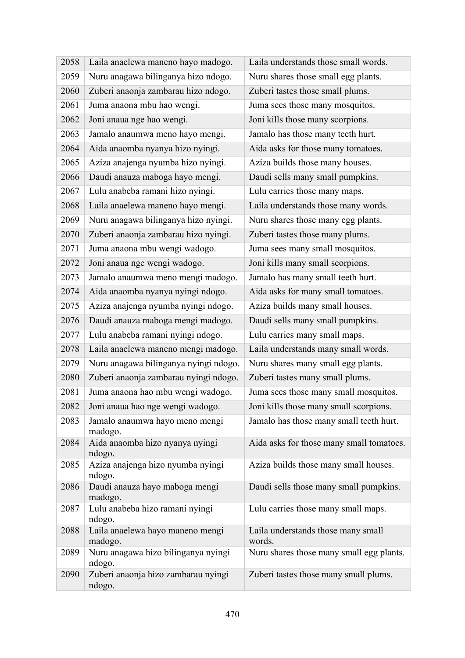| 2058 | Laila anaelewa maneno hayo madogo.            | Laila understands those small words.         |
|------|-----------------------------------------------|----------------------------------------------|
| 2059 | Nuru anagawa bilinganya hizo ndogo.           | Nuru shares those small egg plants.          |
| 2060 | Zuberi anaonja zambarau hizo ndogo.           | Zuberi tastes those small plums.             |
| 2061 | Juma anaona mbu hao wengi.                    | Juma sees those many mosquitos.              |
| 2062 | Joni anaua nge hao wengi.                     | Joni kills those many scorpions.             |
| 2063 | Jamalo anaumwa meno hayo mengi.               | Jamalo has those many teeth hurt.            |
| 2064 | Aida anaomba nyanya hizo nyingi.              | Aida asks for those many tomatoes.           |
| 2065 | Aziza anajenga nyumba hizo nyingi.            | Aziza builds those many houses.              |
| 2066 | Daudi anauza maboga hayo mengi.               | Daudi sells many small pumpkins.             |
| 2067 | Lulu anabeba ramani hizo nyingi.              | Lulu carries those many maps.                |
| 2068 | Laila anaelewa maneno hayo mengi.             | Laila understands those many words.          |
| 2069 | Nuru anagawa bilinganya hizo nyingi.          | Nuru shares those many egg plants.           |
| 2070 | Zuberi anaonja zambarau hizo nyingi.          | Zuberi tastes those many plums.              |
| 2071 | Juma anaona mbu wengi wadogo.                 | Juma sees many small mosquitos.              |
| 2072 | Joni anaua nge wengi wadogo.                  | Joni kills many small scorpions.             |
| 2073 | Jamalo anaumwa meno mengi madogo.             | Jamalo has many small teeth hurt.            |
| 2074 | Aida anaomba nyanya nyingi ndogo.             | Aida asks for many small tomatoes.           |
| 2075 | Aziza anajenga nyumba nyingi ndogo.           | Aziza builds many small houses.              |
| 2076 | Daudi anauza maboga mengi madogo.             | Daudi sells many small pumpkins.             |
| 2077 | Lulu anabeba ramani nyingi ndogo.             | Lulu carries many small maps.                |
| 2078 | Laila anaelewa maneno mengi madogo.           | Laila understands many small words.          |
| 2079 | Nuru anagawa bilinganya nyingi ndogo.         | Nuru shares many small egg plants.           |
| 2080 | Zuberi anaonja zambarau nyingi ndogo.         | Zuberi tastes many small plums.              |
| 2081 | Juma anaona hao mbu wengi wadogo.             | Juma sees those many small mosquitos.        |
| 2082 | Joni anaua hao nge wengi wadogo.              | Joni kills those many small scorpions.       |
| 2083 | Jamalo anaumwa hayo meno mengi<br>madogo.     | Jamalo has those many small teeth hurt.      |
| 2084 | Aida anaomba hizo nyanya nyingi<br>ndogo.     | Aida asks for those many small tomatoes.     |
| 2085 | Aziza anajenga hizo nyumba nyingi<br>ndogo.   | Aziza builds those many small houses.        |
| 2086 | Daudi anauza hayo maboga mengi<br>madogo.     | Daudi sells those many small pumpkins.       |
| 2087 | Lulu anabeba hizo ramani nyingi<br>ndogo.     | Lulu carries those many small maps.          |
| 2088 | Laila anaelewa hayo maneno mengi<br>madogo.   | Laila understands those many small<br>words. |
| 2089 | Nuru anagawa hizo bilinganya nyingi<br>ndogo. | Nuru shares those many small egg plants.     |
| 2090 | Zuberi anaonja hizo zambarau nyingi<br>ndogo. | Zuberi tastes those many small plums.        |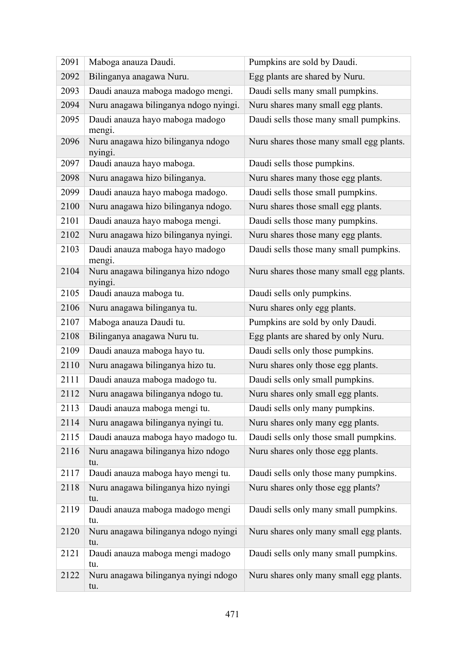| 2091 | Maboga anauza Daudi.                          | Pumpkins are sold by Daudi.              |
|------|-----------------------------------------------|------------------------------------------|
| 2092 | Bilinganya anagawa Nuru.                      | Egg plants are shared by Nuru.           |
| 2093 | Daudi anauza maboga madogo mengi.             | Daudi sells many small pumpkins.         |
| 2094 | Nuru anagawa bilinganya ndogo nyingi.         | Nuru shares many small egg plants.       |
| 2095 | Daudi anauza hayo maboga madogo<br>mengi.     | Daudi sells those many small pumpkins.   |
| 2096 | Nuru anagawa hizo bilinganya ndogo<br>nyingi. | Nuru shares those many small egg plants. |
| 2097 | Daudi anauza hayo maboga.                     | Daudi sells those pumpkins.              |
| 2098 | Nuru anagawa hizo bilinganya.                 | Nuru shares many those egg plants.       |
| 2099 | Daudi anauza hayo maboga madogo.              | Daudi sells those small pumpkins.        |
| 2100 | Nuru anagawa hizo bilinganya ndogo.           | Nuru shares those small egg plants.      |
| 2101 | Daudi anauza hayo maboga mengi.               | Daudi sells those many pumpkins.         |
| 2102 | Nuru anagawa hizo bilinganya nyingi.          | Nuru shares those many egg plants.       |
| 2103 | Daudi anauza maboga hayo madogo<br>mengi.     | Daudi sells those many small pumpkins.   |
| 2104 | Nuru anagawa bilinganya hizo ndogo<br>nyingi. | Nuru shares those many small egg plants. |
| 2105 | Daudi anauza maboga tu.                       | Daudi sells only pumpkins.               |
| 2106 | Nuru anagawa bilinganya tu.                   | Nuru shares only egg plants.             |
| 2107 | Maboga anauza Daudi tu.                       | Pumpkins are sold by only Daudi.         |
| 2108 | Bilinganya anagawa Nuru tu.                   | Egg plants are shared by only Nuru.      |
| 2109 | Daudi anauza maboga hayo tu.                  | Daudi sells only those pumpkins.         |
| 2110 | Nuru anagawa bilinganya hizo tu.              | Nuru shares only those egg plants.       |
| 2111 | Daudi anauza maboga madogo tu.                | Daudi sells only small pumpkins.         |
| 2112 | Nuru anagawa bilinganya ndogo tu.             | Nuru shares only small egg plants.       |
| 2113 | Daudi anauza maboga mengi tu.                 | Daudi sells only many pumpkins.          |
| 2114 | Nuru anagawa bilinganya nyingi tu.            | Nuru shares only many egg plants.        |
| 2115 | Daudi anauza maboga hayo madogo tu.           | Daudi sells only those small pumpkins.   |
| 2116 | Nuru anagawa bilinganya hizo ndogo<br>tu.     | Nuru shares only those egg plants.       |
| 2117 | Daudi anauza maboga hayo mengi tu.            | Daudi sells only those many pumpkins.    |
| 2118 | Nuru anagawa bilinganya hizo nyingi<br>tu.    | Nuru shares only those egg plants?       |
| 2119 | Daudi anauza maboga madogo mengi<br>tu.       | Daudi sells only many small pumpkins.    |
| 2120 | Nuru anagawa bilinganya ndogo nyingi<br>tu.   | Nuru shares only many small egg plants.  |
| 2121 | Daudi anauza maboga mengi madogo<br>tu.       | Daudi sells only many small pumpkins.    |
| 2122 | Nuru anagawa bilinganya nyingi ndogo<br>tu.   | Nuru shares only many small egg plants.  |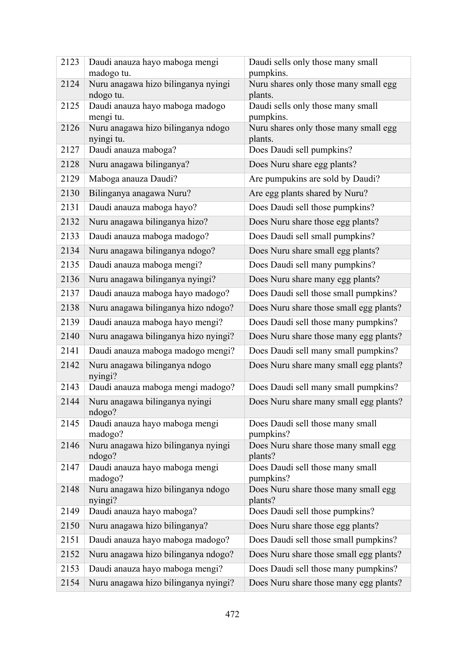| 2123 | Daudi anauza hayo maboga mengi<br>madogo tu.     | Daudi sells only those many small<br>pumpkins.   |
|------|--------------------------------------------------|--------------------------------------------------|
| 2124 | Nuru anagawa hizo bilinganya nyingi              | Nuru shares only those many small egg            |
| 2125 | ndogo tu.<br>Daudi anauza hayo maboga madogo     | plants.<br>Daudi sells only those many small     |
|      | mengi tu.                                        | pumpkins.                                        |
| 2126 | Nuru anagawa hizo bilinganya ndogo<br>nyingi tu. | Nuru shares only those many small egg<br>plants. |
| 2127 | Daudi anauza maboga?                             | Does Daudi sell pumpkins?                        |
| 2128 | Nuru anagawa bilinganya?                         | Does Nuru share egg plants?                      |
| 2129 | Maboga anauza Daudi?                             | Are pumpukins are sold by Daudi?                 |
| 2130 | Bilinganya anagawa Nuru?                         | Are egg plants shared by Nuru?                   |
| 2131 | Daudi anauza maboga hayo?                        | Does Daudi sell those pumpkins?                  |
| 2132 | Nuru anagawa bilinganya hizo?                    | Does Nuru share those egg plants?                |
| 2133 | Daudi anauza maboga madogo?                      | Does Daudi sell small pumpkins?                  |
| 2134 | Nuru anagawa bilinganya ndogo?                   | Does Nuru share small egg plants?                |
| 2135 | Daudi anauza maboga mengi?                       | Does Daudi sell many pumpkins?                   |
| 2136 | Nuru anagawa bilinganya nyingi?                  | Does Nuru share many egg plants?                 |
| 2137 | Daudi anauza maboga hayo madogo?                 | Does Daudi sell those small pumpkins?            |
| 2138 | Nuru anagawa bilinganya hizo ndogo?              | Does Nuru share those small egg plants?          |
| 2139 | Daudi anauza maboga hayo mengi?                  | Does Daudi sell those many pumpkins?             |
| 2140 | Nuru anagawa bilinganya hizo nyingi?             | Does Nuru share those many egg plants?           |
| 2141 | Daudi anauza maboga madogo mengi?                | Does Daudi sell many small pumpkins?             |
| 2142 | Nuru anagawa bilinganya ndogo<br>nyingi?         | Does Nuru share many small egg plants?           |
| 2143 | Daudi anauza maboga mengi madogo?                | Does Daudi sell many small pumpkins?             |
| 2144 | Nuru anagawa bilinganya nyingi<br>ndogo?         | Does Nuru share many small egg plants?           |
| 2145 | Daudi anauza hayo maboga mengi<br>madogo?        | Does Daudi sell those many small<br>pumpkins?    |
| 2146 | Nuru anagawa hizo bilinganya nyingi<br>ndogo?    | Does Nuru share those many small egg<br>plants?  |
| 2147 | Daudi anauza hayo maboga mengi<br>madogo?        | Does Daudi sell those many small<br>pumpkins?    |
| 2148 | Nuru anagawa hizo bilinganya ndogo<br>nyingi?    | Does Nuru share those many small egg<br>plants?  |
| 2149 | Daudi anauza hayo maboga?                        | Does Daudi sell those pumpkins?                  |
| 2150 | Nuru anagawa hizo bilinganya?                    | Does Nuru share those egg plants?                |
| 2151 | Daudi anauza hayo maboga madogo?                 | Does Daudi sell those small pumpkins?            |
| 2152 | Nuru anagawa hizo bilinganya ndogo?              | Does Nuru share those small egg plants?          |
| 2153 | Daudi anauza hayo maboga mengi?                  | Does Daudi sell those many pumpkins?             |
| 2154 | Nuru anagawa hizo bilinganya nyingi?             | Does Nuru share those many egg plants?           |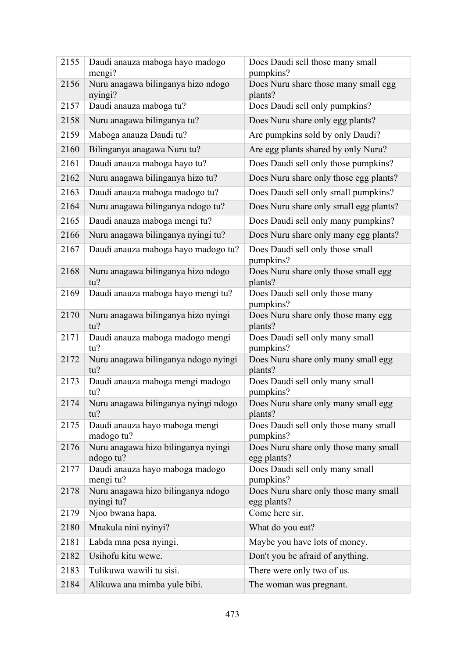| 2155 | Daudi anauza maboga hayo madogo<br>mengi?        | Does Daudi sell those many small<br>pumpkins?        |
|------|--------------------------------------------------|------------------------------------------------------|
| 2156 | Nuru anagawa bilinganya hizo ndogo<br>nyingi?    | Does Nuru share those many small egg<br>plants?      |
| 2157 | Daudi anauza maboga tu?                          | Does Daudi sell only pumpkins?                       |
| 2158 | Nuru anagawa bilinganya tu?                      | Does Nuru share only egg plants?                     |
| 2159 | Maboga anauza Daudi tu?                          | Are pumpkins sold by only Daudi?                     |
| 2160 | Bilinganya anagawa Nuru tu?                      | Are egg plants shared by only Nuru?                  |
| 2161 | Daudi anauza maboga hayo tu?                     | Does Daudi sell only those pumpkins?                 |
| 2162 | Nuru anagawa bilinganya hizo tu?                 | Does Nuru share only those egg plants?               |
| 2163 | Daudi anauza maboga madogo tu?                   | Does Daudi sell only small pumpkins?                 |
| 2164 | Nuru anagawa bilinganya ndogo tu?                | Does Nuru share only small egg plants?               |
| 2165 | Daudi anauza maboga mengi tu?                    | Does Daudi sell only many pumpkins?                  |
| 2166 | Nuru anagawa bilinganya nyingi tu?               | Does Nuru share only many egg plants?                |
| 2167 | Daudi anauza maboga hayo madogo tu?              | Does Daudi sell only those small<br>pumpkins?        |
| 2168 | Nuru anagawa bilinganya hizo ndogo<br>tu?        | Does Nuru share only those small egg<br>plants?      |
| 2169 | Daudi anauza maboga hayo mengi tu?               | Does Daudi sell only those many<br>pumpkins?         |
| 2170 | Nuru anagawa bilinganya hizo nyingi<br>tu?       | Does Nuru share only those many egg<br>plants?       |
| 2171 | Daudi anauza maboga madogo mengi<br>tu?          | Does Daudi sell only many small<br>pumpkins?         |
| 2172 | Nuru anagawa bilinganya ndogo nyingi<br>tu?      | Does Nuru share only many small egg<br>plants?       |
| 2173 | Daudi anauza maboga mengi madogo<br>tu?          | Does Daudi sell only many small<br>pumpkins?         |
| 2174 | Nuru anagawa bilinganya nyingi ndogo<br>tu?      | Does Nuru share only many small egg<br>plants?       |
| 2175 | Daudi anauza hayo maboga mengi<br>madogo tu?     | Does Daudi sell only those many small<br>pumpkins?   |
| 2176 | Nuru anagawa hizo bilinganya nyingi<br>ndogo tu? | Does Nuru share only those many small<br>egg plants? |
| 2177 | Daudi anauza hayo maboga madogo<br>mengi tu?     | Does Daudi sell only many small<br>pumpkins?         |
| 2178 | Nuru anagawa hizo bilinganya ndogo<br>nyingi tu? | Does Nuru share only those many small<br>egg plants? |
| 2179 | Njoo bwana hapa.                                 | Come here sir.                                       |
| 2180 | Mnakula nini nyinyi?                             | What do you eat?                                     |
| 2181 | Labda mna pesa nyingi.                           | Maybe you have lots of money.                        |
| 2182 | Usihofu kitu wewe.                               | Don't you be afraid of anything.                     |
| 2183 | Tulikuwa wawili tu sisi.                         | There were only two of us.                           |
| 2184 | Alikuwa ana mimba yule bibi.                     | The woman was pregnant.                              |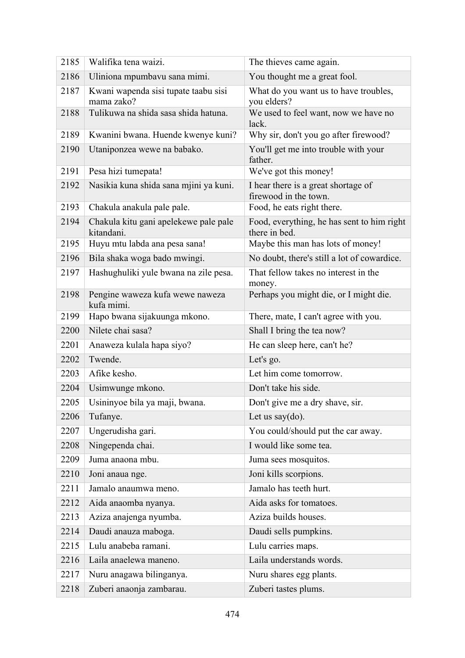| 2185 | Walifika tena waizi.                                | The thieves came again.                                      |
|------|-----------------------------------------------------|--------------------------------------------------------------|
| 2186 | Uliniona mpumbavu sana mimi.                        | You thought me a great fool.                                 |
| 2187 | Kwani wapenda sisi tupate taabu sisi<br>mama zako?  | What do you want us to have troubles,<br>you elders?         |
| 2188 | Tulikuwa na shida sasa shida hatuna.                | We used to feel want, now we have no<br>lack.                |
| 2189 | Kwanini bwana. Huende kwenye kuni?                  | Why sir, don't you go after firewood?                        |
| 2190 | Utaniponzea wewe na babako.                         | You'll get me into trouble with your<br>father.              |
| 2191 | Pesa hizi tumepata!                                 | We've got this money!                                        |
| 2192 | Nasikia kuna shida sana mjini ya kuni.              | I hear there is a great shortage of<br>firewood in the town. |
| 2193 | Chakula anakula pale pale.                          | Food, he eats right there.                                   |
| 2194 | Chakula kitu gani apelekewe pale pale<br>kitandani. | Food, everything, he has sent to him right<br>there in bed.  |
| 2195 | Huyu mtu labda ana pesa sana!                       | Maybe this man has lots of money!                            |
| 2196 | Bila shaka woga bado mwingi.                        | No doubt, there's still a lot of cowardice.                  |
| 2197 | Hashughuliki yule bwana na zile pesa.               | That fellow takes no interest in the<br>money.               |
| 2198 | Pengine waweza kufa wewe naweza<br>kufa mimi.       | Perhaps you might die, or I might die.                       |
| 2199 | Hapo bwana sijakuunga mkono.                        | There, mate, I can't agree with you.                         |
| 2200 | Nilete chai sasa?                                   | Shall I bring the tea now?                                   |
| 2201 | Anaweza kulala hapa siyo?                           | He can sleep here, can't he?                                 |
| 2202 | Twende.                                             | Let's go.                                                    |
| 2203 | Afike kesho.                                        | Let him come tomorrow.                                       |
| 2204 | Usimwunge mkono.                                    | Don't take his side.                                         |
| 2205 | Usininyoe bila ya maji, bwana.                      | Don't give me a dry shave, sir.                              |
| 2206 | Tufanye.                                            | Let us say $(do)$ .                                          |
| 2207 | Ungerudisha gari.                                   | You could/should put the car away.                           |
| 2208 | Ningependa chai.                                    | I would like some tea.                                       |
| 2209 | Juma anaona mbu.                                    | Juma sees mosquitos.                                         |
| 2210 | Joni anaua nge.                                     | Joni kills scorpions.                                        |
| 2211 | Jamalo anaumwa meno.                                | Jamalo has teeth hurt.                                       |
| 2212 | Aida anaomba nyanya.                                | Aida asks for tomatoes.                                      |
| 2213 | Aziza anajenga nyumba.                              | Aziza builds houses.                                         |
| 2214 | Daudi anauza maboga.                                | Daudi sells pumpkins.                                        |
| 2215 | Lulu anabeba ramani.                                | Lulu carries maps.                                           |
| 2216 | Laila anaelewa maneno.                              | Laila understands words.                                     |
| 2217 | Nuru anagawa bilinganya.                            | Nuru shares egg plants.                                      |
| 2218 | Zuberi anaonja zambarau.                            | Zuberi tastes plums.                                         |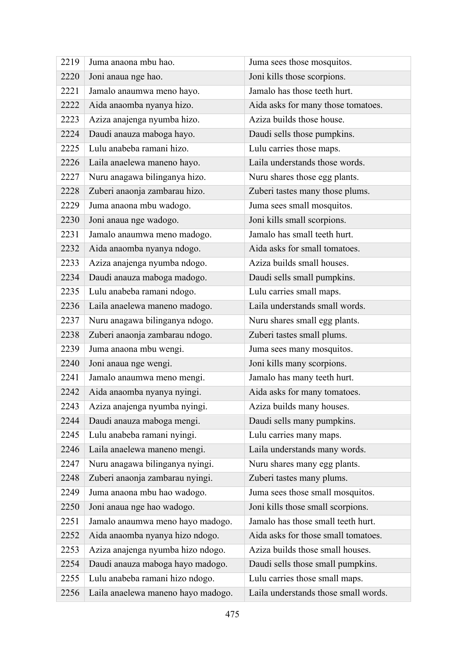| 2219 | Juma anaona mbu hao.               | Juma sees those mosquitos.           |
|------|------------------------------------|--------------------------------------|
| 2220 | Joni anaua nge hao.                | Joni kills those scorpions.          |
| 2221 | Jamalo anaumwa meno hayo.          | Jamalo has those teeth hurt.         |
| 2222 | Aida anaomba nyanya hizo.          | Aida asks for many those tomatoes.   |
| 2223 | Aziza anajenga nyumba hizo.        | Aziza builds those house.            |
| 2224 | Daudi anauza maboga hayo.          | Daudi sells those pumpkins.          |
| 2225 | Lulu anabeba ramani hizo.          | Lulu carries those maps.             |
| 2226 | Laila anaelewa maneno hayo.        | Laila understands those words.       |
| 2227 | Nuru anagawa bilinganya hizo.      | Nuru shares those egg plants.        |
| 2228 | Zuberi anaonja zambarau hizo.      | Zuberi tastes many those plums.      |
| 2229 | Juma anaona mbu wadogo.            | Juma sees small mosquitos.           |
| 2230 | Joni anaua nge wadogo.             | Joni kills small scorpions.          |
| 2231 | Jamalo anaumwa meno madogo.        | Jamalo has small teeth hurt.         |
| 2232 | Aida anaomba nyanya ndogo.         | Aida asks for small tomatoes.        |
| 2233 | Aziza anajenga nyumba ndogo.       | Aziza builds small houses.           |
| 2234 | Daudi anauza maboga madogo.        | Daudi sells small pumpkins.          |
| 2235 | Lulu anabeba ramani ndogo.         | Lulu carries small maps.             |
| 2236 | Laila anaelewa maneno madogo.      | Laila understands small words.       |
| 2237 | Nuru anagawa bilinganya ndogo.     | Nuru shares small egg plants.        |
| 2238 | Zuberi anaonja zambarau ndogo.     | Zuberi tastes small plums.           |
| 2239 | Juma anaona mbu wengi.             | Juma sees many mosquitos.            |
| 2240 | Joni anaua nge wengi.              | Joni kills many scorpions.           |
| 2241 | Jamalo anaumwa meno mengi.         | Jamalo has many teeth hurt.          |
| 2242 | Aida anaomba nyanya nyingi.        | Aida asks for many tomatoes.         |
| 2243 | Aziza anajenga nyumba nyingi.      | Aziza builds many houses.            |
| 2244 | Daudi anauza maboga mengi.         | Daudi sells many pumpkins.           |
| 2245 | Lulu anabeba ramani nyingi.        | Lulu carries many maps.              |
| 2246 | Laila anaelewa maneno mengi.       | Laila understands many words.        |
| 2247 | Nuru anagawa bilinganya nyingi.    | Nuru shares many egg plants.         |
| 2248 | Zuberi anaonja zambarau nyingi.    | Zuberi tastes many plums.            |
| 2249 | Juma anaona mbu hao wadogo.        | Juma sees those small mosquitos.     |
| 2250 | Joni anaua nge hao wadogo.         | Joni kills those small scorpions.    |
| 2251 | Jamalo anaumwa meno hayo madogo.   | Jamalo has those small teeth hurt.   |
| 2252 | Aida anaomba nyanya hizo ndogo.    | Aida asks for those small tomatoes.  |
| 2253 | Aziza anajenga nyumba hizo ndogo.  | Aziza builds those small houses.     |
| 2254 | Daudi anauza maboga hayo madogo.   | Daudi sells those small pumpkins.    |
| 2255 | Lulu anabeba ramani hizo ndogo.    | Lulu carries those small maps.       |
| 2256 | Laila anaelewa maneno hayo madogo. | Laila understands those small words. |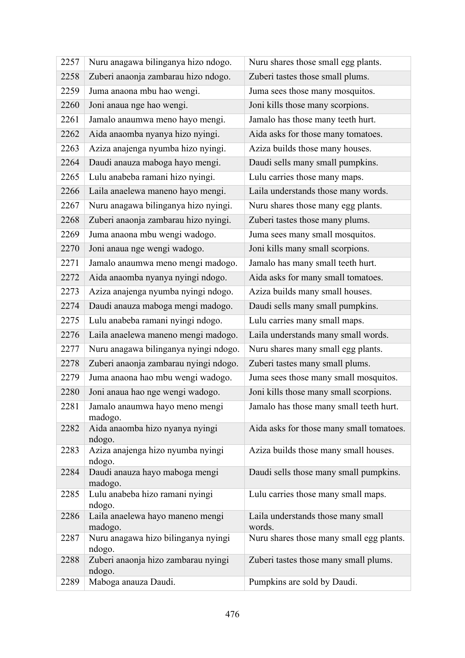| 2257 | Nuru anagawa bilinganya hizo ndogo.           | Nuru shares those small egg plants.      |
|------|-----------------------------------------------|------------------------------------------|
| 2258 | Zuberi anaonja zambarau hizo ndogo.           | Zuberi tastes those small plums.         |
| 2259 | Juma anaona mbu hao wengi.                    | Juma sees those many mosquitos.          |
| 2260 | Joni anaua nge hao wengi.                     | Joni kills those many scorpions.         |
| 2261 | Jamalo anaumwa meno hayo mengi.               | Jamalo has those many teeth hurt.        |
| 2262 | Aida anaomba nyanya hizo nyingi.              | Aida asks for those many tomatoes.       |
| 2263 | Aziza anajenga nyumba hizo nyingi.            | Aziza builds those many houses.          |
| 2264 | Daudi anauza maboga hayo mengi.               | Daudi sells many small pumpkins.         |
| 2265 | Lulu anabeba ramani hizo nyingi.              | Lulu carries those many maps.            |
| 2266 | Laila anaelewa maneno hayo mengi.             | Laila understands those many words.      |
| 2267 | Nuru anagawa bilinganya hizo nyingi.          | Nuru shares those many egg plants.       |
| 2268 | Zuberi anaonja zambarau hizo nyingi.          | Zuberi tastes those many plums.          |
| 2269 | Juma anaona mbu wengi wadogo.                 | Juma sees many small mosquitos.          |
| 2270 | Joni anaua nge wengi wadogo.                  | Joni kills many small scorpions.         |
| 2271 | Jamalo anaumwa meno mengi madogo.             | Jamalo has many small teeth hurt.        |
| 2272 | Aida anaomba nyanya nyingi ndogo.             | Aida asks for many small tomatoes.       |
| 2273 | Aziza anajenga nyumba nyingi ndogo.           | Aziza builds many small houses.          |
| 2274 | Daudi anauza maboga mengi madogo.             | Daudi sells many small pumpkins.         |
| 2275 | Lulu anabeba ramani nyingi ndogo.             | Lulu carries many small maps.            |
| 2276 | Laila anaelewa maneno mengi madogo.           | Laila understands many small words.      |
| 2277 | Nuru anagawa bilinganya nyingi ndogo.         | Nuru shares many small egg plants.       |
| 2278 | Zuberi anaonja zambarau nyingi ndogo.         | Zuberi tastes many small plums.          |
| 2279 | Juma anaona hao mbu wengi wadogo.             | Juma sees those many small mosquitos.    |
| 2280 | Joni anaua hao nge wengi wadogo.              | Joni kills those many small scorpions.   |
| 2281 | Jamalo anaumwa hayo meno mengi<br>madogo.     | Jamalo has those many small teeth hurt.  |
| 2282 | Aida anaomba hizo nyanya nyingi<br>ndogo.     | Aida asks for those many small tomatoes. |
| 2283 | Aziza anajenga hizo nyumba nyingi             | Aziza builds those many small houses.    |
| 2284 | ndogo.<br>Daudi anauza hayo maboga mengi      | Daudi sells those many small pumpkins.   |
|      | madogo.                                       |                                          |
| 2285 | Lulu anabeba hizo ramani nyingi               | Lulu carries those many small maps.      |
| 2286 | ndogo.<br>Laila anaelewa hayo maneno mengi    | Laila understands those many small       |
|      | madogo.                                       | words.                                   |
| 2287 | Nuru anagawa hizo bilinganya nyingi<br>ndogo. | Nuru shares those many small egg plants. |
| 2288 | Zuberi anaonja hizo zambarau nyingi<br>ndogo. | Zuberi tastes those many small plums.    |
| 2289 | Maboga anauza Daudi.                          | Pumpkins are sold by Daudi.              |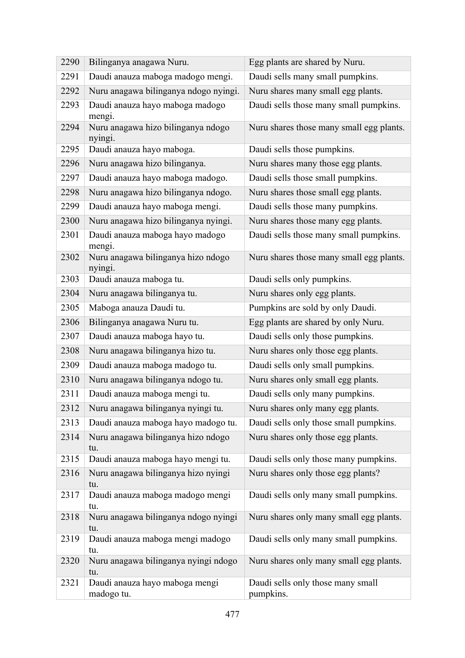| 2290 | Bilinganya anagawa Nuru.                      | Egg plants are shared by Nuru.                 |
|------|-----------------------------------------------|------------------------------------------------|
| 2291 | Daudi anauza maboga madogo mengi.             | Daudi sells many small pumpkins.               |
| 2292 | Nuru anagawa bilinganya ndogo nyingi.         | Nuru shares many small egg plants.             |
| 2293 | Daudi anauza hayo maboga madogo<br>mengi.     | Daudi sells those many small pumpkins.         |
| 2294 | Nuru anagawa hizo bilinganya ndogo<br>nyingi. | Nuru shares those many small egg plants.       |
| 2295 | Daudi anauza hayo maboga.                     | Daudi sells those pumpkins.                    |
| 2296 | Nuru anagawa hizo bilinganya.                 | Nuru shares many those egg plants.             |
| 2297 | Daudi anauza hayo maboga madogo.              | Daudi sells those small pumpkins.              |
| 2298 | Nuru anagawa hizo bilinganya ndogo.           | Nuru shares those small egg plants.            |
| 2299 | Daudi anauza hayo maboga mengi.               | Daudi sells those many pumpkins.               |
| 2300 | Nuru anagawa hizo bilinganya nyingi.          | Nuru shares those many egg plants.             |
| 2301 | Daudi anauza maboga hayo madogo<br>mengi.     | Daudi sells those many small pumpkins.         |
| 2302 | Nuru anagawa bilinganya hizo ndogo<br>nyingi. | Nuru shares those many small egg plants.       |
| 2303 | Daudi anauza maboga tu.                       | Daudi sells only pumpkins.                     |
| 2304 | Nuru anagawa bilinganya tu.                   | Nuru shares only egg plants.                   |
| 2305 | Maboga anauza Daudi tu.                       | Pumpkins are sold by only Daudi.               |
| 2306 | Bilinganya anagawa Nuru tu.                   | Egg plants are shared by only Nuru.            |
| 2307 | Daudi anauza maboga hayo tu.                  | Daudi sells only those pumpkins.               |
| 2308 | Nuru anagawa bilinganya hizo tu.              | Nuru shares only those egg plants.             |
| 2309 | Daudi anauza maboga madogo tu.                | Daudi sells only small pumpkins.               |
| 2310 | Nuru anagawa bilinganya ndogo tu.             | Nuru shares only small egg plants.             |
| 2311 | Daudi anauza maboga mengi tu.                 | Daudi sells only many pumpkins.                |
| 2312 | Nuru anagawa bilinganya nyingi tu.            | Nuru shares only many egg plants.              |
| 2313 | Daudi anauza maboga hayo madogo tu.           | Daudi sells only those small pumpkins.         |
| 2314 | Nuru anagawa bilinganya hizo ndogo<br>tu.     | Nuru shares only those egg plants.             |
| 2315 | Daudi anauza maboga hayo mengi tu.            | Daudi sells only those many pumpkins.          |
| 2316 | Nuru anagawa bilinganya hizo nyingi<br>tu.    | Nuru shares only those egg plants?             |
| 2317 | Daudi anauza maboga madogo mengi<br>tu.       | Daudi sells only many small pumpkins.          |
| 2318 | Nuru anagawa bilinganya ndogo nyingi<br>tu.   | Nuru shares only many small egg plants.        |
| 2319 | Daudi anauza maboga mengi madogo<br>tu.       | Daudi sells only many small pumpkins.          |
| 2320 | Nuru anagawa bilinganya nyingi ndogo<br>tu.   | Nuru shares only many small egg plants.        |
| 2321 | Daudi anauza hayo maboga mengi<br>madogo tu.  | Daudi sells only those many small<br>pumpkins. |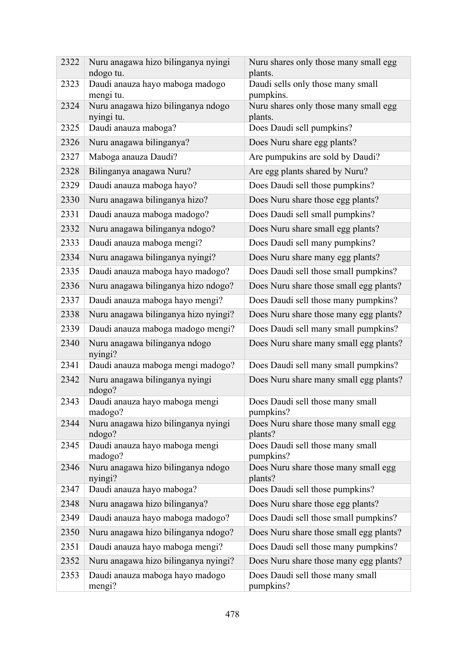| 2322 | Nuru anagawa hizo bilinganya nyingi<br>ndogo tu. | Nuru shares only those many small egg<br>plants. |
|------|--------------------------------------------------|--------------------------------------------------|
| 2323 | Daudi anauza hayo maboga madogo<br>mengi tu.     | Daudi sells only those many small<br>pumpkins.   |
| 2324 | Nuru anagawa hizo bilinganya ndogo<br>nyingi tu. | Nuru shares only those many small egg<br>plants. |
| 2325 | Daudi anauza maboga?                             | Does Daudi sell pumpkins?                        |
| 2326 | Nuru anagawa bilinganya?                         | Does Nuru share egg plants?                      |
| 2327 | Maboga anauza Daudi?                             | Are pumpukins are sold by Daudi?                 |
| 2328 | Bilinganya anagawa Nuru?                         | Are egg plants shared by Nuru?                   |
| 2329 | Daudi anauza maboga hayo?                        | Does Daudi sell those pumpkins?                  |
| 2330 | Nuru anagawa bilinganya hizo?                    | Does Nuru share those egg plants?                |
| 2331 | Daudi anauza maboga madogo?                      | Does Daudi sell small pumpkins?                  |
| 2332 | Nuru anagawa bilinganya ndogo?                   | Does Nuru share small egg plants?                |
| 2333 | Daudi anauza maboga mengi?                       | Does Daudi sell many pumpkins?                   |
| 2334 | Nuru anagawa bilinganya nyingi?                  | Does Nuru share many egg plants?                 |
| 2335 | Daudi anauza maboga hayo madogo?                 | Does Daudi sell those small pumpkins?            |
| 2336 | Nuru anagawa bilinganya hizo ndogo?              | Does Nuru share those small egg plants?          |
| 2337 | Daudi anauza maboga hayo mengi?                  | Does Daudi sell those many pumpkins?             |
| 2338 | Nuru anagawa bilinganya hizo nyingi?             | Does Nuru share those many egg plants?           |
| 2339 | Daudi anauza maboga madogo mengi?                | Does Daudi sell many small pumpkins?             |
| 2340 | Nuru anagawa bilinganya ndogo<br>nyingi?         | Does Nuru share many small egg plants?           |
| 2341 | Daudi anauza maboga mengi madogo?                | Does Daudi sell many small pumpkins?             |
| 2342 | Nuru anagawa bilinganya nyingi<br>ndogo?         | Does Nuru share many small egg plants?           |
| 2343 | Daudi anauza hayo maboga mengi<br>madogo?        | Does Daudi sell those many small<br>pumpkins?    |
| 2344 | Nuru anagawa hizo bilinganya nyingi<br>ndogo?    | Does Nuru share those many small egg<br>plants?  |
| 2345 | Daudi anauza hayo maboga mengi<br>madogo?        | Does Daudi sell those many small<br>pumpkins?    |
| 2346 | Nuru anagawa hizo bilinganya ndogo<br>nyingi?    | Does Nuru share those many small egg<br>plants?  |
| 2347 | Daudi anauza hayo maboga?                        | Does Daudi sell those pumpkins?                  |
| 2348 | Nuru anagawa hizo bilinganya?                    | Does Nuru share those egg plants?                |
| 2349 | Daudi anauza hayo maboga madogo?                 | Does Daudi sell those small pumpkins?            |
| 2350 | Nuru anagawa hizo bilinganya ndogo?              | Does Nuru share those small egg plants?          |
| 2351 | Daudi anauza hayo maboga mengi?                  | Does Daudi sell those many pumpkins?             |
| 2352 | Nuru anagawa hizo bilinganya nyingi?             | Does Nuru share those many egg plants?           |
| 2353 | Daudi anauza maboga hayo madogo<br>mengi?        | Does Daudi sell those many small<br>pumpkins?    |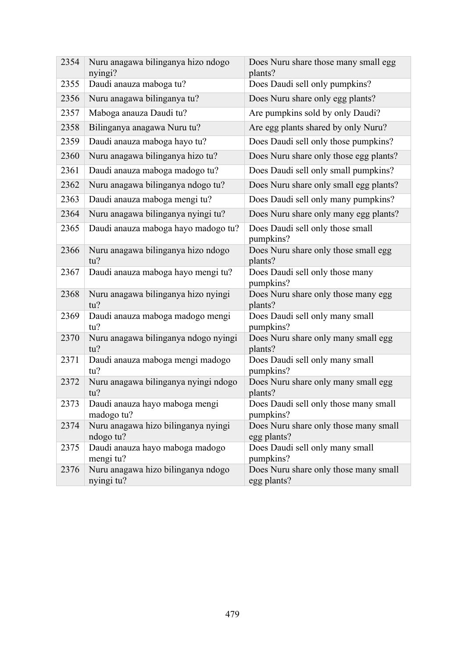| 2354 | Nuru anagawa bilinganya hizo ndogo<br>nyingi?    | Does Nuru share those many small egg<br>plants?      |
|------|--------------------------------------------------|------------------------------------------------------|
| 2355 | Daudi anauza maboga tu?                          | Does Daudi sell only pumpkins?                       |
| 2356 | Nuru anagawa bilinganya tu?                      | Does Nuru share only egg plants?                     |
| 2357 | Maboga anauza Daudi tu?                          | Are pumpkins sold by only Daudi?                     |
| 2358 | Bilinganya anagawa Nuru tu?                      | Are egg plants shared by only Nuru?                  |
| 2359 | Daudi anauza maboga hayo tu?                     | Does Daudi sell only those pumpkins?                 |
| 2360 | Nuru anagawa bilinganya hizo tu?                 | Does Nuru share only those egg plants?               |
| 2361 | Daudi anauza maboga madogo tu?                   | Does Daudi sell only small pumpkins?                 |
| 2362 | Nuru anagawa bilinganya ndogo tu?                | Does Nuru share only small egg plants?               |
| 2363 | Daudi anauza maboga mengi tu?                    | Does Daudi sell only many pumpkins?                  |
| 2364 | Nuru anagawa bilinganya nyingi tu?               | Does Nuru share only many egg plants?                |
| 2365 | Daudi anauza maboga hayo madogo tu?              | Does Daudi sell only those small<br>pumpkins?        |
| 2366 | Nuru anagawa bilinganya hizo ndogo<br>tu?        | Does Nuru share only those small egg<br>plants?      |
| 2367 | Daudi anauza maboga hayo mengi tu?               | Does Daudi sell only those many<br>pumpkins?         |
| 2368 | Nuru anagawa bilinganya hizo nyingi<br>tu?       | Does Nuru share only those many egg<br>plants?       |
| 2369 | Daudi anauza maboga madogo mengi<br>tu?          | Does Daudi sell only many small<br>pumpkins?         |
| 2370 | Nuru anagawa bilinganya ndogo nyingi<br>tu?      | Does Nuru share only many small egg<br>plants?       |
| 2371 | Daudi anauza maboga mengi madogo<br>tu?          | Does Daudi sell only many small<br>pumpkins?         |
| 2372 | Nuru anagawa bilinganya nyingi ndogo<br>tu?      | Does Nuru share only many small egg<br>plants?       |
| 2373 | Daudi anauza hayo maboga mengi<br>madogo tu?     | Does Daudi sell only those many small<br>pumpkins?   |
| 2374 | Nuru anagawa hizo bilinganya nyingi<br>ndogo tu? | Does Nuru share only those many small<br>egg plants? |
| 2375 | Daudi anauza hayo maboga madogo<br>mengi tu?     | Does Daudi sell only many small<br>pumpkins?         |
| 2376 | Nuru anagawa hizo bilinganya ndogo<br>nyingi tu? | Does Nuru share only those many small<br>egg plants? |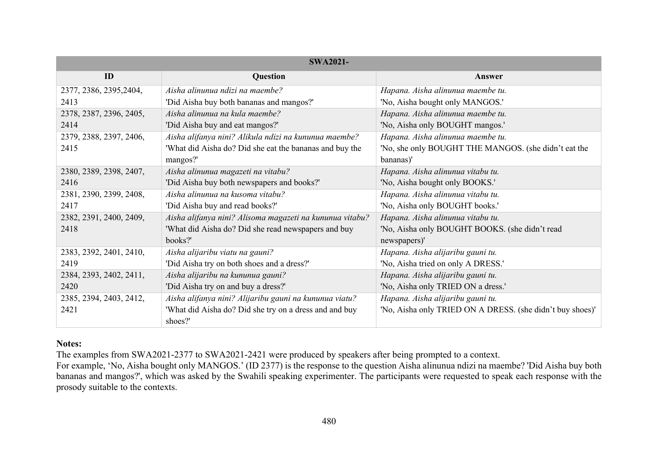| <b>SWA2021-</b>         |                                                                   |                                                           |  |  |  |  |
|-------------------------|-------------------------------------------------------------------|-----------------------------------------------------------|--|--|--|--|
| ID                      | Question                                                          | Answer                                                    |  |  |  |  |
| 2377, 2386, 2395, 2404, | Aisha alinunua ndizi na maembe?                                   | Hapana. Aisha alinunua maembe tu.                         |  |  |  |  |
| 2413                    | 'Did Aisha buy both bananas and mangos?'                          | 'No, Aisha bought only MANGOS.'                           |  |  |  |  |
| 2378, 2387, 2396, 2405, | Aisha alinunua na kula maembe?                                    | Hapana. Aisha alinunua maembe tu.                         |  |  |  |  |
| 2414                    | 'Did Aisha buy and eat mangos?'                                   | 'No, Aisha only BOUGHT mangos.'                           |  |  |  |  |
| 2379, 2388, 2397, 2406, | Aisha alifanya nini? Alikula ndizi na kununua maembe?             | Hapana. Aisha alinunua maembe tu.                         |  |  |  |  |
| 2415                    | 'What did Aisha do? Did she eat the bananas and buy the           | 'No, she only BOUGHT THE MANGOS. (she didn't eat the      |  |  |  |  |
|                         | mangos?'                                                          | bananas)'                                                 |  |  |  |  |
| 2380, 2389, 2398, 2407, | Aisha alinunua magazeti na vitabu?                                | Hapana. Aisha alinunua vitabu tu.                         |  |  |  |  |
| 2416                    | 'Did Aisha buy both newspapers and books?'                        | 'No, Aisha bought only BOOKS.'                            |  |  |  |  |
| 2381, 2390, 2399, 2408, | Aisha alinunua na kusoma vitabu?                                  | Hapana. Aisha alinunua vitabu tu.                         |  |  |  |  |
| 2417                    | 'Did Aisha buy and read books?'                                   | 'No, Aisha only BOUGHT books.'                            |  |  |  |  |
| 2382, 2391, 2400, 2409, | Aisha alifanya nini? Alisoma magazeti na kununua vitabu?          | Hapana. Aisha alinunua vitabu tu.                         |  |  |  |  |
| 2418                    | 'What did Aisha do? Did she read newspapers and buy               | 'No, Aisha only BOUGHT BOOKS. (she didn't read            |  |  |  |  |
|                         | books?'                                                           | newspapers)'                                              |  |  |  |  |
| 2383, 2392, 2401, 2410, | Aisha alijaribu viatu na gauni?                                   | Hapana. Aisha alijaribu gauni tu.                         |  |  |  |  |
| 2419                    | 'Did Aisha try on both shoes and a dress?'                        | 'No, Aisha tried on only A DRESS.'                        |  |  |  |  |
| 2384, 2393, 2402, 2411, | Aisha alijaribu na kununua gauni?                                 | Hapana. Aisha alijaribu gauni tu.                         |  |  |  |  |
| 2420                    | 'Did Aisha try on and buy a dress?'                               | 'No, Aisha only TRIED ON a dress.'                        |  |  |  |  |
| 2385, 2394, 2403, 2412, | Aisha alifanya nini? Alijaribu gauni na kununua viatu?            | Hapana. Aisha alijaribu gauni tu.                         |  |  |  |  |
| 2421                    | 'What did Aisha do? Did she try on a dress and and buy<br>shoes?' | 'No, Aisha only TRIED ON A DRESS. (she didn't buy shoes)' |  |  |  |  |

## **Notes:**

The examples from SWA2021-2377 to SWA2021-2421 were produced by speakers after being prompted to a context.

For example, 'No, Aisha bought only MANGOS.' (ID 2377) is the response to the question Aisha alinunua ndizi na maembe? 'Did Aisha buy both bananas and mangos?', which was asked by the Swahili speaking experimenter. The participants were requested to speak each response with the prosody suitable to the contexts.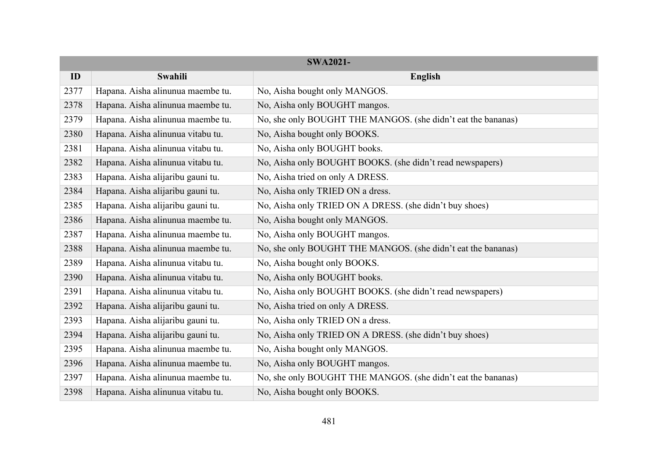| <b>SWA2021-</b> |                                   |                                                              |  |  |
|-----------------|-----------------------------------|--------------------------------------------------------------|--|--|
| ID              | Swahili                           | English                                                      |  |  |
| 2377            | Hapana. Aisha alinunua maembe tu. | No, Aisha bought only MANGOS.                                |  |  |
| 2378            | Hapana. Aisha alinunua maembe tu. | No, Aisha only BOUGHT mangos.                                |  |  |
| 2379            | Hapana. Aisha alinunua maembe tu. | No, she only BOUGHT THE MANGOS. (she didn't eat the bananas) |  |  |
| 2380            | Hapana. Aisha alinunua vitabu tu. | No, Aisha bought only BOOKS.                                 |  |  |
| 2381            | Hapana. Aisha alinunua vitabu tu. | No, Aisha only BOUGHT books.                                 |  |  |
| 2382            | Hapana. Aisha alinunua vitabu tu. | No, Aisha only BOUGHT BOOKS. (she didn't read newspapers)    |  |  |
| 2383            | Hapana. Aisha alijaribu gauni tu. | No, Aisha tried on only A DRESS.                             |  |  |
| 2384            | Hapana. Aisha alijaribu gauni tu. | No, Aisha only TRIED ON a dress.                             |  |  |
| 2385            | Hapana. Aisha alijaribu gauni tu. | No, Aisha only TRIED ON A DRESS. (she didn't buy shoes)      |  |  |
| 2386            | Hapana. Aisha alinunua maembe tu. | No, Aisha bought only MANGOS.                                |  |  |
| 2387            | Hapana. Aisha alinunua maembe tu. | No, Aisha only BOUGHT mangos.                                |  |  |
| 2388            | Hapana. Aisha alinunua maembe tu. | No, she only BOUGHT THE MANGOS. (she didn't eat the bananas) |  |  |
| 2389            | Hapana. Aisha alinunua vitabu tu. | No, Aisha bought only BOOKS.                                 |  |  |
| 2390            | Hapana. Aisha alinunua vitabu tu. | No, Aisha only BOUGHT books.                                 |  |  |
| 2391            | Hapana. Aisha alinunua vitabu tu. | No, Aisha only BOUGHT BOOKS. (she didn't read newspapers)    |  |  |
| 2392            | Hapana. Aisha alijaribu gauni tu. | No, Aisha tried on only A DRESS.                             |  |  |
| 2393            | Hapana. Aisha alijaribu gauni tu. | No, Aisha only TRIED ON a dress.                             |  |  |
| 2394            | Hapana. Aisha alijaribu gauni tu. | No, Aisha only TRIED ON A DRESS. (she didn't buy shoes)      |  |  |
| 2395            | Hapana. Aisha alinunua maembe tu. | No, Aisha bought only MANGOS.                                |  |  |
| 2396            | Hapana. Aisha alinunua maembe tu. | No, Aisha only BOUGHT mangos.                                |  |  |
| 2397            | Hapana. Aisha alinunua maembe tu. | No, she only BOUGHT THE MANGOS. (she didn't eat the bananas) |  |  |
| 2398            | Hapana. Aisha alinunua vitabu tu. | No, Aisha bought only BOOKS.                                 |  |  |